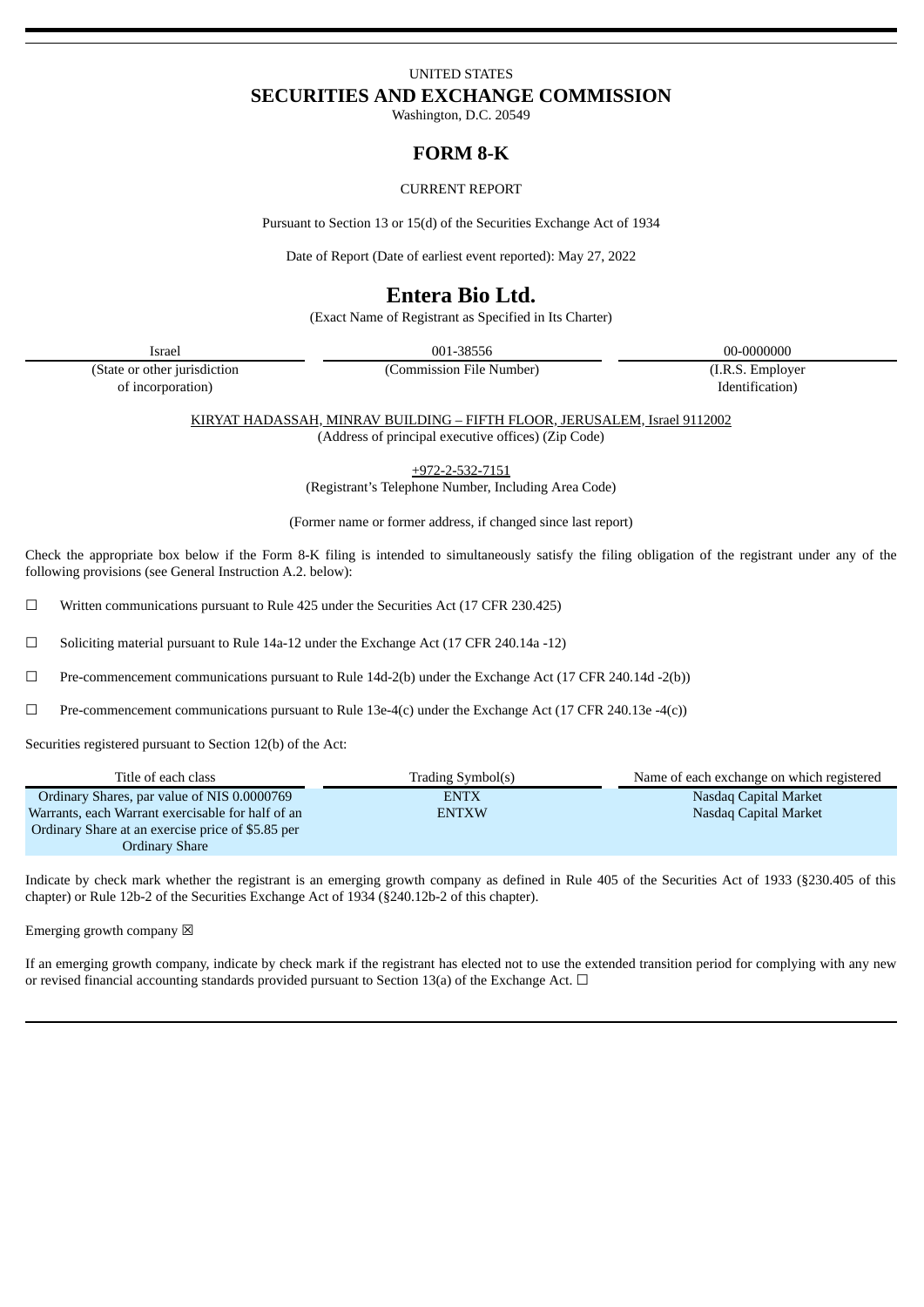# UNITED STATES **SECURITIES AND EXCHANGE COMMISSION**

Washington, D.C. 20549

# **FORM 8-K**

### CURRENT REPORT

Pursuant to Section 13 or 15(d) of the Securities Exchange Act of 1934

Date of Report (Date of earliest event reported): May 27, 2022

# **Entera Bio Ltd.**

(Exact Name of Registrant as Specified in Its Charter)

Israel 001-38556 00-0000000

(State or other jurisdiction of incorporation)

(Commission File Number) (I.R.S. Employer Identification)

KIRYAT HADASSAH, MINRAV BUILDING – FIFTH FLOOR, JERUSALEM, Israel 9112002 (Address of principal executive offices) (Zip Code)

+972-2-532-7151

(Registrant's Telephone Number, Including Area Code)

(Former name or former address, if changed since last report)

Check the appropriate box below if the Form 8-K filing is intended to simultaneously satisfy the filing obligation of the registrant under any of the following provisions (see General Instruction A.2. below):

 $\Box$  Written communications pursuant to Rule 425 under the Securities Act (17 CFR 230.425)

☐ Soliciting material pursuant to Rule 14a-12 under the Exchange Act (17 CFR 240.14a -12)

☐ Pre-commencement communications pursuant to Rule 14d-2(b) under the Exchange Act (17 CFR 240.14d -2(b))

 $\Box$  Pre-commencement communications pursuant to Rule 13e-4(c) under the Exchange Act (17 CFR 240.13e -4(c))

Securities registered pursuant to Section 12(b) of the Act:

| Title of each class                               | Trading Symbol(s) | Name of each exchange on which registered |
|---------------------------------------------------|-------------------|-------------------------------------------|
| Ordinary Shares, par value of NIS 0.0000769       | <b>ENTX</b>       | Nasdag Capital Market                     |
| Warrants, each Warrant exercisable for half of an | <b>ENTXW</b>      | Nasdag Capital Market                     |
| Ordinary Share at an exercise price of \$5.85 per |                   |                                           |
| Ordinary Share                                    |                   |                                           |

Indicate by check mark whether the registrant is an emerging growth company as defined in Rule 405 of the Securities Act of 1933 (§230.405 of this chapter) or Rule 12b-2 of the Securities Exchange Act of 1934 (§240.12b-2 of this chapter).

Emerging growth company  $\boxtimes$ 

If an emerging growth company, indicate by check mark if the registrant has elected not to use the extended transition period for complying with any new or revised financial accounting standards provided pursuant to Section 13(a) of the Exchange Act.  $\Box$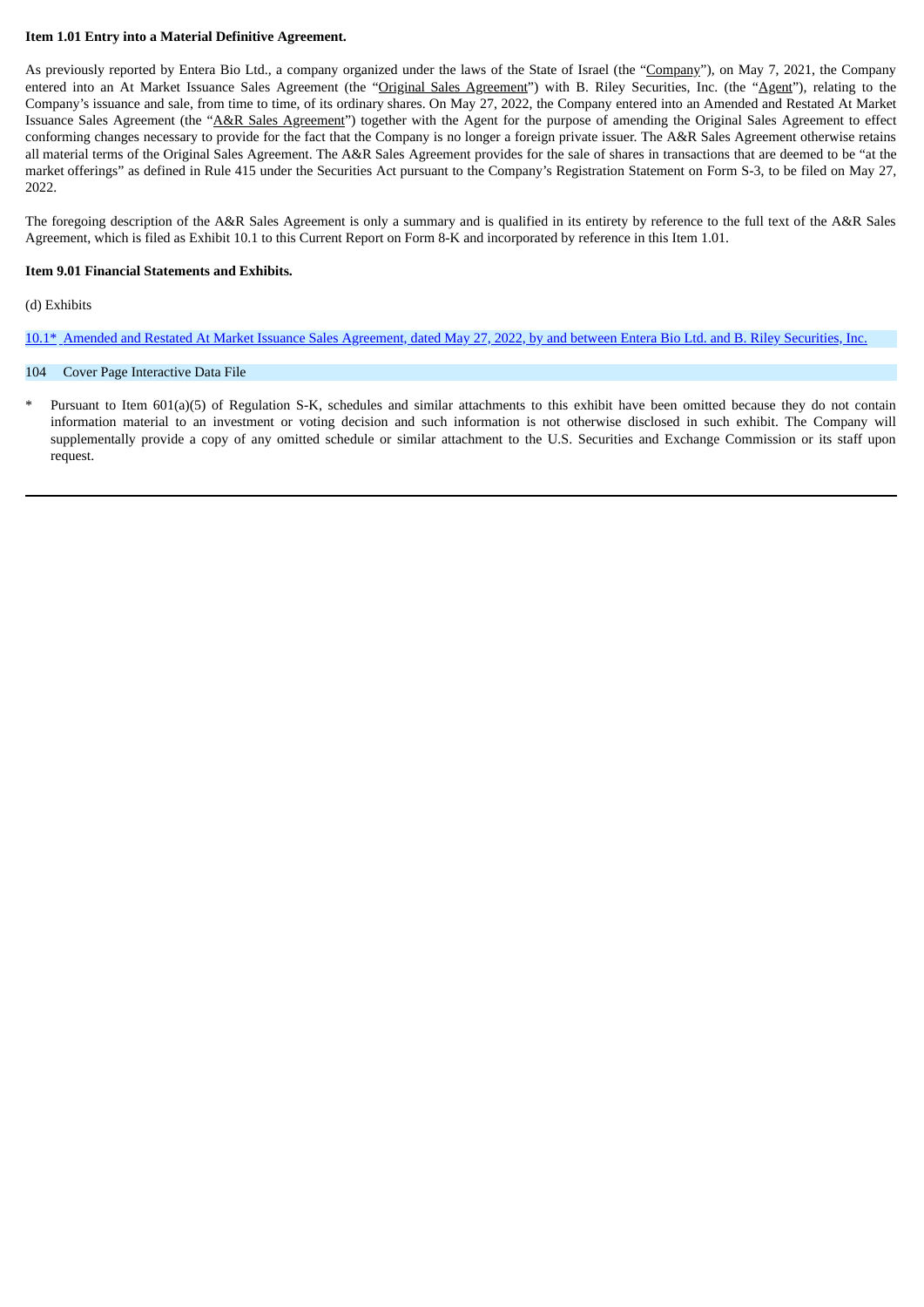### **Item 1.01 Entry into a Material Definitive Agreement.**

As previously reported by Entera Bio Ltd., a company organized under the laws of the State of Israel (the "Company"), on May 7, 2021, the Company entered into an At Market Issuance Sales Agreement (the "Original Sales Agreement") with B. Riley Securities, Inc. (the "Agent"), relating to the Company's issuance and sale, from time to time, of its ordinary shares. On May 27, 2022, the Company entered into an Amended and Restated At Market Issuance Sales Agreement (the "A&R Sales Agreement") together with the Agent for the purpose of amending the Original Sales Agreement to effect conforming changes necessary to provide for the fact that the Company is no longer a foreign private issuer. The A&R Sales Agreement otherwise retains all material terms of the Original Sales Agreement. The A&R Sales Agreement provides for the sale of shares in transactions that are deemed to be "at the market offerings" as defined in Rule 415 under the Securities Act pursuant to the Company's Registration Statement on Form S-3, to be filed on May 27, 2022.

The foregoing description of the A&R Sales Agreement is only a summary and is qualified in its entirety by reference to the full text of the A&R Sales Agreement, which is filed as Exhibit 10.1 to this Current Report on Form 8-K and incorporated by reference in this Item 1.01.

### **Item 9.01 Financial Statements and Exhibits.**

### (d) Exhibits

[10.1\\*](#page-3-0) Amended and Restated At Market Issuance Sales [Agreement,](#page-3-0) dated May 27, 2022, by and between Entera Bio Ltd. and B. Riley Securities, Inc.

### 104 Cover Page Interactive Data File

Pursuant to Item 601(a)(5) of Regulation S-K, schedules and similar attachments to this exhibit have been omitted because they do not contain information material to an investment or voting decision and such information is not otherwise disclosed in such exhibit. The Company will supplementally provide a copy of any omitted schedule or similar attachment to the U.S. Securities and Exchange Commission or its staff upon request.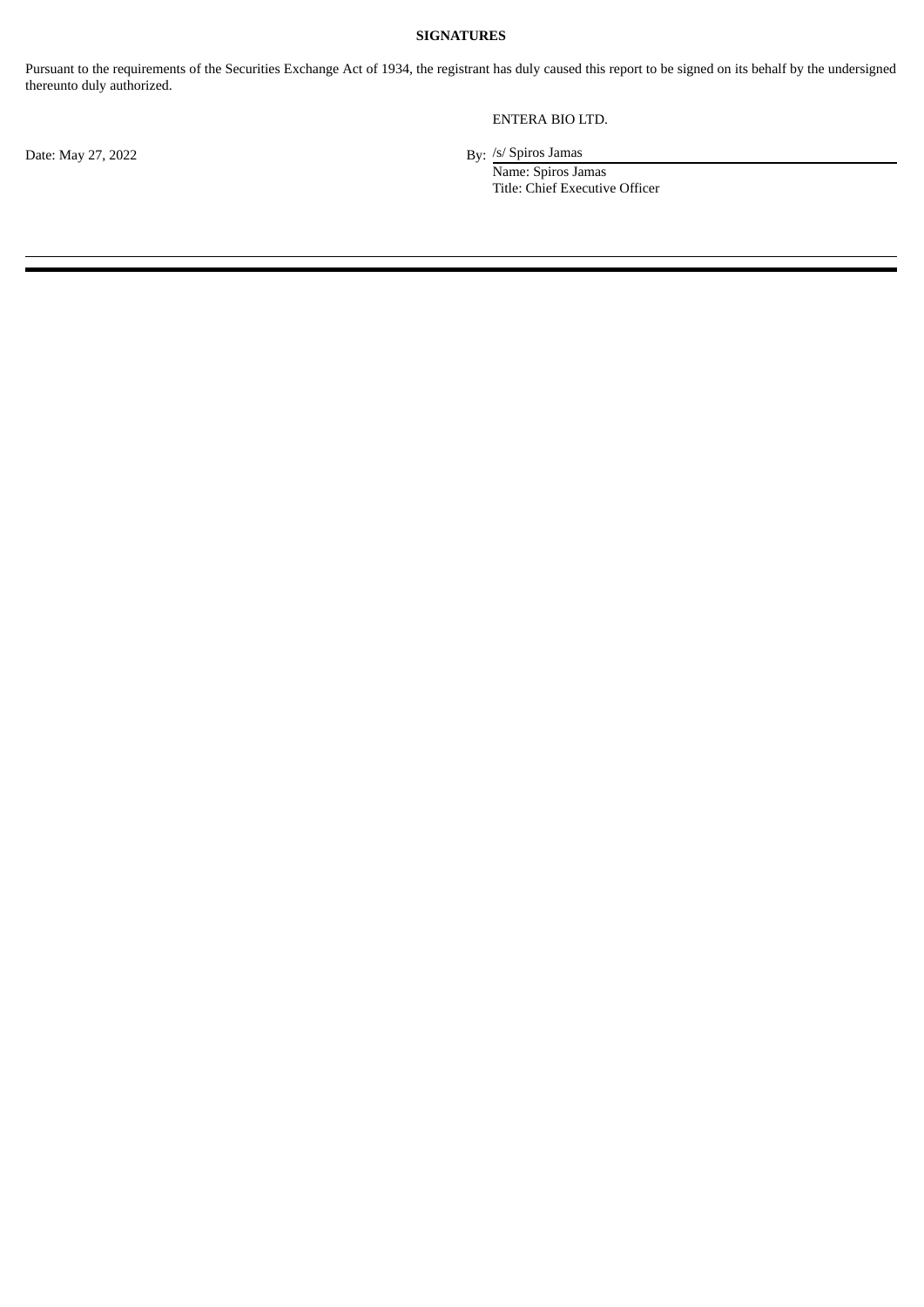### **SIGNATURES**

Pursuant to the requirements of the Securities Exchange Act of 1934, the registrant has duly caused this report to be signed on its behalf by the undersigned thereunto duly authorized.

ENTERA BIO LTD.

/s/ Spiros Jamas

Name: Spiros Jamas Title: Chief Executive Officer

Date: May 27, 2022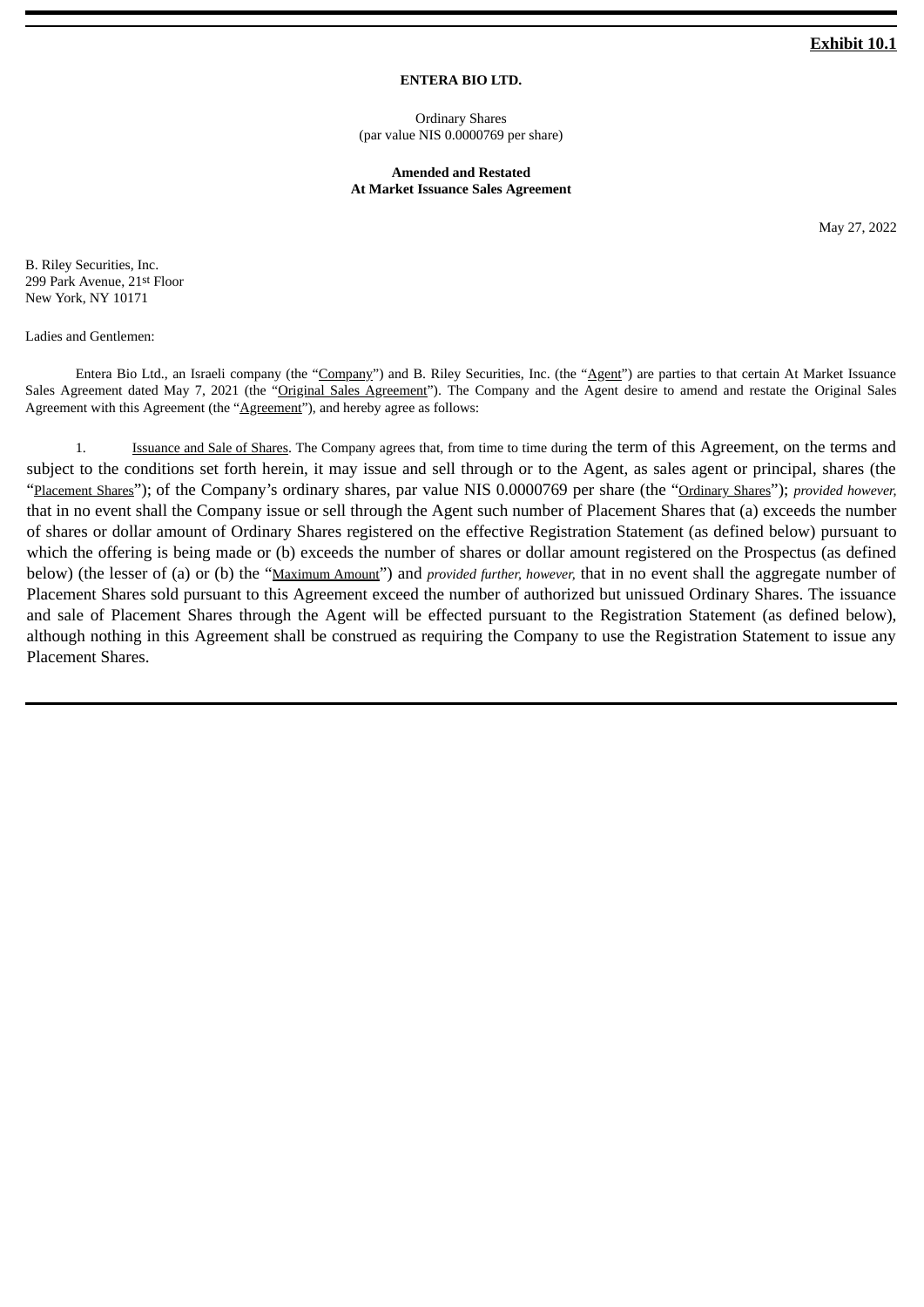## **Exhibit 10.1**

## **ENTERA BIO LTD.**

Ordinary Shares (par value NIS 0.0000769 per share)

**Amended and Restated At Market Issuance Sales Agreement**

May 27, 2022

<span id="page-3-0"></span>B. Riley Securities, Inc. 299 Park Avenue, 21st Floor New York, NY 10171

Ladies and Gentlemen:

Entera Bio Ltd., an Israeli company (the "Company") and B. Riley Securities, Inc. (the "Agent") are parties to that certain At Market Issuance Sales Agreement dated May 7, 2021 (the "Original Sales Agreement"). The Company and the Agent desire to amend and restate the Original Sales Agreement with this Agreement (the "Agreement"), and hereby agree as follows:

1. Issuance and Sale of Shares. The Company agrees that, from time to time during the term of this Agreement, on the terms and subject to the conditions set forth herein, it may issue and sell through or to the Agent, as sales agent or principal, shares (the "Placement Shares"); of the Company's ordinary shares, par value NIS 0.0000769 per share (the "Ordinary Shares"); *provided however,* that in no event shall the Company issue or sell through the Agent such number of Placement Shares that (a) exceeds the number of shares or dollar amount of Ordinary Shares registered on the effective Registration Statement (as defined below) pursuant to which the offering is being made or (b) exceeds the number of shares or dollar amount registered on the Prospectus (as defined below) (the lesser of (a) or (b) the "Maximum Amount") and *provided further, however,* that in no event shall the aggregate number of Placement Shares sold pursuant to this Agreement exceed the number of authorized but unissued Ordinary Shares. The issuance and sale of Placement Shares through the Agent will be effected pursuant to the Registration Statement (as defined below), although nothing in this Agreement shall be construed as requiring the Company to use the Registration Statement to issue any Placement Shares.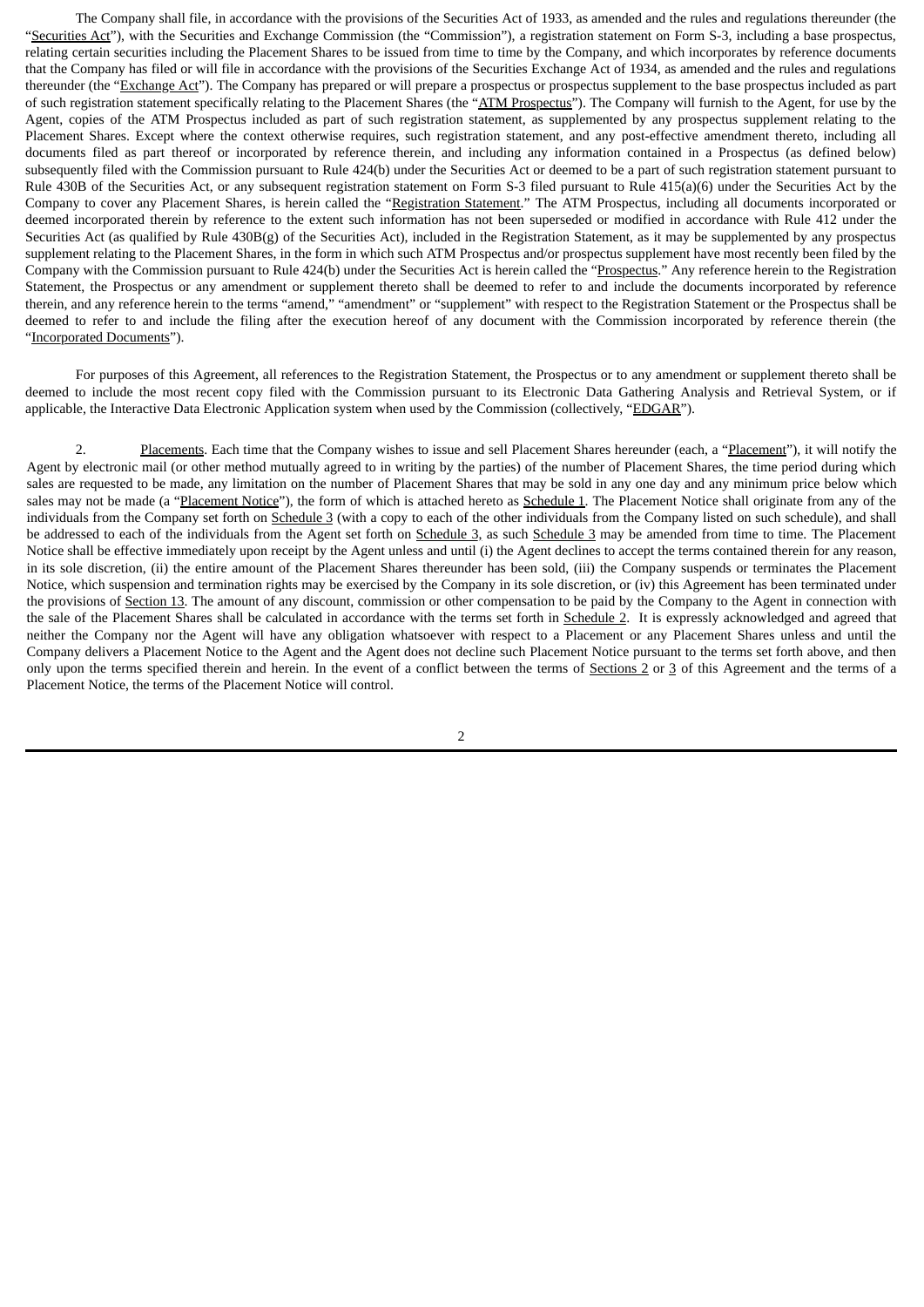The Company shall file, in accordance with the provisions of the Securities Act of 1933, as amended and the rules and regulations thereunder (the "Securities Act"), with the Securities and Exchange Commission (the "Commission"), a registration statement on Form S-3, including a base prospectus, relating certain securities including the Placement Shares to be issued from time to time by the Company, and which incorporates by reference documents that the Company has filed or will file in accordance with the provisions of the Securities Exchange Act of 1934, as amended and the rules and regulations thereunder (the "Exchange Act"). The Company has prepared or will prepare a prospectus or prospectus supplement to the base prospectus included as part of such registration statement specifically relating to the Placement Shares (the "ATM Prospectus"). The Company will furnish to the Agent, for use by the Agent, copies of the ATM Prospectus included as part of such registration statement, as supplemented by any prospectus supplement relating to the Placement Shares. Except where the context otherwise requires, such registration statement, and any post-effective amendment thereto, including all documents filed as part thereof or incorporated by reference therein, and including any information contained in a Prospectus (as defined below) subsequently filed with the Commission pursuant to Rule 424(b) under the Securities Act or deemed to be a part of such registration statement pursuant to Rule 430B of the Securities Act, or any subsequent registration statement on Form S-3 filed pursuant to Rule 415(a)(6) under the Securities Act by the Company to cover any Placement Shares, is herein called the "Registration Statement." The ATM Prospectus, including all documents incorporated or deemed incorporated therein by reference to the extent such information has not been superseded or modified in accordance with Rule 412 under the Securities Act (as qualified by Rule 430B(g) of the Securities Act), included in the Registration Statement, as it may be supplemented by any prospectus supplement relating to the Placement Shares, in the form in which such ATM Prospectus and/or prospectus supplement have most recently been filed by the Company with the Commission pursuant to Rule 424(b) under the Securities Act is herein called the "Prospectus." Any reference herein to the Registration Statement, the Prospectus or any amendment or supplement thereto shall be deemed to refer to and include the documents incorporated by reference therein, and any reference herein to the terms "amend," "amendment" or "supplement" with respect to the Registration Statement or the Prospectus shall be deemed to refer to and include the filing after the execution hereof of any document with the Commission incorporated by reference therein (the "Incorporated Documents").

For purposes of this Agreement, all references to the Registration Statement, the Prospectus or to any amendment or supplement thereto shall be deemed to include the most recent copy filed with the Commission pursuant to its Electronic Data Gathering Analysis and Retrieval System, or if applicable, the Interactive Data Electronic Application system when used by the Commission (collectively, "EDGAR").

2. Placements. Each time that the Company wishes to issue and sell Placement Shares hereunder (each, a "Placement"), it will notify the Agent by electronic mail (or other method mutually agreed to in writing by the parties) of the number of Placement Shares, the time period during which sales are requested to be made, any limitation on the number of Placement Shares that may be sold in any one day and any minimum price below which sales may not be made (a "Placement Notice"), the form of which is attached hereto as Schedule 1. The Placement Notice shall originate from any of the individuals from the Company set forth on Schedule 3 (with a copy to each of the other individuals from the Company listed on such schedule), and shall be addressed to each of the individuals from the Agent set forth on Schedule 3, as such Schedule 3 may be amended from time to time. The Placement Notice shall be effective immediately upon receipt by the Agent unless and until (i) the Agent declines to accept the terms contained therein for any reason, in its sole discretion, (ii) the entire amount of the Placement Shares thereunder has been sold, (iii) the Company suspends or terminates the Placement Notice, which suspension and termination rights may be exercised by the Company in its sole discretion, or (iv) this Agreement has been terminated under the provisions of Section 13. The amount of any discount, commission or other compensation to be paid by the Company to the Agent in connection with the sale of the Placement Shares shall be calculated in accordance with the terms set forth in Schedule 2. It is expressly acknowledged and agreed that neither the Company nor the Agent will have any obligation whatsoever with respect to a Placement or any Placement Shares unless and until the Company delivers a Placement Notice to the Agent and the Agent does not decline such Placement Notice pursuant to the terms set forth above, and then only upon the terms specified therein and herein. In the event of a conflict between the terms of Sections 2 or 3 of this Agreement and the terms of a Placement Notice, the terms of the Placement Notice will control.

<sup>2</sup>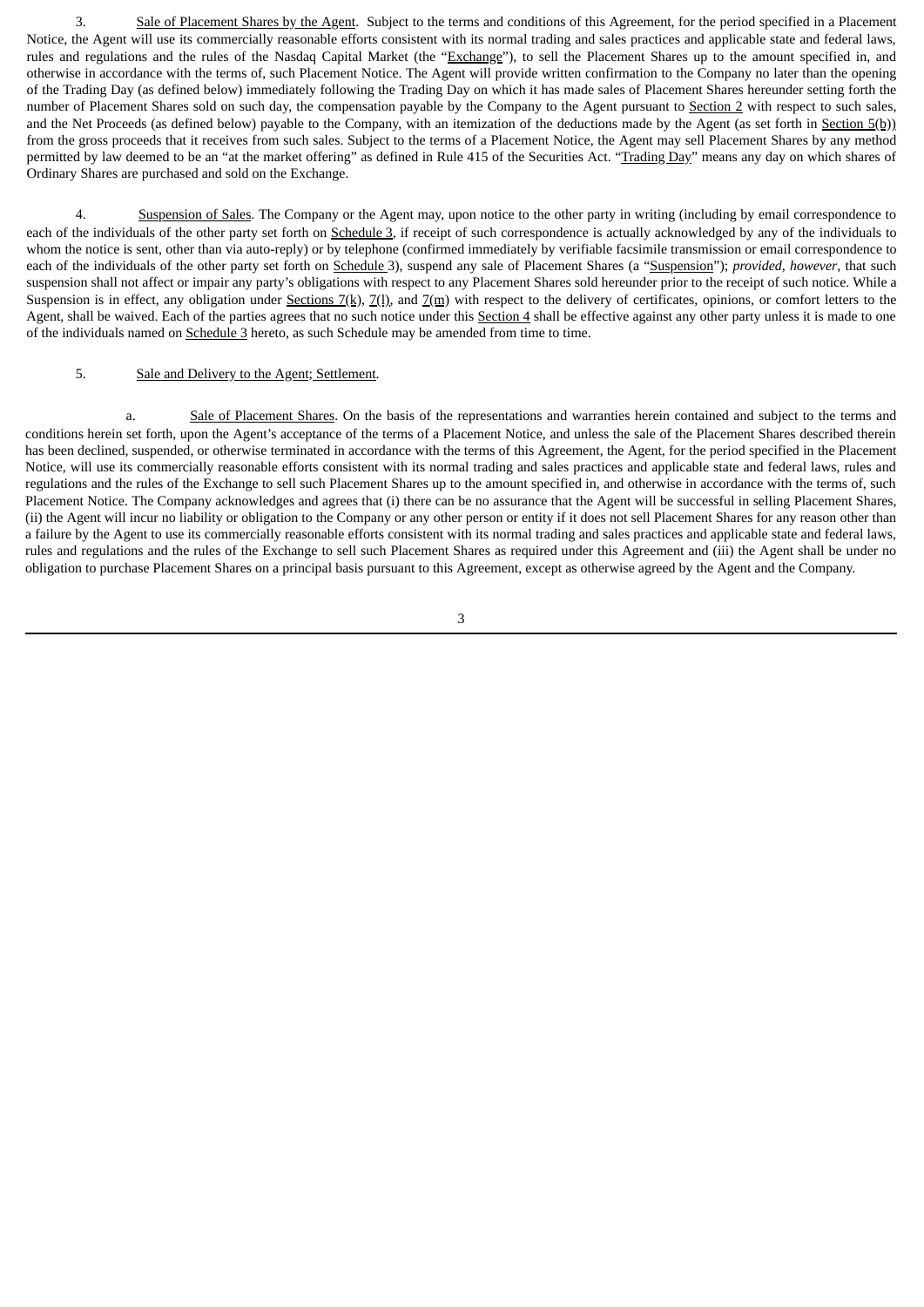3. Sale of Placement Shares by the Agent. Subject to the terms and conditions of this Agreement, for the period specified in a Placement Notice, the Agent will use its commercially reasonable efforts consistent with its normal trading and sales practices and applicable state and federal laws, rules and regulations and the rules of the Nasdaq Capital Market (the "Exchange"), to sell the Placement Shares up to the amount specified in, and otherwise in accordance with the terms of, such Placement Notice. The Agent will provide written confirmation to the Company no later than the opening of the Trading Day (as defined below) immediately following the Trading Day on which it has made sales of Placement Shares hereunder setting forth the number of Placement Shares sold on such day, the compensation payable by the Company to the Agent pursuant to Section 2 with respect to such sales, and the Net Proceeds (as defined below) payable to the Company, with an itemization of the deductions made by the Agent (as set forth in Section 5(b)) from the gross proceeds that it receives from such sales. Subject to the terms of a Placement Notice, the Agent may sell Placement Shares by any method permitted by law deemed to be an "at the market offering" as defined in Rule 415 of the Securities Act. "Trading Day" means any day on which shares of Ordinary Shares are purchased and sold on the Exchange.

4. Suspension of Sales. The Company or the Agent may, upon notice to the other party in writing (including by email correspondence to each of the individuals of the other party set forth on Schedule 3, if receipt of such correspondence is actually acknowledged by any of the individuals to whom the notice is sent, other than via auto-reply) or by telephone (confirmed immediately by verifiable facsimile transmission or email correspondence to each of the individuals of the other party set forth on Schedule 3), suspend any sale of Placement Shares (a "Suspension"); *provided, however*, that such suspension shall not affect or impair any party's obligations with respect to any Placement Shares sold hereunder prior to the receipt of such notice. While a Suspension is in effect, any obligation under Sections  $7(k)$ ,  $7(l)$ , and  $7(m)$  with respect to the delivery of certificates, opinions, or comfort letters to the Agent, shall be waived. Each of the parties agrees that no such notice under this Section 4 shall be effective against any other party unless it is made to one of the individuals named on Schedule 3 hereto, as such Schedule may be amended from time to time.

### 5. Sale and Delivery to the Agent; Settlement.

a. Sale of Placement Shares. On the basis of the representations and warranties herein contained and subject to the terms and conditions herein set forth, upon the Agent's acceptance of the terms of a Placement Notice, and unless the sale of the Placement Shares described therein has been declined, suspended, or otherwise terminated in accordance with the terms of this Agreement, the Agent, for the period specified in the Placement Notice, will use its commercially reasonable efforts consistent with its normal trading and sales practices and applicable state and federal laws, rules and regulations and the rules of the Exchange to sell such Placement Shares up to the amount specified in, and otherwise in accordance with the terms of, such Placement Notice. The Company acknowledges and agrees that (i) there can be no assurance that the Agent will be successful in selling Placement Shares, (ii) the Agent will incur no liability or obligation to the Company or any other person or entity if it does not sell Placement Shares for any reason other than a failure by the Agent to use its commercially reasonable efforts consistent with its normal trading and sales practices and applicable state and federal laws, rules and regulations and the rules of the Exchange to sell such Placement Shares as required under this Agreement and (iii) the Agent shall be under no obligation to purchase Placement Shares on a principal basis pursuant to this Agreement, except as otherwise agreed by the Agent and the Company.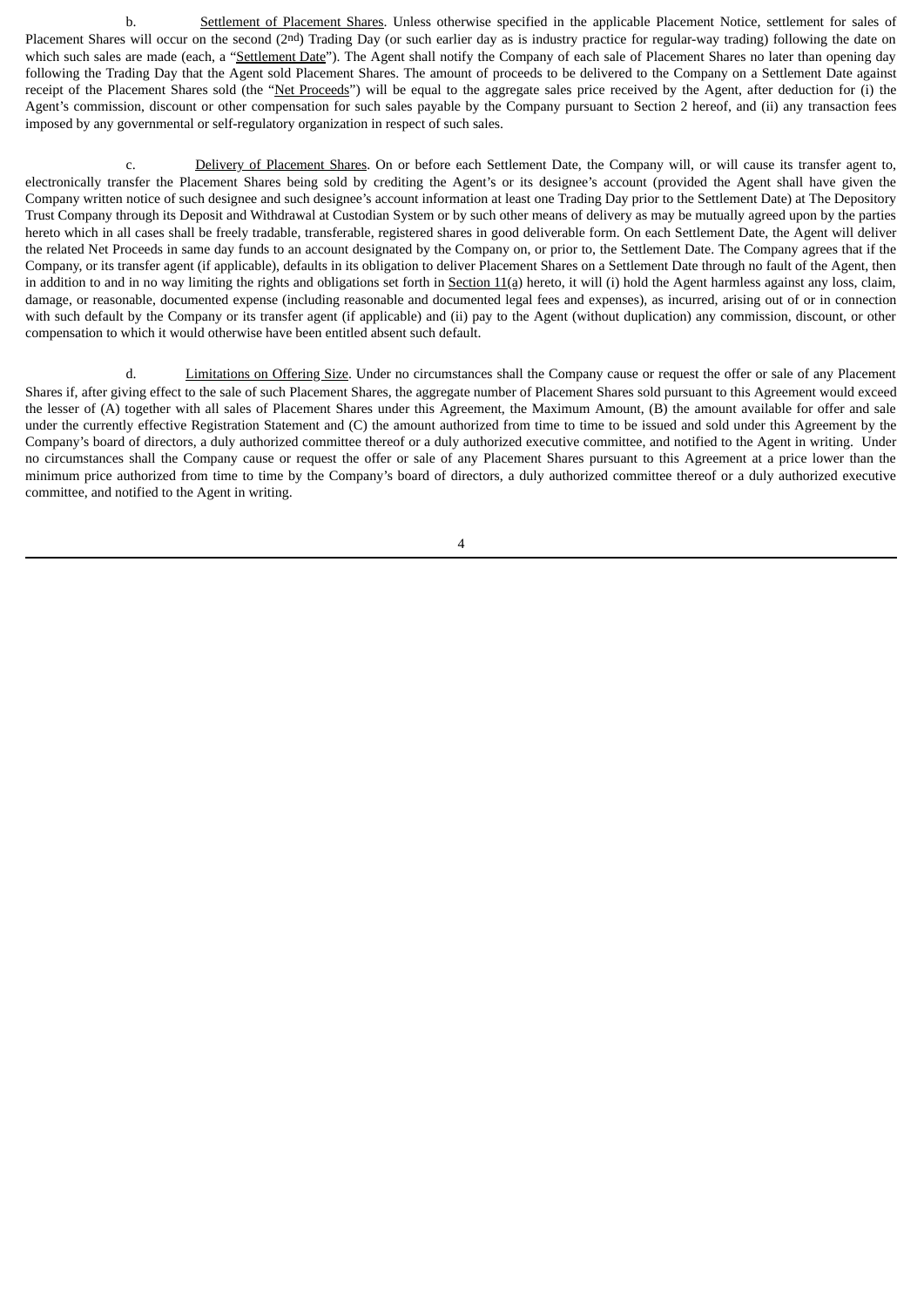b. Settlement of Placement Shares. Unless otherwise specified in the applicable Placement Notice, settlement for sales of Placement Shares will occur on the second (2<sup>nd</sup>) Trading Day (or such earlier day as is industry practice for regular-way trading) following the date on which such sales are made (each, a "Settlement Date"). The Agent shall notify the Company of each sale of Placement Shares no later than opening day following the Trading Day that the Agent sold Placement Shares. The amount of proceeds to be delivered to the Company on a Settlement Date against receipt of the Placement Shares sold (the "Net Proceeds") will be equal to the aggregate sales price received by the Agent, after deduction for (i) the Agent's commission, discount or other compensation for such sales payable by the Company pursuant to Section 2 hereof, and (ii) any transaction fees imposed by any governmental or self-regulatory organization in respect of such sales.

c. Delivery of Placement Shares. On or before each Settlement Date, the Company will, or will cause its transfer agent to, electronically transfer the Placement Shares being sold by crediting the Agent's or its designee's account (provided the Agent shall have given the Company written notice of such designee and such designee's account information at least one Trading Day prior to the Settlement Date) at The Depository Trust Company through its Deposit and Withdrawal at Custodian System or by such other means of delivery as may be mutually agreed upon by the parties hereto which in all cases shall be freely tradable, transferable, registered shares in good deliverable form. On each Settlement Date, the Agent will deliver the related Net Proceeds in same day funds to an account designated by the Company on, or prior to, the Settlement Date. The Company agrees that if the Company, or its transfer agent (if applicable), defaults in its obligation to deliver Placement Shares on a Settlement Date through no fault of the Agent, then in addition to and in no way limiting the rights and obligations set forth in Section 11(a) hereto, it will (i) hold the Agent harmless against any loss, claim, damage, or reasonable, documented expense (including reasonable and documented legal fees and expenses), as incurred, arising out of or in connection with such default by the Company or its transfer agent (if applicable) and (ii) pay to the Agent (without duplication) any commission, discount, or other compensation to which it would otherwise have been entitled absent such default.

d. Limitations on Offering Size. Under no circumstances shall the Company cause or request the offer or sale of any Placement Shares if, after giving effect to the sale of such Placement Shares, the aggregate number of Placement Shares sold pursuant to this Agreement would exceed the lesser of (A) together with all sales of Placement Shares under this Agreement, the Maximum Amount, (B) the amount available for offer and sale under the currently effective Registration Statement and (C) the amount authorized from time to time to be issued and sold under this Agreement by the Company's board of directors, a duly authorized committee thereof or a duly authorized executive committee, and notified to the Agent in writing. Under no circumstances shall the Company cause or request the offer or sale of any Placement Shares pursuant to this Agreement at a price lower than the minimum price authorized from time to time by the Company's board of directors, a duly authorized committee thereof or a duly authorized executive committee, and notified to the Agent in writing.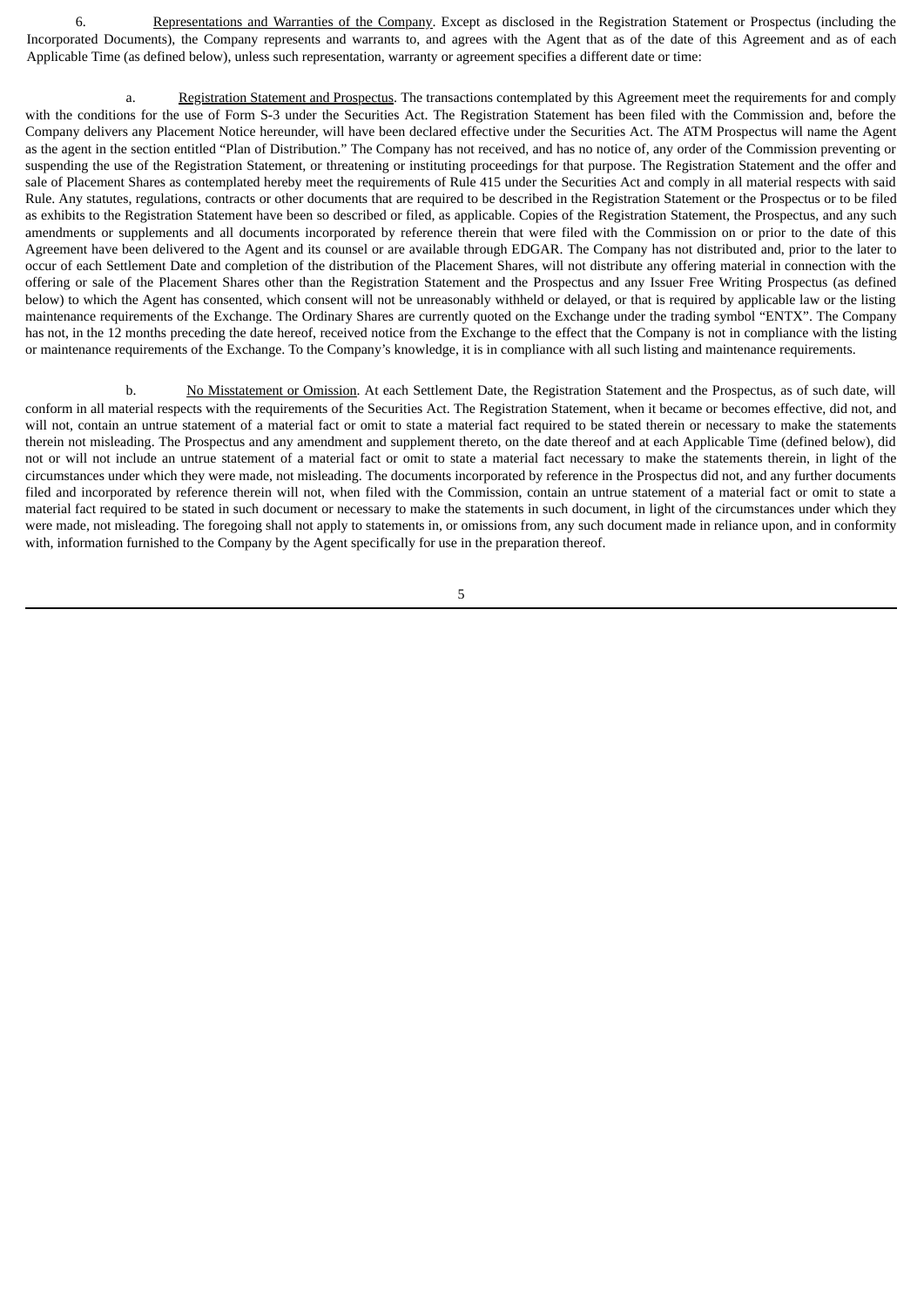6. Representations and Warranties of the Company. Except as disclosed in the Registration Statement or Prospectus (including the Incorporated Documents), the Company represents and warrants to, and agrees with the Agent that as of the date of this Agreement and as of each Applicable Time (as defined below), unless such representation, warranty or agreement specifies a different date or time:

a. Registration Statement and Prospectus. The transactions contemplated by this Agreement meet the requirements for and comply with the conditions for the use of Form S-3 under the Securities Act. The Registration Statement has been filed with the Commission and, before the Company delivers any Placement Notice hereunder, will have been declared effective under the Securities Act. The ATM Prospectus will name the Agent as the agent in the section entitled "Plan of Distribution." The Company has not received, and has no notice of, any order of the Commission preventing or suspending the use of the Registration Statement, or threatening or instituting proceedings for that purpose. The Registration Statement and the offer and sale of Placement Shares as contemplated hereby meet the requirements of Rule 415 under the Securities Act and comply in all material respects with said Rule. Any statutes, regulations, contracts or other documents that are required to be described in the Registration Statement or the Prospectus or to be filed as exhibits to the Registration Statement have been so described or filed, as applicable. Copies of the Registration Statement, the Prospectus, and any such amendments or supplements and all documents incorporated by reference therein that were filed with the Commission on or prior to the date of this Agreement have been delivered to the Agent and its counsel or are available through EDGAR. The Company has not distributed and, prior to the later to occur of each Settlement Date and completion of the distribution of the Placement Shares, will not distribute any offering material in connection with the offering or sale of the Placement Shares other than the Registration Statement and the Prospectus and any Issuer Free Writing Prospectus (as defined below) to which the Agent has consented, which consent will not be unreasonably withheld or delayed, or that is required by applicable law or the listing maintenance requirements of the Exchange. The Ordinary Shares are currently quoted on the Exchange under the trading symbol "ENTX". The Company has not, in the 12 months preceding the date hereof, received notice from the Exchange to the effect that the Company is not in compliance with the listing or maintenance requirements of the Exchange. To the Company's knowledge, it is in compliance with all such listing and maintenance requirements.

b. No Misstatement or Omission. At each Settlement Date, the Registration Statement and the Prospectus, as of such date, will conform in all material respects with the requirements of the Securities Act. The Registration Statement, when it became or becomes effective, did not, and will not, contain an untrue statement of a material fact or omit to state a material fact required to be stated therein or necessary to make the statements therein not misleading. The Prospectus and any amendment and supplement thereto, on the date thereof and at each Applicable Time (defined below), did not or will not include an untrue statement of a material fact or omit to state a material fact necessary to make the statements therein, in light of the circumstances under which they were made, not misleading. The documents incorporated by reference in the Prospectus did not, and any further documents filed and incorporated by reference therein will not, when filed with the Commission, contain an untrue statement of a material fact or omit to state a material fact required to be stated in such document or necessary to make the statements in such document, in light of the circumstances under which they were made, not misleading. The foregoing shall not apply to statements in, or omissions from, any such document made in reliance upon, and in conformity with, information furnished to the Company by the Agent specifically for use in the preparation thereof.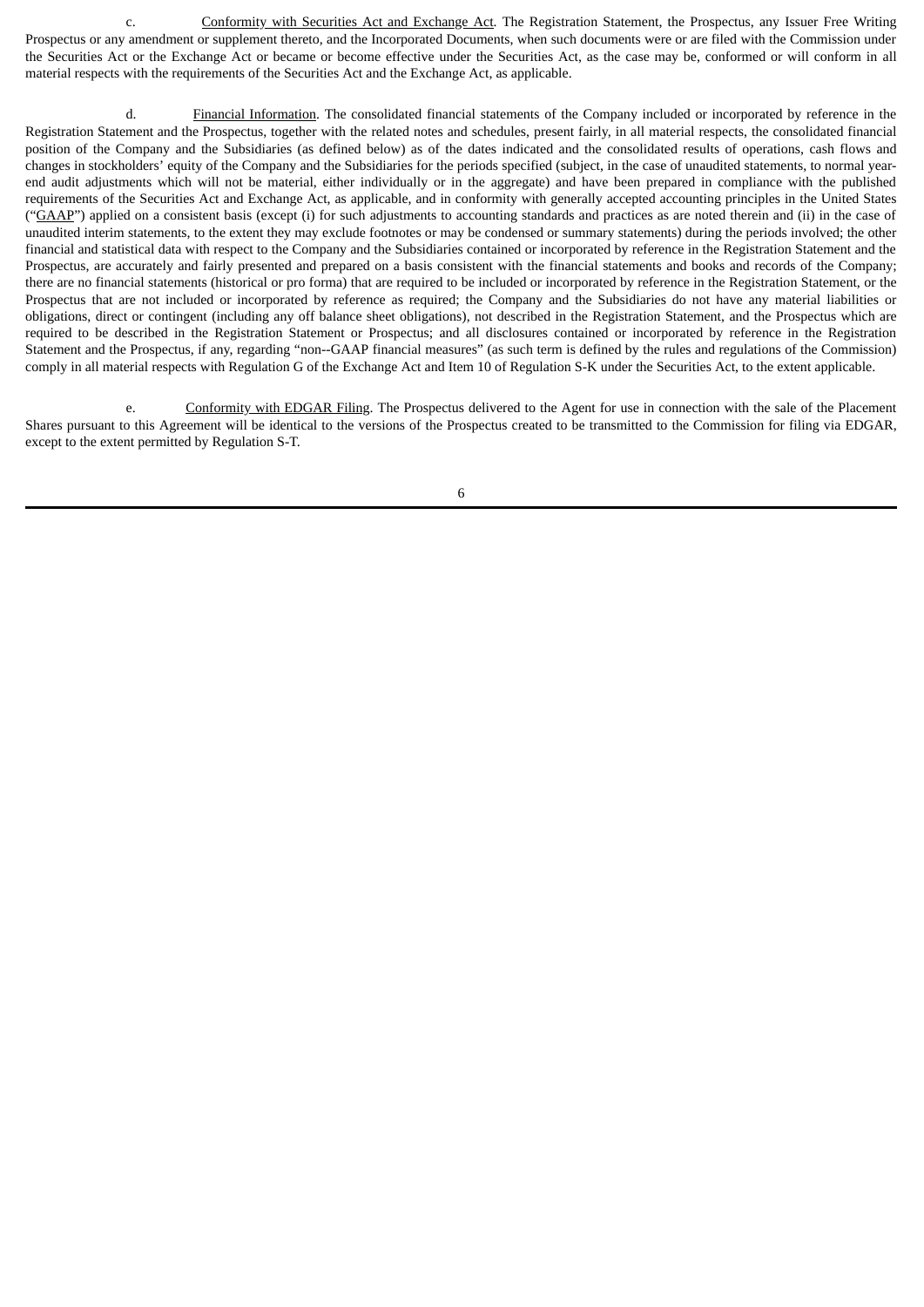c. **Conformity with Securities Act and Exchange Act**. The Registration Statement, the Prospectus, any Issuer Free Writing Prospectus or any amendment or supplement thereto, and the Incorporated Documents, when such documents were or are filed with the Commission under the Securities Act or the Exchange Act or became or become effective under the Securities Act, as the case may be, conformed or will conform in all material respects with the requirements of the Securities Act and the Exchange Act, as applicable.

d. Financial Information. The consolidated financial statements of the Company included or incorporated by reference in the Registration Statement and the Prospectus, together with the related notes and schedules, present fairly, in all material respects, the consolidated financial position of the Company and the Subsidiaries (as defined below) as of the dates indicated and the consolidated results of operations, cash flows and changes in stockholders' equity of the Company and the Subsidiaries for the periods specified (subject, in the case of unaudited statements, to normal yearend audit adjustments which will not be material, either individually or in the aggregate) and have been prepared in compliance with the published requirements of the Securities Act and Exchange Act, as applicable, and in conformity with generally accepted accounting principles in the United States ("GAAP") applied on a consistent basis (except (i) for such adjustments to accounting standards and practices as are noted therein and (ii) in the case of unaudited interim statements, to the extent they may exclude footnotes or may be condensed or summary statements) during the periods involved; the other financial and statistical data with respect to the Company and the Subsidiaries contained or incorporated by reference in the Registration Statement and the Prospectus, are accurately and fairly presented and prepared on a basis consistent with the financial statements and books and records of the Company; there are no financial statements (historical or pro forma) that are required to be included or incorporated by reference in the Registration Statement, or the Prospectus that are not included or incorporated by reference as required; the Company and the Subsidiaries do not have any material liabilities or obligations, direct or contingent (including any off balance sheet obligations), not described in the Registration Statement, and the Prospectus which are required to be described in the Registration Statement or Prospectus; and all disclosures contained or incorporated by reference in the Registration Statement and the Prospectus, if any, regarding "non--GAAP financial measures" (as such term is defined by the rules and regulations of the Commission) comply in all material respects with Regulation G of the Exchange Act and Item 10 of Regulation S-K under the Securities Act, to the extent applicable.

e. Conformity with EDGAR Filing. The Prospectus delivered to the Agent for use in connection with the sale of the Placement Shares pursuant to this Agreement will be identical to the versions of the Prospectus created to be transmitted to the Commission for filing via EDGAR, except to the extent permitted by Regulation S-T.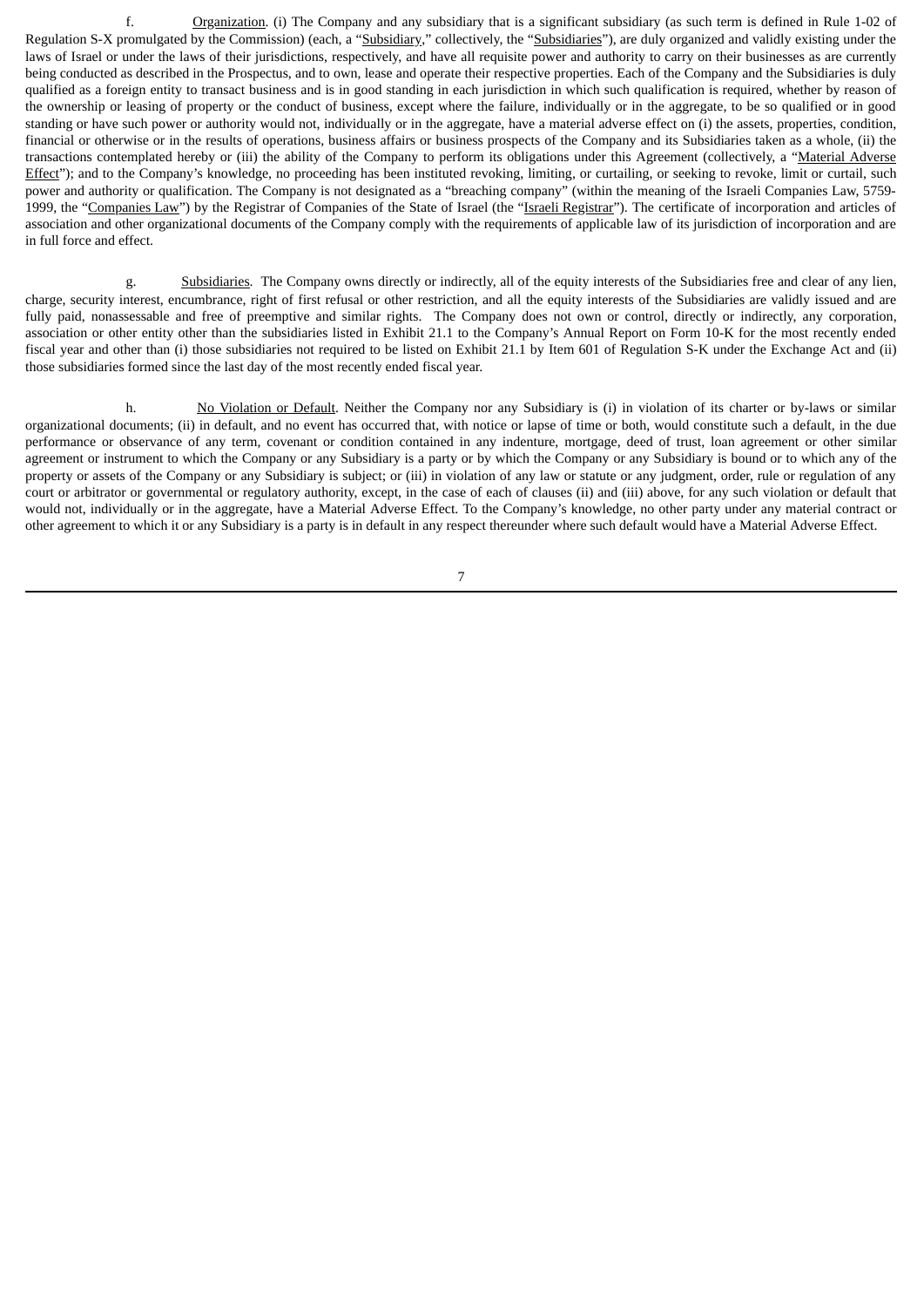f. Organization. (i) The Company and any subsidiary that is a significant subsidiary (as such term is defined in Rule 1-02 of Regulation S-X promulgated by the Commission) (each, a "Subsidiary," collectively, the "Subsidiaries"), are duly organized and validly existing under the laws of Israel or under the laws of their jurisdictions, respectively, and have all requisite power and authority to carry on their businesses as are currently being conducted as described in the Prospectus, and to own, lease and operate their respective properties. Each of the Company and the Subsidiaries is duly qualified as a foreign entity to transact business and is in good standing in each jurisdiction in which such qualification is required, whether by reason of the ownership or leasing of property or the conduct of business, except where the failure, individually or in the aggregate, to be so qualified or in good standing or have such power or authority would not, individually or in the aggregate, have a material adverse effect on (i) the assets, properties, condition, financial or otherwise or in the results of operations, business affairs or business prospects of the Company and its Subsidiaries taken as a whole, (ii) the transactions contemplated hereby or (iii) the ability of the Company to perform its obligations under this Agreement (collectively, a "Material Adverse Effect"); and to the Company's knowledge, no proceeding has been instituted revoking, limiting, or curtailing, or seeking to revoke, limit or curtail, such power and authority or qualification. The Company is not designated as a "breaching company" (within the meaning of the Israeli Companies Law, 5759- 1999, the "Companies Law") by the Registrar of Companies of the State of Israel (the "Israeli Registrar"). The certificate of incorporation and articles of association and other organizational documents of the Company comply with the requirements of applicable law of its jurisdiction of incorporation and are in full force and effect.

g. Subsidiaries. The Company owns directly or indirectly, all of the equity interests of the Subsidiaries free and clear of any lien, charge, security interest, encumbrance, right of first refusal or other restriction, and all the equity interests of the Subsidiaries are validly issued and are fully paid, nonassessable and free of preemptive and similar rights. The Company does not own or control, directly or indirectly, any corporation, association or other entity other than the subsidiaries listed in Exhibit 21.1 to the Company's Annual Report on Form 10-K for the most recently ended fiscal year and other than (i) those subsidiaries not required to be listed on Exhibit 21.1 by Item 601 of Regulation S-K under the Exchange Act and (ii) those subsidiaries formed since the last day of the most recently ended fiscal year.

h. No Violation or Default. Neither the Company nor any Subsidiary is (i) in violation of its charter or by-laws or similar organizational documents; (ii) in default, and no event has occurred that, with notice or lapse of time or both, would constitute such a default, in the due performance or observance of any term, covenant or condition contained in any indenture, mortgage, deed of trust, loan agreement or other similar agreement or instrument to which the Company or any Subsidiary is a party or by which the Company or any Subsidiary is bound or to which any of the property or assets of the Company or any Subsidiary is subject; or (iii) in violation of any law or statute or any judgment, order, rule or regulation of any court or arbitrator or governmental or regulatory authority, except, in the case of each of clauses (ii) and (iii) above, for any such violation or default that would not, individually or in the aggregate, have a Material Adverse Effect. To the Company's knowledge, no other party under any material contract or other agreement to which it or any Subsidiary is a party is in default in any respect thereunder where such default would have a Material Adverse Effect.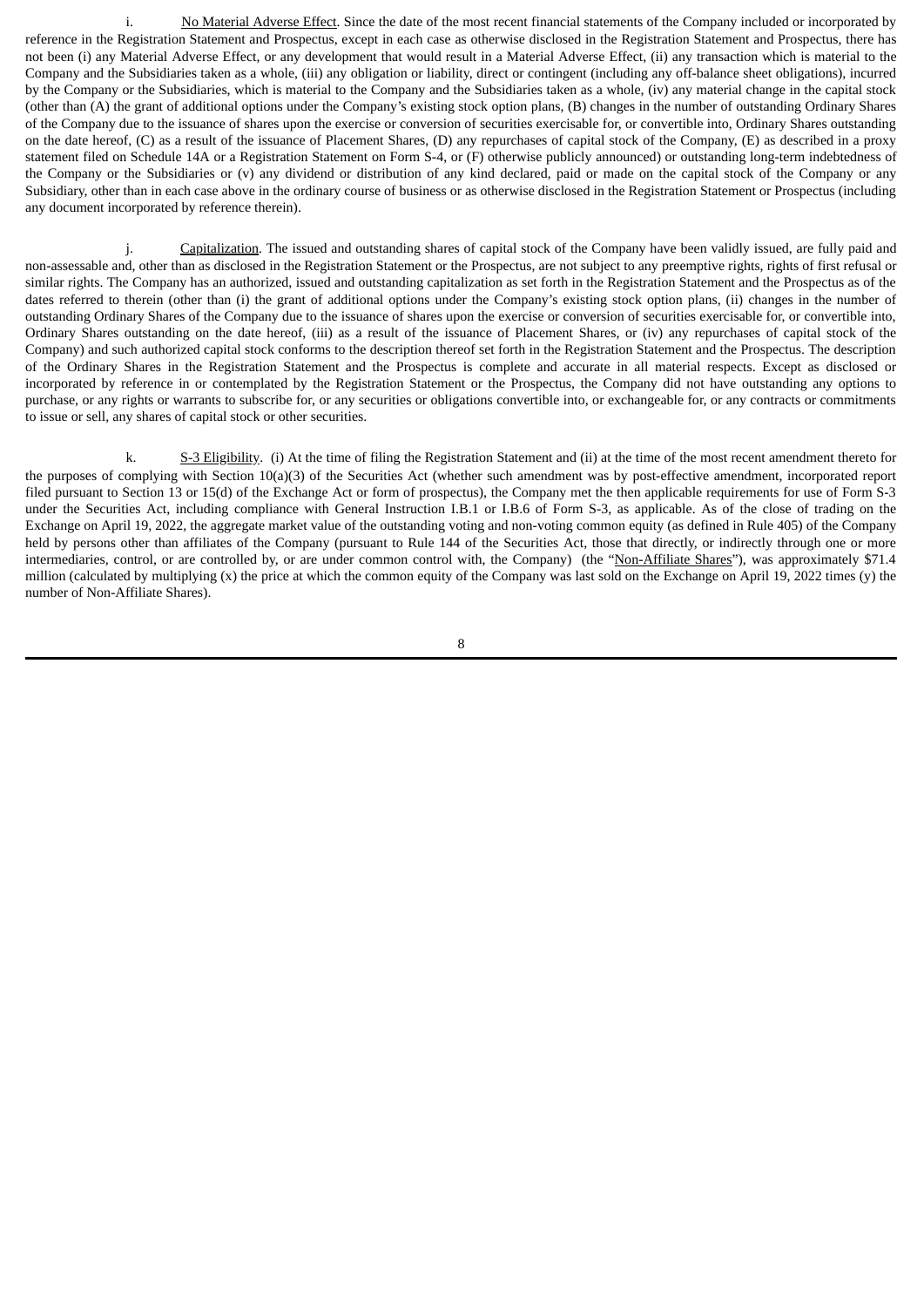i. No Material Adverse Effect. Since the date of the most recent financial statements of the Company included or incorporated by reference in the Registration Statement and Prospectus, except in each case as otherwise disclosed in the Registration Statement and Prospectus, there has not been (i) any Material Adverse Effect, or any development that would result in a Material Adverse Effect, (ii) any transaction which is material to the Company and the Subsidiaries taken as a whole, (iii) any obligation or liability, direct or contingent (including any off-balance sheet obligations), incurred by the Company or the Subsidiaries, which is material to the Company and the Subsidiaries taken as a whole, (iv) any material change in the capital stock (other than (A) the grant of additional options under the Company's existing stock option plans, (B) changes in the number of outstanding Ordinary Shares of the Company due to the issuance of shares upon the exercise or conversion of securities exercisable for, or convertible into, Ordinary Shares outstanding on the date hereof, (C) as a result of the issuance of Placement Shares, (D) any repurchases of capital stock of the Company, (E) as described in a proxy statement filed on Schedule 14A or a Registration Statement on Form S-4, or (F) otherwise publicly announced) or outstanding long-term indebtedness of the Company or the Subsidiaries or (v) any dividend or distribution of any kind declared, paid or made on the capital stock of the Company or any Subsidiary, other than in each case above in the ordinary course of business or as otherwise disclosed in the Registration Statement or Prospectus (including any document incorporated by reference therein).

j. Capitalization. The issued and outstanding shares of capital stock of the Company have been validly issued, are fully paid and non-assessable and, other than as disclosed in the Registration Statement or the Prospectus, are not subject to any preemptive rights, rights of first refusal or similar rights. The Company has an authorized, issued and outstanding capitalization as set forth in the Registration Statement and the Prospectus as of the dates referred to therein (other than (i) the grant of additional options under the Company's existing stock option plans, (ii) changes in the number of outstanding Ordinary Shares of the Company due to the issuance of shares upon the exercise or conversion of securities exercisable for, or convertible into, Ordinary Shares outstanding on the date hereof, (iii) as a result of the issuance of Placement Shares, or (iv) any repurchases of capital stock of the Company) and such authorized capital stock conforms to the description thereof set forth in the Registration Statement and the Prospectus. The description of the Ordinary Shares in the Registration Statement and the Prospectus is complete and accurate in all material respects. Except as disclosed or incorporated by reference in or contemplated by the Registration Statement or the Prospectus, the Company did not have outstanding any options to purchase, or any rights or warrants to subscribe for, or any securities or obligations convertible into, or exchangeable for, or any contracts or commitments to issue or sell, any shares of capital stock or other securities.

k. S-3 Eligibility. (i) At the time of filing the Registration Statement and (ii) at the time of the most recent amendment thereto for the purposes of complying with Section 10(a)(3) of the Securities Act (whether such amendment was by post-effective amendment, incorporated report filed pursuant to Section 13 or 15(d) of the Exchange Act or form of prospectus), the Company met the then applicable requirements for use of Form S-3 under the Securities Act, including compliance with General Instruction I.B.1 or I.B.6 of Form S-3, as applicable. As of the close of trading on the Exchange on April 19, 2022, the aggregate market value of the outstanding voting and non-voting common equity (as defined in Rule 405) of the Company held by persons other than affiliates of the Company (pursuant to Rule 144 of the Securities Act, those that directly, or indirectly through one or more intermediaries, control, or are controlled by, or are under common control with, the Company) (the "Non-Affiliate Shares"), was approximately \$71.4 million (calculated by multiplying (x) the price at which the common equity of the Company was last sold on the Exchange on April 19, 2022 times (y) the number of Non-Affiliate Shares).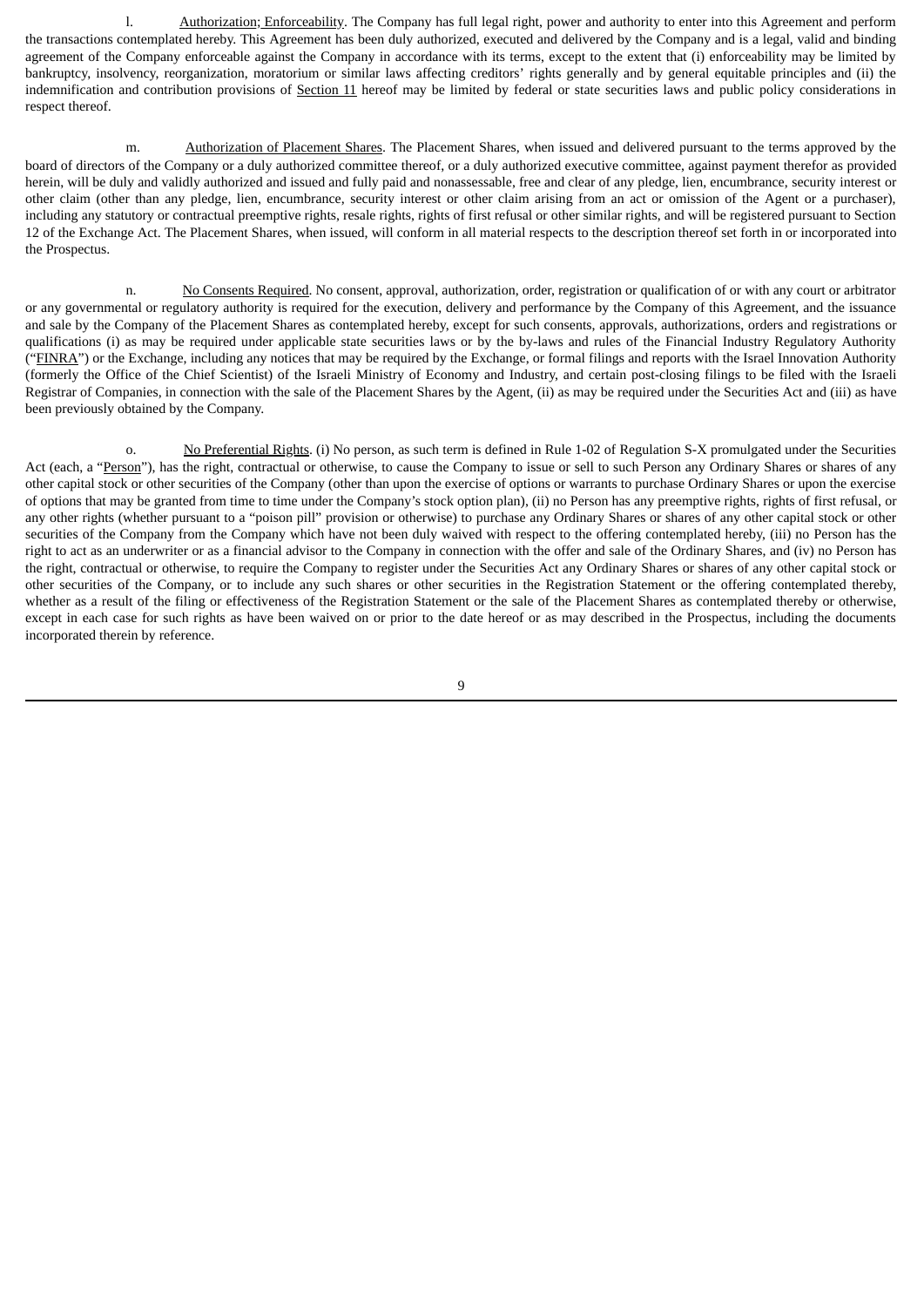l. Authorization; Enforceability. The Company has full legal right, power and authority to enter into this Agreement and perform the transactions contemplated hereby. This Agreement has been duly authorized, executed and delivered by the Company and is a legal, valid and binding agreement of the Company enforceable against the Company in accordance with its terms, except to the extent that (i) enforceability may be limited by bankruptcy, insolvency, reorganization, moratorium or similar laws affecting creditors' rights generally and by general equitable principles and (ii) the indemnification and contribution provisions of Section 11 hereof may be limited by federal or state securities laws and public policy considerations in respect thereof.

m. Authorization of Placement Shares. The Placement Shares, when issued and delivered pursuant to the terms approved by the board of directors of the Company or a duly authorized committee thereof, or a duly authorized executive committee, against payment therefor as provided herein, will be duly and validly authorized and issued and fully paid and nonassessable, free and clear of any pledge, lien, encumbrance, security interest or other claim (other than any pledge, lien, encumbrance, security interest or other claim arising from an act or omission of the Agent or a purchaser), including any statutory or contractual preemptive rights, resale rights, rights of first refusal or other similar rights, and will be registered pursuant to Section 12 of the Exchange Act. The Placement Shares, when issued, will conform in all material respects to the description thereof set forth in or incorporated into the Prospectus.

n. No Consents Required. No consent, approval, authorization, order, registration or qualification of or with any court or arbitrator or any governmental or regulatory authority is required for the execution, delivery and performance by the Company of this Agreement, and the issuance and sale by the Company of the Placement Shares as contemplated hereby, except for such consents, approvals, authorizations, orders and registrations or qualifications (i) as may be required under applicable state securities laws or by the by-laws and rules of the Financial Industry Regulatory Authority ("FINRA") or the Exchange, including any notices that may be required by the Exchange, or formal filings and reports with the Israel Innovation Authority (formerly the Office of the Chief Scientist) of the Israeli Ministry of Economy and Industry, and certain post-closing filings to be filed with the Israeli Registrar of Companies, in connection with the sale of the Placement Shares by the Agent, (ii) as may be required under the Securities Act and (iii) as have been previously obtained by the Company.

o. No Preferential Rights. (i) No person, as such term is defined in Rule 1-02 of Regulation S-X promulgated under the Securities Act (each, a "Person"), has the right, contractual or otherwise, to cause the Company to issue or sell to such Person any Ordinary Shares or shares of any other capital stock or other securities of the Company (other than upon the exercise of options or warrants to purchase Ordinary Shares or upon the exercise of options that may be granted from time to time under the Company's stock option plan), (ii) no Person has any preemptive rights, rights of first refusal, or any other rights (whether pursuant to a "poison pill" provision or otherwise) to purchase any Ordinary Shares or shares of any other capital stock or other securities of the Company from the Company which have not been duly waived with respect to the offering contemplated hereby, (iii) no Person has the right to act as an underwriter or as a financial advisor to the Company in connection with the offer and sale of the Ordinary Shares, and (iv) no Person has the right, contractual or otherwise, to require the Company to register under the Securities Act any Ordinary Shares or shares of any other capital stock or other securities of the Company, or to include any such shares or other securities in the Registration Statement or the offering contemplated thereby, whether as a result of the filing or effectiveness of the Registration Statement or the sale of the Placement Shares as contemplated thereby or otherwise, except in each case for such rights as have been waived on or prior to the date hereof or as may described in the Prospectus, including the documents incorporated therein by reference.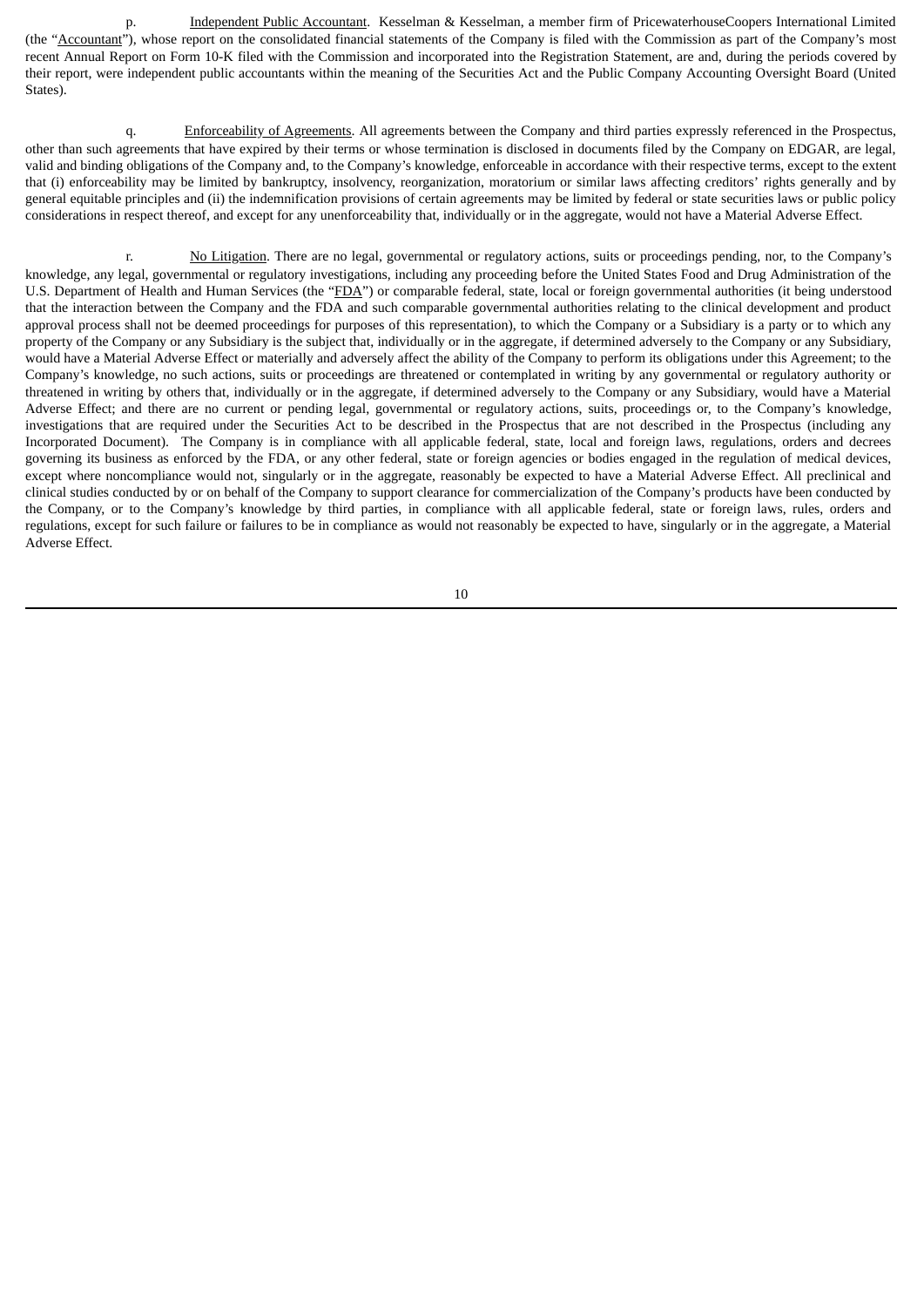p. **Independent Public Accountant**. Kesselman & Kesselman, a member firm of PricewaterhouseCoopers International Limited (the "Accountant"), whose report on the consolidated financial statements of the Company is filed with the Commission as part of the Company's most recent Annual Report on Form 10-K filed with the Commission and incorporated into the Registration Statement, are and, during the periods covered by their report, were independent public accountants within the meaning of the Securities Act and the Public Company Accounting Oversight Board (United States).

q. Enforceability of Agreements. All agreements between the Company and third parties expressly referenced in the Prospectus, other than such agreements that have expired by their terms or whose termination is disclosed in documents filed by the Company on EDGAR, are legal, valid and binding obligations of the Company and, to the Company's knowledge, enforceable in accordance with their respective terms, except to the extent that (i) enforceability may be limited by bankruptcy, insolvency, reorganization, moratorium or similar laws affecting creditors' rights generally and by general equitable principles and (ii) the indemnification provisions of certain agreements may be limited by federal or state securities laws or public policy considerations in respect thereof, and except for any unenforceability that, individually or in the aggregate, would not have a Material Adverse Effect.

r. No Litigation. There are no legal, governmental or regulatory actions, suits or proceedings pending, nor, to the Company's knowledge, any legal, governmental or regulatory investigations, including any proceeding before the United States Food and Drug Administration of the U.S. Department of Health and Human Services (the "FDA") or comparable federal, state, local or foreign governmental authorities (it being understood that the interaction between the Company and the FDA and such comparable governmental authorities relating to the clinical development and product approval process shall not be deemed proceedings for purposes of this representation), to which the Company or a Subsidiary is a party or to which any property of the Company or any Subsidiary is the subject that, individually or in the aggregate, if determined adversely to the Company or any Subsidiary, would have a Material Adverse Effect or materially and adversely affect the ability of the Company to perform its obligations under this Agreement; to the Company's knowledge, no such actions, suits or proceedings are threatened or contemplated in writing by any governmental or regulatory authority or threatened in writing by others that, individually or in the aggregate, if determined adversely to the Company or any Subsidiary, would have a Material Adverse Effect; and there are no current or pending legal, governmental or regulatory actions, suits, proceedings or, to the Company's knowledge, investigations that are required under the Securities Act to be described in the Prospectus that are not described in the Prospectus (including any Incorporated Document). The Company is in compliance with all applicable federal, state, local and foreign laws, regulations, orders and decrees governing its business as enforced by the FDA, or any other federal, state or foreign agencies or bodies engaged in the regulation of medical devices, except where noncompliance would not, singularly or in the aggregate, reasonably be expected to have a Material Adverse Effect. All preclinical and clinical studies conducted by or on behalf of the Company to support clearance for commercialization of the Company's products have been conducted by the Company, or to the Company's knowledge by third parties, in compliance with all applicable federal, state or foreign laws, rules, orders and regulations, except for such failure or failures to be in compliance as would not reasonably be expected to have, singularly or in the aggregate, a Material Adverse Effect.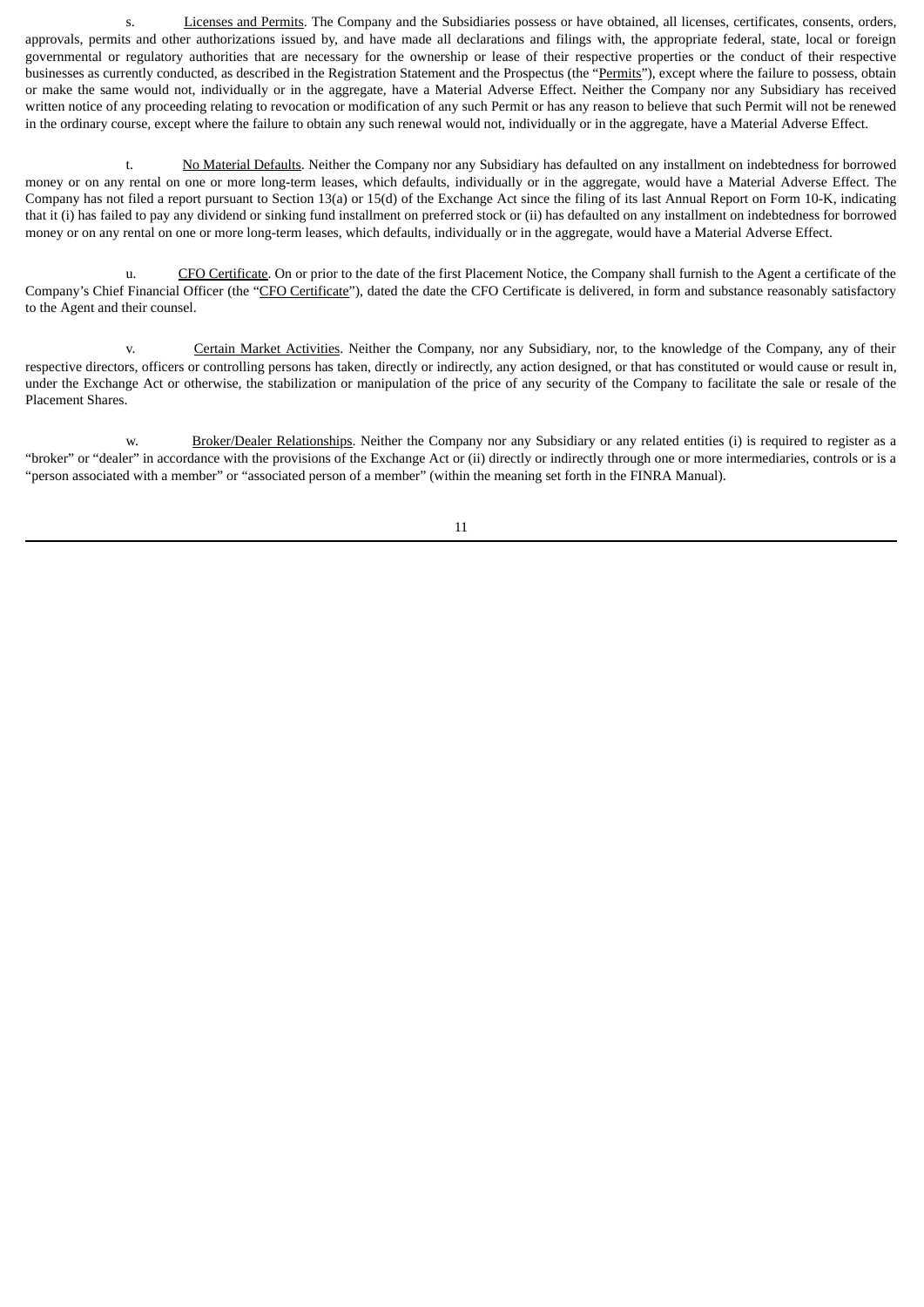s. Licenses and Permits. The Company and the Subsidiaries possess or have obtained, all licenses, certificates, consents, orders, approvals, permits and other authorizations issued by, and have made all declarations and filings with, the appropriate federal, state, local or foreign governmental or regulatory authorities that are necessary for the ownership or lease of their respective properties or the conduct of their respective businesses as currently conducted, as described in the Registration Statement and the Prospectus (the "Permits"), except where the failure to possess, obtain or make the same would not, individually or in the aggregate, have a Material Adverse Effect. Neither the Company nor any Subsidiary has received written notice of any proceeding relating to revocation or modification of any such Permit or has any reason to believe that such Permit will not be renewed in the ordinary course, except where the failure to obtain any such renewal would not, individually or in the aggregate, have a Material Adverse Effect.

t. No Material Defaults. Neither the Company nor any Subsidiary has defaulted on any installment on indebtedness for borrowed money or on any rental on one or more long-term leases, which defaults, individually or in the aggregate, would have a Material Adverse Effect. The Company has not filed a report pursuant to Section 13(a) or 15(d) of the Exchange Act since the filing of its last Annual Report on Form 10-K, indicating that it (i) has failed to pay any dividend or sinking fund installment on preferred stock or (ii) has defaulted on any installment on indebtedness for borrowed money or on any rental on one or more long-term leases, which defaults, individually or in the aggregate, would have a Material Adverse Effect.

u. CFO Certificate. On or prior to the date of the first Placement Notice, the Company shall furnish to the Agent a certificate of the Company's Chief Financial Officer (the "CFO Certificate"), dated the date the CFO Certificate is delivered, in form and substance reasonably satisfactory to the Agent and their counsel.

v. Certain Market Activities. Neither the Company, nor any Subsidiary, nor, to the knowledge of the Company, any of their respective directors, officers or controlling persons has taken, directly or indirectly, any action designed, or that has constituted or would cause or result in, under the Exchange Act or otherwise, the stabilization or manipulation of the price of any security of the Company to facilitate the sale or resale of the Placement Shares.

w. Broker/Dealer Relationships. Neither the Company nor any Subsidiary or any related entities (i) is required to register as a "broker" or "dealer" in accordance with the provisions of the Exchange Act or (ii) directly or indirectly through one or more intermediaries, controls or is a "person associated with a member" or "associated person of a member" (within the meaning set forth in the FINRA Manual).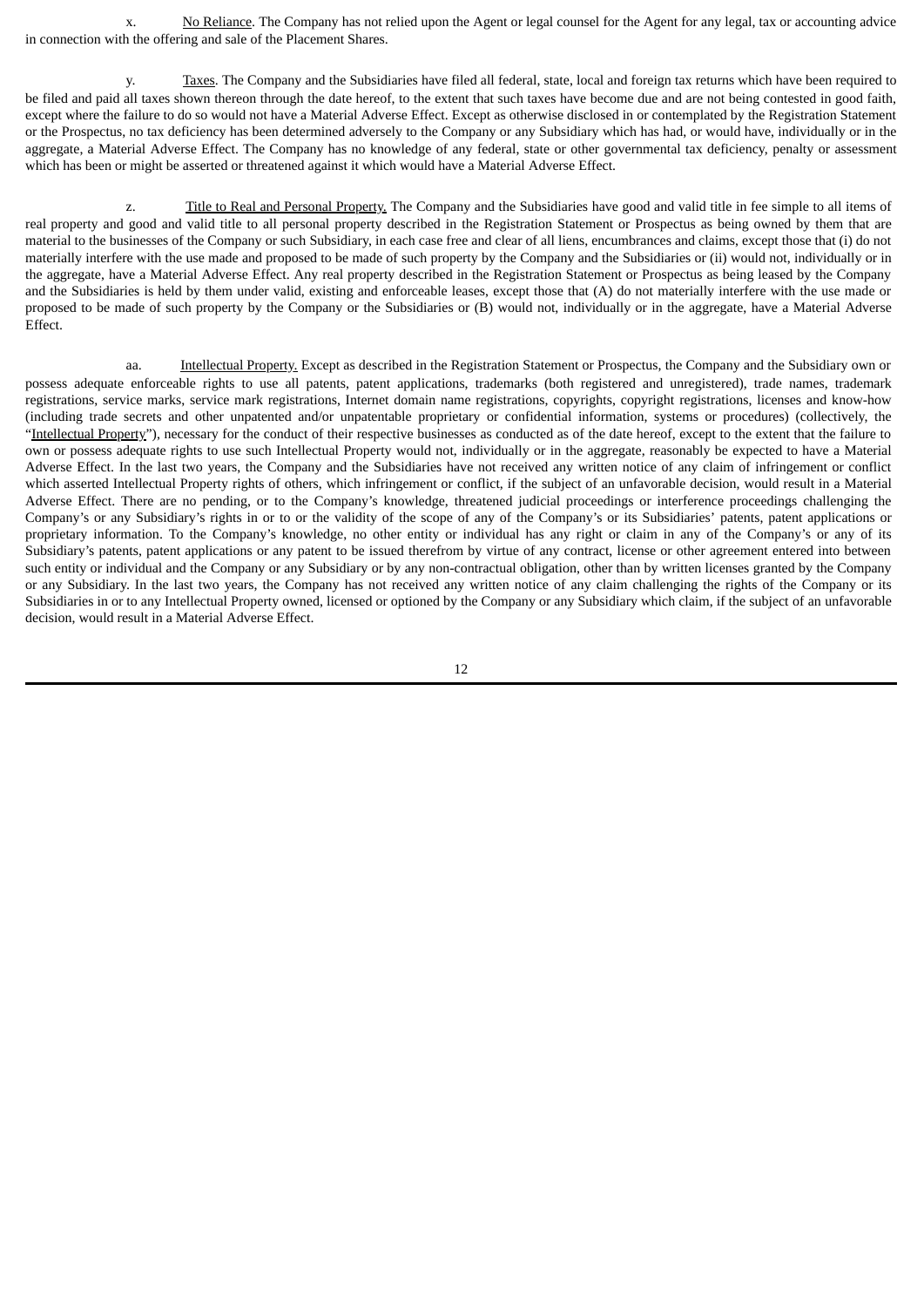x. No Reliance. The Company has not relied upon the Agent or legal counsel for the Agent for any legal, tax or accounting advice in connection with the offering and sale of the Placement Shares.

y. Taxes. The Company and the Subsidiaries have filed all federal, state, local and foreign tax returns which have been required to be filed and paid all taxes shown thereon through the date hereof, to the extent that such taxes have become due and are not being contested in good faith, except where the failure to do so would not have a Material Adverse Effect. Except as otherwise disclosed in or contemplated by the Registration Statement or the Prospectus, no tax deficiency has been determined adversely to the Company or any Subsidiary which has had, or would have, individually or in the aggregate, a Material Adverse Effect. The Company has no knowledge of any federal, state or other governmental tax deficiency, penalty or assessment which has been or might be asserted or threatened against it which would have a Material Adverse Effect.

z. Title to Real and Personal Property. The Company and the Subsidiaries have good and valid title in fee simple to all items of real property and good and valid title to all personal property described in the Registration Statement or Prospectus as being owned by them that are material to the businesses of the Company or such Subsidiary, in each case free and clear of all liens, encumbrances and claims, except those that (i) do not materially interfere with the use made and proposed to be made of such property by the Company and the Subsidiaries or (ii) would not, individually or in the aggregate, have a Material Adverse Effect. Any real property described in the Registration Statement or Prospectus as being leased by the Company and the Subsidiaries is held by them under valid, existing and enforceable leases, except those that (A) do not materially interfere with the use made or proposed to be made of such property by the Company or the Subsidiaries or (B) would not, individually or in the aggregate, have a Material Adverse Effect.

aa. Intellectual Property. Except as described in the Registration Statement or Prospectus, the Company and the Subsidiary own or possess adequate enforceable rights to use all patents, patent applications, trademarks (both registered and unregistered), trade names, trademark registrations, service marks, service mark registrations, Internet domain name registrations, copyrights, copyright registrations, licenses and know-how (including trade secrets and other unpatented and/or unpatentable proprietary or confidential information, systems or procedures) (collectively, the "Intellectual Property"), necessary for the conduct of their respective businesses as conducted as of the date hereof, except to the extent that the failure to own or possess adequate rights to use such Intellectual Property would not, individually or in the aggregate, reasonably be expected to have a Material Adverse Effect. In the last two years, the Company and the Subsidiaries have not received any written notice of any claim of infringement or conflict which asserted Intellectual Property rights of others, which infringement or conflict, if the subject of an unfavorable decision, would result in a Material Adverse Effect. There are no pending, or to the Company's knowledge, threatened judicial proceedings or interference proceedings challenging the Company's or any Subsidiary's rights in or to or the validity of the scope of any of the Company's or its Subsidiaries' patents, patent applications or proprietary information. To the Company's knowledge, no other entity or individual has any right or claim in any of the Company's or any of its Subsidiary's patents, patent applications or any patent to be issued therefrom by virtue of any contract, license or other agreement entered into between such entity or individual and the Company or any Subsidiary or by any non-contractual obligation, other than by written licenses granted by the Company or any Subsidiary. In the last two years, the Company has not received any written notice of any claim challenging the rights of the Company or its Subsidiaries in or to any Intellectual Property owned, licensed or optioned by the Company or any Subsidiary which claim, if the subject of an unfavorable decision, would result in a Material Adverse Effect.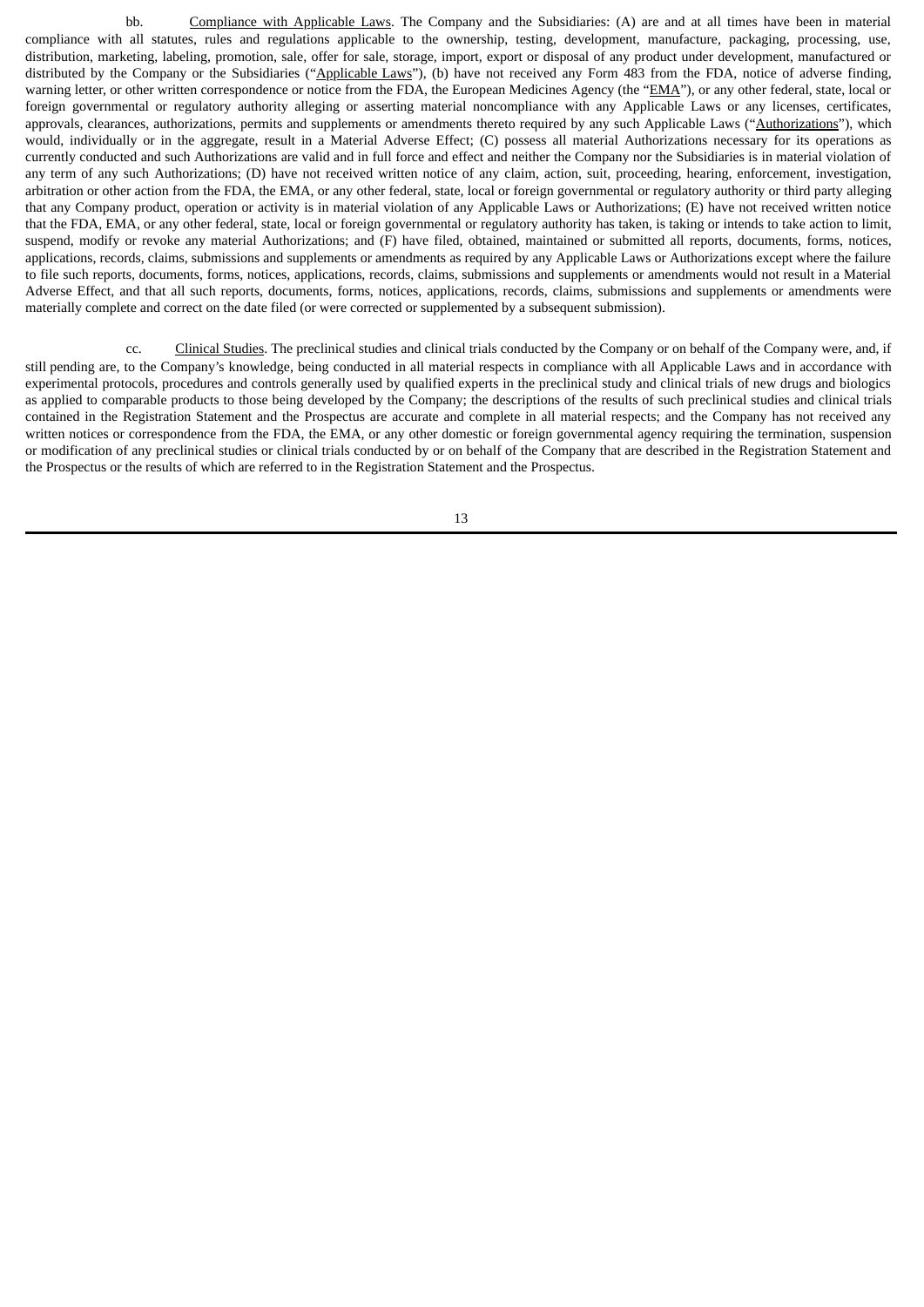bb. Compliance with Applicable Laws. The Company and the Subsidiaries: (A) are and at all times have been in material compliance with all statutes, rules and regulations applicable to the ownership, testing, development, manufacture, packaging, processing, use, distribution, marketing, labeling, promotion, sale, offer for sale, storage, import, export or disposal of any product under development, manufactured or distributed by the Company or the Subsidiaries ("Applicable Laws"), (b) have not received any Form 483 from the FDA, notice of adverse finding, warning letter, or other written correspondence or notice from the FDA, the European Medicines Agency (the "EMA"), or any other federal, state, local or foreign governmental or regulatory authority alleging or asserting material noncompliance with any Applicable Laws or any licenses, certificates, approvals, clearances, authorizations, permits and supplements or amendments thereto required by any such Applicable Laws ("Authorizations"), which would, individually or in the aggregate, result in a Material Adverse Effect; (C) possess all material Authorizations necessary for its operations as currently conducted and such Authorizations are valid and in full force and effect and neither the Company nor the Subsidiaries is in material violation of any term of any such Authorizations; (D) have not received written notice of any claim, action, suit, proceeding, hearing, enforcement, investigation, arbitration or other action from the FDA, the EMA, or any other federal, state, local or foreign governmental or regulatory authority or third party alleging that any Company product, operation or activity is in material violation of any Applicable Laws or Authorizations; (E) have not received written notice that the FDA, EMA, or any other federal, state, local or foreign governmental or regulatory authority has taken, is taking or intends to take action to limit, suspend, modify or revoke any material Authorizations; and (F) have filed, obtained, maintained or submitted all reports, documents, forms, notices, applications, records, claims, submissions and supplements or amendments as required by any Applicable Laws or Authorizations except where the failure to file such reports, documents, forms, notices, applications, records, claims, submissions and supplements or amendments would not result in a Material Adverse Effect, and that all such reports, documents, forms, notices, applications, records, claims, submissions and supplements or amendments were materially complete and correct on the date filed (or were corrected or supplemented by a subsequent submission).

cc. Clinical Studies. The preclinical studies and clinical trials conducted by the Company or on behalf of the Company were, and, if still pending are, to the Company's knowledge, being conducted in all material respects in compliance with all Applicable Laws and in accordance with experimental protocols, procedures and controls generally used by qualified experts in the preclinical study and clinical trials of new drugs and biologics as applied to comparable products to those being developed by the Company; the descriptions of the results of such preclinical studies and clinical trials contained in the Registration Statement and the Prospectus are accurate and complete in all material respects; and the Company has not received any written notices or correspondence from the FDA, the EMA, or any other domestic or foreign governmental agency requiring the termination, suspension or modification of any preclinical studies or clinical trials conducted by or on behalf of the Company that are described in the Registration Statement and the Prospectus or the results of which are referred to in the Registration Statement and the Prospectus.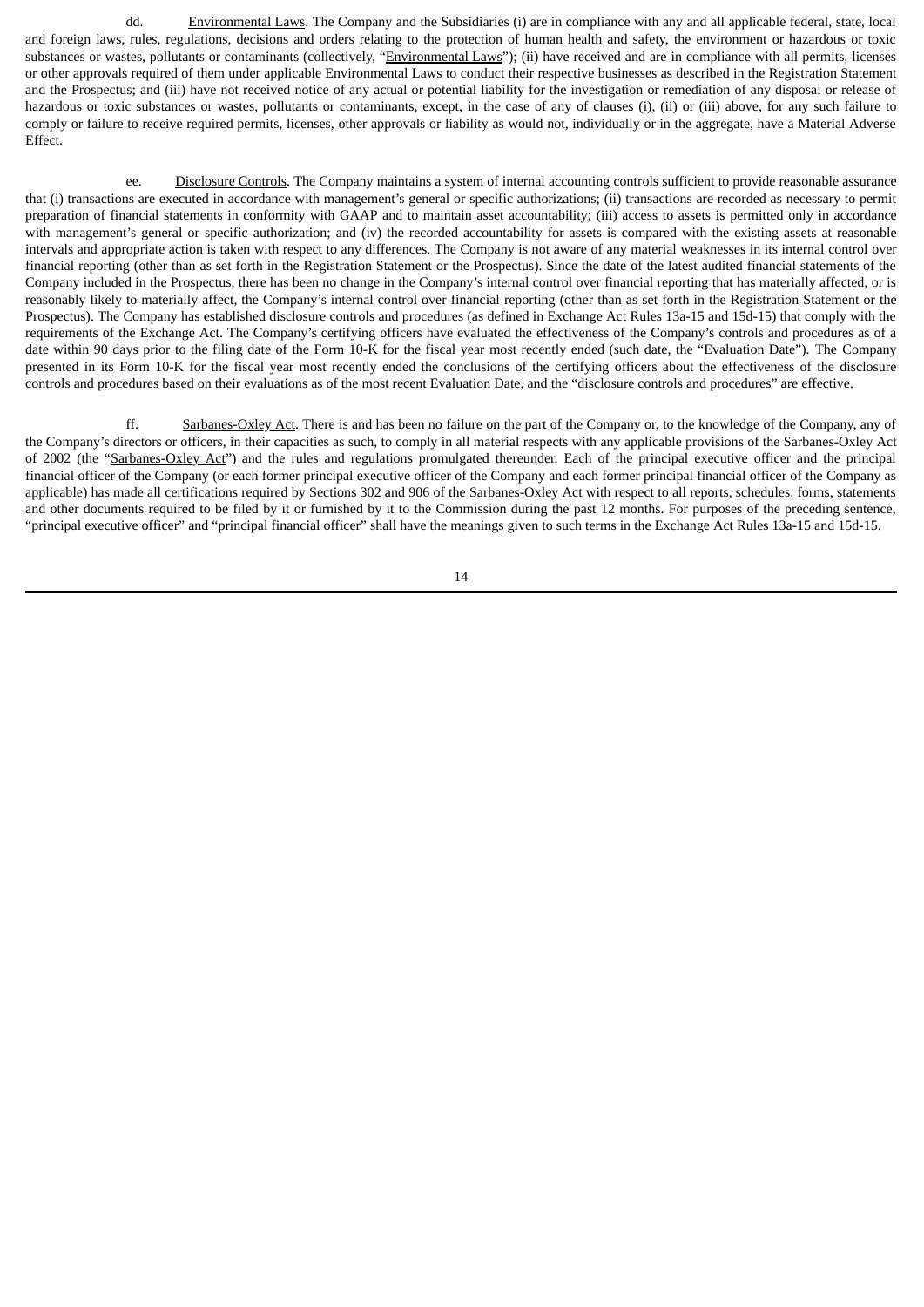dd. Environmental Laws. The Company and the Subsidiaries (i) are in compliance with any and all applicable federal, state, local and foreign laws, rules, regulations, decisions and orders relating to the protection of human health and safety, the environment or hazardous or toxic substances or wastes, pollutants or contaminants (collectively, "Environmental Laws"); (ii) have received and are in compliance with all permits, licenses or other approvals required of them under applicable Environmental Laws to conduct their respective businesses as described in the Registration Statement and the Prospectus; and (iii) have not received notice of any actual or potential liability for the investigation or remediation of any disposal or release of hazardous or toxic substances or wastes, pollutants or contaminants, except, in the case of any of clauses (i), (ii) or (iii) above, for any such failure to comply or failure to receive required permits, licenses, other approvals or liability as would not, individually or in the aggregate, have a Material Adverse Effect.

ee. Disclosure Controls. The Company maintains a system of internal accounting controls sufficient to provide reasonable assurance that (i) transactions are executed in accordance with management's general or specific authorizations; (ii) transactions are recorded as necessary to permit preparation of financial statements in conformity with GAAP and to maintain asset accountability; (iii) access to assets is permitted only in accordance with management's general or specific authorization; and (iv) the recorded accountability for assets is compared with the existing assets at reasonable intervals and appropriate action is taken with respect to any differences. The Company is not aware of any material weaknesses in its internal control over financial reporting (other than as set forth in the Registration Statement or the Prospectus). Since the date of the latest audited financial statements of the Company included in the Prospectus, there has been no change in the Company's internal control over financial reporting that has materially affected, or is reasonably likely to materially affect, the Company's internal control over financial reporting (other than as set forth in the Registration Statement or the Prospectus). The Company has established disclosure controls and procedures (as defined in Exchange Act Rules 13a-15 and 15d-15) that comply with the requirements of the Exchange Act. The Company's certifying officers have evaluated the effectiveness of the Company's controls and procedures as of a date within 90 days prior to the filing date of the Form 10-K for the fiscal year most recently ended (such date, the "Evaluation Date"). The Company presented in its Form 10-K for the fiscal year most recently ended the conclusions of the certifying officers about the effectiveness of the disclosure controls and procedures based on their evaluations as of the most recent Evaluation Date, and the "disclosure controls and procedures" are effective.

ff. Sarbanes-Oxley Act. There is and has been no failure on the part of the Company or, to the knowledge of the Company, any of the Company's directors or officers, in their capacities as such, to comply in all material respects with any applicable provisions of the Sarbanes-Oxley Act of 2002 (the "Sarbanes-Oxley Act") and the rules and regulations promulgated thereunder. Each of the principal executive officer and the principal financial officer of the Company (or each former principal executive officer of the Company and each former principal financial officer of the Company as applicable) has made all certifications required by Sections 302 and 906 of the Sarbanes-Oxley Act with respect to all reports, schedules, forms, statements and other documents required to be filed by it or furnished by it to the Commission during the past 12 months. For purposes of the preceding sentence, "principal executive officer" and "principal financial officer" shall have the meanings given to such terms in the Exchange Act Rules 13a-15 and 15d-15.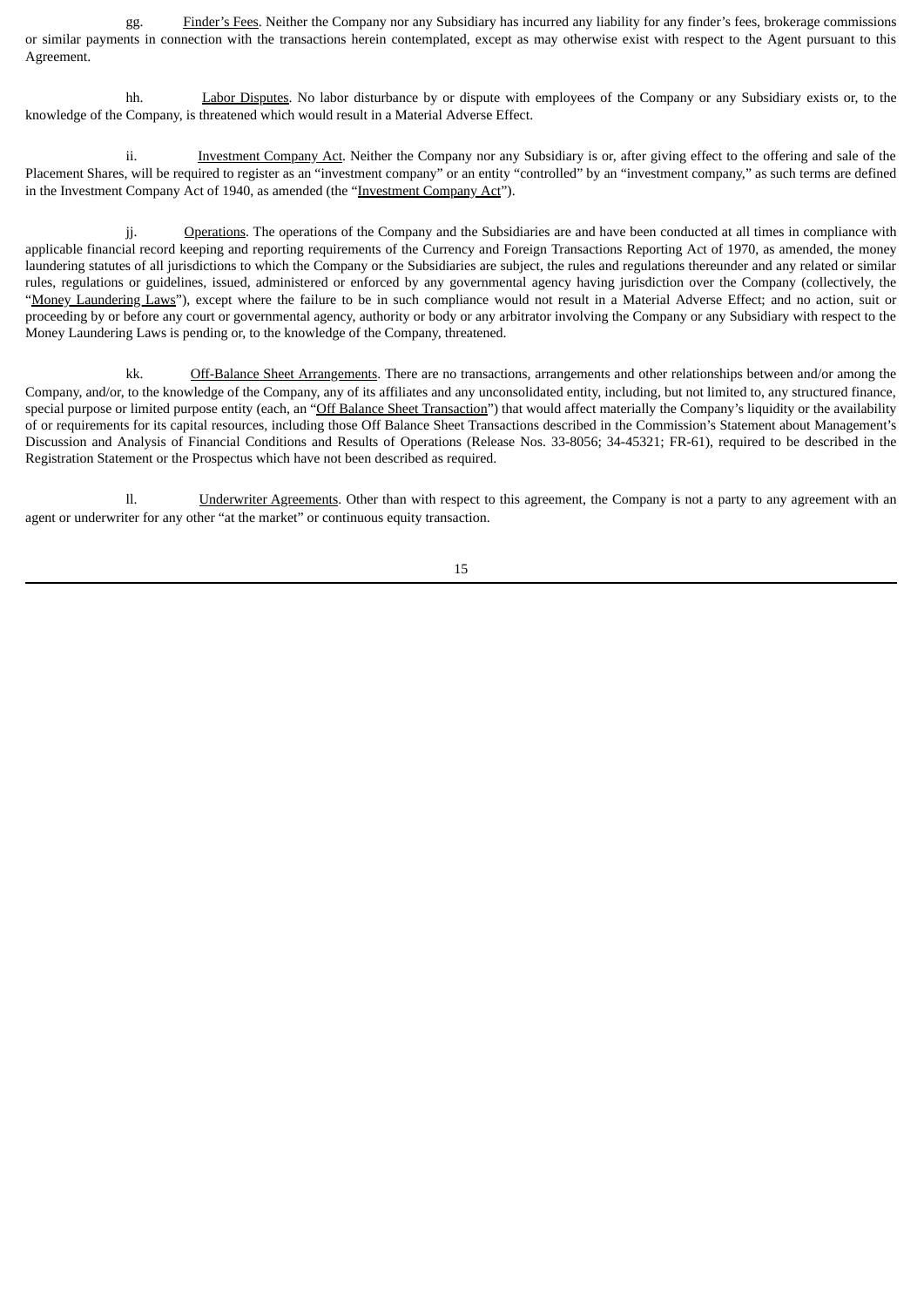gg. Finder's Fees. Neither the Company nor any Subsidiary has incurred any liability for any finder's fees, brokerage commissions or similar payments in connection with the transactions herein contemplated, except as may otherwise exist with respect to the Agent pursuant to this Agreement.

hh. Labor Disputes. No labor disturbance by or dispute with employees of the Company or any Subsidiary exists or, to the knowledge of the Company, is threatened which would result in a Material Adverse Effect.

ii. Investment Company Act. Neither the Company nor any Subsidiary is or, after giving effect to the offering and sale of the Placement Shares, will be required to register as an "investment company" or an entity "controlled" by an "investment company," as such terms are defined in the Investment Company Act of 1940, as amended (the "Investment Company Act").

jj. Operations. The operations of the Company and the Subsidiaries are and have been conducted at all times in compliance with applicable financial record keeping and reporting requirements of the Currency and Foreign Transactions Reporting Act of 1970, as amended, the money laundering statutes of all jurisdictions to which the Company or the Subsidiaries are subject, the rules and regulations thereunder and any related or similar rules, regulations or guidelines, issued, administered or enforced by any governmental agency having jurisdiction over the Company (collectively, the "Money Laundering Laws"), except where the failure to be in such compliance would not result in a Material Adverse Effect; and no action, suit or proceeding by or before any court or governmental agency, authority or body or any arbitrator involving the Company or any Subsidiary with respect to the Money Laundering Laws is pending or, to the knowledge of the Company, threatened.

kk. Off-Balance Sheet Arrangements. There are no transactions, arrangements and other relationships between and/or among the Company, and/or, to the knowledge of the Company, any of its affiliates and any unconsolidated entity, including, but not limited to, any structured finance, special purpose or limited purpose entity (each, an "Off Balance Sheet Transaction") that would affect materially the Company's liquidity or the availability of or requirements for its capital resources, including those Off Balance Sheet Transactions described in the Commission's Statement about Management's Discussion and Analysis of Financial Conditions and Results of Operations (Release Nos. 33-8056; 34-45321; FR-61), required to be described in the Registration Statement or the Prospectus which have not been described as required.

ll. **Underwriter Agreements**. Other than with respect to this agreement, the Company is not a party to any agreement with an agent or underwriter for any other "at the market" or continuous equity transaction.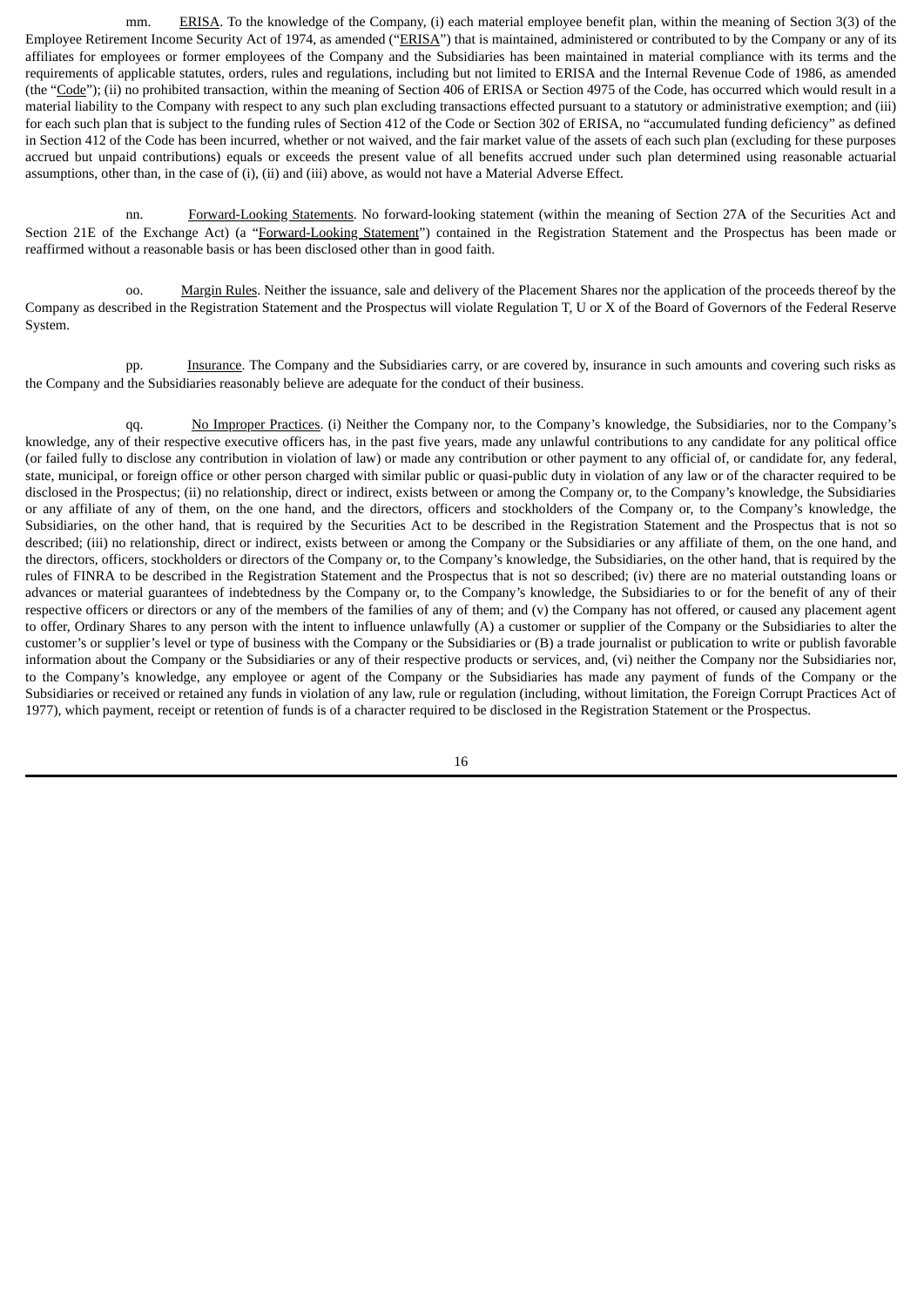mm. ERISA. To the knowledge of the Company, (i) each material employee benefit plan, within the meaning of Section 3(3) of the Employee Retirement Income Security Act of 1974, as amended ("ERISA") that is maintained, administered or contributed to by the Company or any of its affiliates for employees or former employees of the Company and the Subsidiaries has been maintained in material compliance with its terms and the requirements of applicable statutes, orders, rules and regulations, including but not limited to ERISA and the Internal Revenue Code of 1986, as amended (the "Code"); (ii) no prohibited transaction, within the meaning of Section 406 of ERISA or Section 4975 of the Code, has occurred which would result in a material liability to the Company with respect to any such plan excluding transactions effected pursuant to a statutory or administrative exemption; and (iii) for each such plan that is subject to the funding rules of Section 412 of the Code or Section 302 of ERISA, no "accumulated funding deficiency" as defined in Section 412 of the Code has been incurred, whether or not waived, and the fair market value of the assets of each such plan (excluding for these purposes accrued but unpaid contributions) equals or exceeds the present value of all benefits accrued under such plan determined using reasonable actuarial assumptions, other than, in the case of (i), (ii) and (iii) above, as would not have a Material Adverse Effect.

nn. Forward-Looking Statements. No forward-looking statement (within the meaning of Section 27A of the Securities Act and Section 21E of the Exchange Act) (a "Forward-Looking Statement") contained in the Registration Statement and the Prospectus has been made or reaffirmed without a reasonable basis or has been disclosed other than in good faith.

oo. Margin Rules. Neither the issuance, sale and delivery of the Placement Shares nor the application of the proceeds thereof by the Company as described in the Registration Statement and the Prospectus will violate Regulation T, U or X of the Board of Governors of the Federal Reserve System.

pp. Insurance. The Company and the Subsidiaries carry, or are covered by, insurance in such amounts and covering such risks as the Company and the Subsidiaries reasonably believe are adequate for the conduct of their business.

qq. No Improper Practices. (i) Neither the Company nor, to the Company's knowledge, the Subsidiaries, nor to the Company's knowledge, any of their respective executive officers has, in the past five years, made any unlawful contributions to any candidate for any political office (or failed fully to disclose any contribution in violation of law) or made any contribution or other payment to any official of, or candidate for, any federal, state, municipal, or foreign office or other person charged with similar public or quasi-public duty in violation of any law or of the character required to be disclosed in the Prospectus; (ii) no relationship, direct or indirect, exists between or among the Company or, to the Company's knowledge, the Subsidiaries or any affiliate of any of them, on the one hand, and the directors, officers and stockholders of the Company or, to the Company's knowledge, the Subsidiaries, on the other hand, that is required by the Securities Act to be described in the Registration Statement and the Prospectus that is not so described; (iii) no relationship, direct or indirect, exists between or among the Company or the Subsidiaries or any affiliate of them, on the one hand, and the directors, officers, stockholders or directors of the Company or, to the Company's knowledge, the Subsidiaries, on the other hand, that is required by the rules of FINRA to be described in the Registration Statement and the Prospectus that is not so described; (iv) there are no material outstanding loans or advances or material guarantees of indebtedness by the Company or, to the Company's knowledge, the Subsidiaries to or for the benefit of any of their respective officers or directors or any of the members of the families of any of them; and (v) the Company has not offered, or caused any placement agent to offer, Ordinary Shares to any person with the intent to influence unlawfully (A) a customer or supplier of the Company or the Subsidiaries to alter the customer's or supplier's level or type of business with the Company or the Subsidiaries or (B) a trade journalist or publication to write or publish favorable information about the Company or the Subsidiaries or any of their respective products or services, and, (vi) neither the Company nor the Subsidiaries nor, to the Company's knowledge, any employee or agent of the Company or the Subsidiaries has made any payment of funds of the Company or the Subsidiaries or received or retained any funds in violation of any law, rule or regulation (including, without limitation, the Foreign Corrupt Practices Act of 1977), which payment, receipt or retention of funds is of a character required to be disclosed in the Registration Statement or the Prospectus.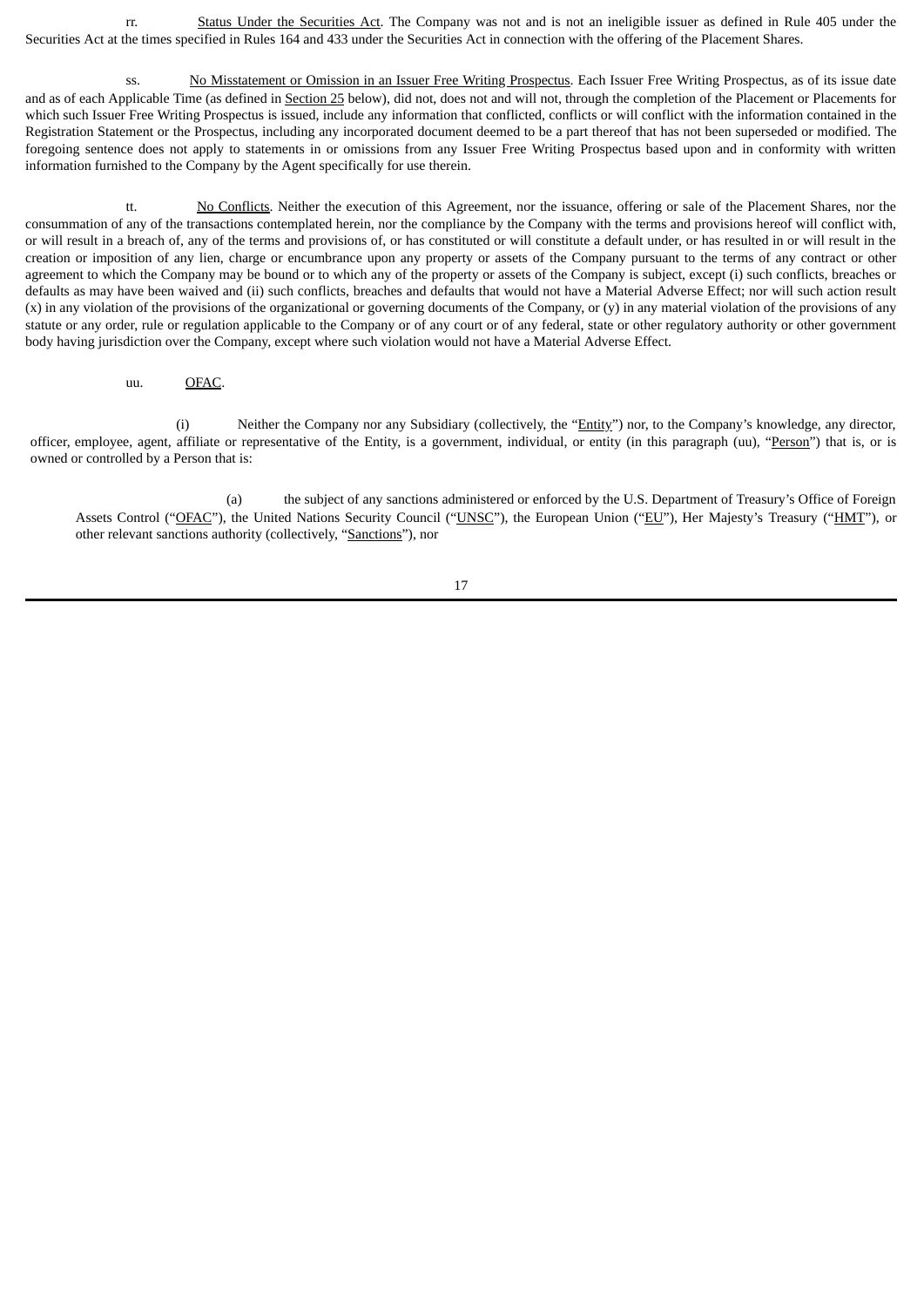rr. Status Under the Securities Act. The Company was not and is not an ineligible issuer as defined in Rule 405 under the Securities Act at the times specified in Rules 164 and 433 under the Securities Act in connection with the offering of the Placement Shares.

ss. No Misstatement or Omission in an Issuer Free Writing Prospectus. Each Issuer Free Writing Prospectus, as of its issue date and as of each Applicable Time (as defined in Section 25 below), did not, does not and will not, through the completion of the Placement or Placements for which such Issuer Free Writing Prospectus is issued, include any information that conflicted, conflicts or will conflict with the information contained in the Registration Statement or the Prospectus, including any incorporated document deemed to be a part thereof that has not been superseded or modified. The foregoing sentence does not apply to statements in or omissions from any Issuer Free Writing Prospectus based upon and in conformity with written information furnished to the Company by the Agent specifically for use therein.

tt. No Conflicts. Neither the execution of this Agreement, nor the issuance, offering or sale of the Placement Shares, nor the consummation of any of the transactions contemplated herein, nor the compliance by the Company with the terms and provisions hereof will conflict with, or will result in a breach of, any of the terms and provisions of, or has constituted or will constitute a default under, or has resulted in or will result in the creation or imposition of any lien, charge or encumbrance upon any property or assets of the Company pursuant to the terms of any contract or other agreement to which the Company may be bound or to which any of the property or assets of the Company is subject, except (i) such conflicts, breaches or defaults as may have been waived and (ii) such conflicts, breaches and defaults that would not have a Material Adverse Effect; nor will such action result (x) in any violation of the provisions of the organizational or governing documents of the Company, or (y) in any material violation of the provisions of any statute or any order, rule or regulation applicable to the Company or of any court or of any federal, state or other regulatory authority or other government body having jurisdiction over the Company, except where such violation would not have a Material Adverse Effect.

uu. OFAC.

(i) Neither the Company nor any Subsidiary (collectively, the "Entity") nor, to the Company's knowledge, any director, officer, employee, agent, affiliate or representative of the Entity, is a government, individual, or entity (in this paragraph (uu), "Person") that is, or is owned or controlled by a Person that is:

(a) the subject of any sanctions administered or enforced by the U.S. Department of Treasury's Office of Foreign Assets Control ("OFAC"), the United Nations Security Council ("UNSC"), the European Union ("EU"), Her Majesty's Treasury ("HMT"), or other relevant sanctions authority (collectively, "Sanctions"), nor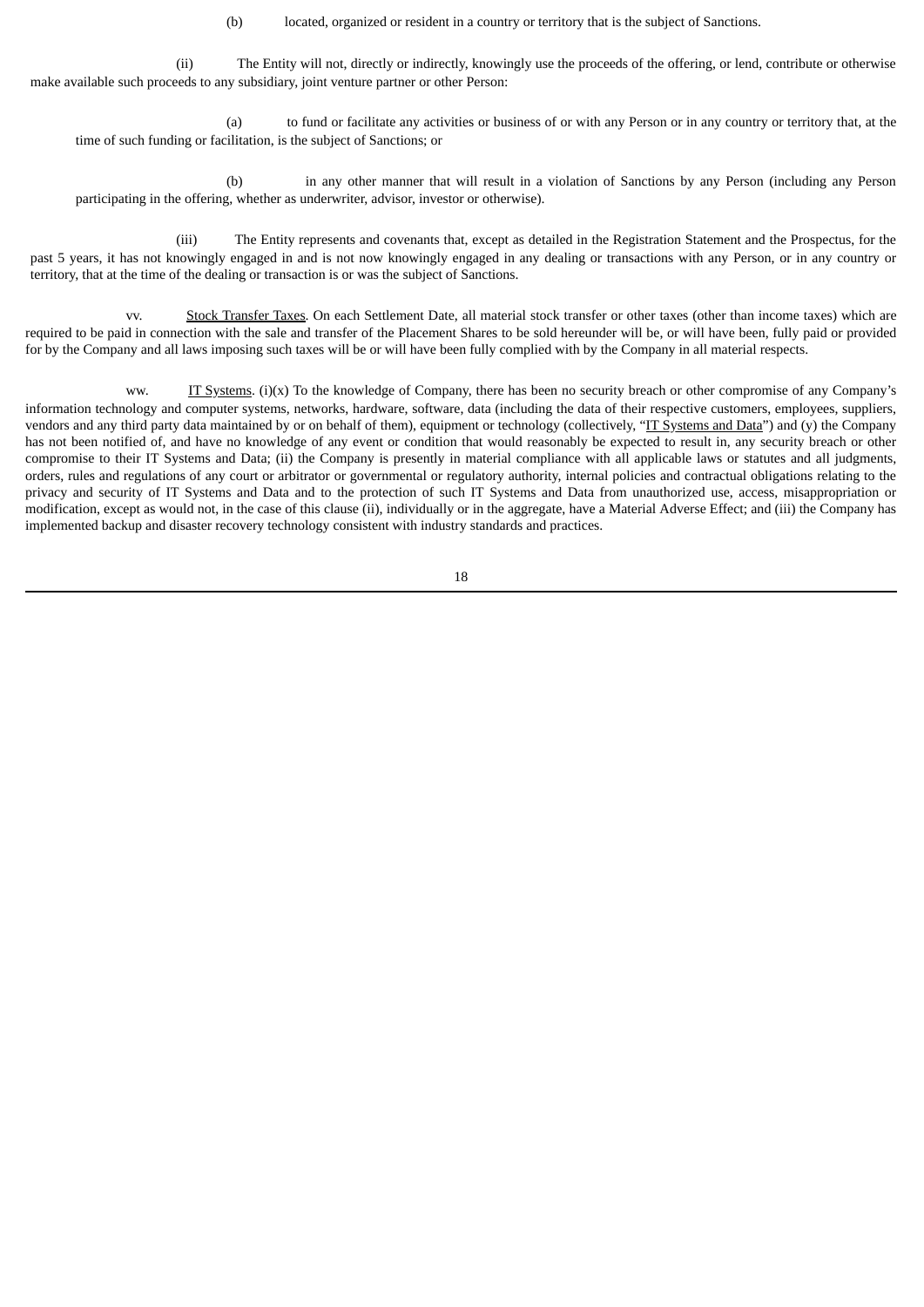(b) located, organized or resident in a country or territory that is the subject of Sanctions.

(ii) The Entity will not, directly or indirectly, knowingly use the proceeds of the offering, or lend, contribute or otherwise make available such proceeds to any subsidiary, joint venture partner or other Person:

(a) to fund or facilitate any activities or business of or with any Person or in any country or territory that, at the time of such funding or facilitation, is the subject of Sanctions; or

(b) in any other manner that will result in a violation of Sanctions by any Person (including any Person participating in the offering, whether as underwriter, advisor, investor or otherwise).

(iii) The Entity represents and covenants that, except as detailed in the Registration Statement and the Prospectus, for the past 5 years, it has not knowingly engaged in and is not now knowingly engaged in any dealing or transactions with any Person, or in any country or territory, that at the time of the dealing or transaction is or was the subject of Sanctions.

vv. Stock Transfer Taxes. On each Settlement Date, all material stock transfer or other taxes (other than income taxes) which are required to be paid in connection with the sale and transfer of the Placement Shares to be sold hereunder will be, or will have been, fully paid or provided for by the Company and all laws imposing such taxes will be or will have been fully complied with by the Company in all material respects.

ww. IT Systems.  $(i)(x)$  To the knowledge of Company, there has been no security breach or other compromise of any Company's information technology and computer systems, networks, hardware, software, data (including the data of their respective customers, employees, suppliers, vendors and any third party data maintained by or on behalf of them), equipment or technology (collectively, "IT Systems and Data") and (y) the Company has not been notified of, and have no knowledge of any event or condition that would reasonably be expected to result in, any security breach or other compromise to their IT Systems and Data; (ii) the Company is presently in material compliance with all applicable laws or statutes and all judgments, orders, rules and regulations of any court or arbitrator or governmental or regulatory authority, internal policies and contractual obligations relating to the privacy and security of IT Systems and Data and to the protection of such IT Systems and Data from unauthorized use, access, misappropriation or modification, except as would not, in the case of this clause (ii), individually or in the aggregate, have a Material Adverse Effect; and (iii) the Company has implemented backup and disaster recovery technology consistent with industry standards and practices.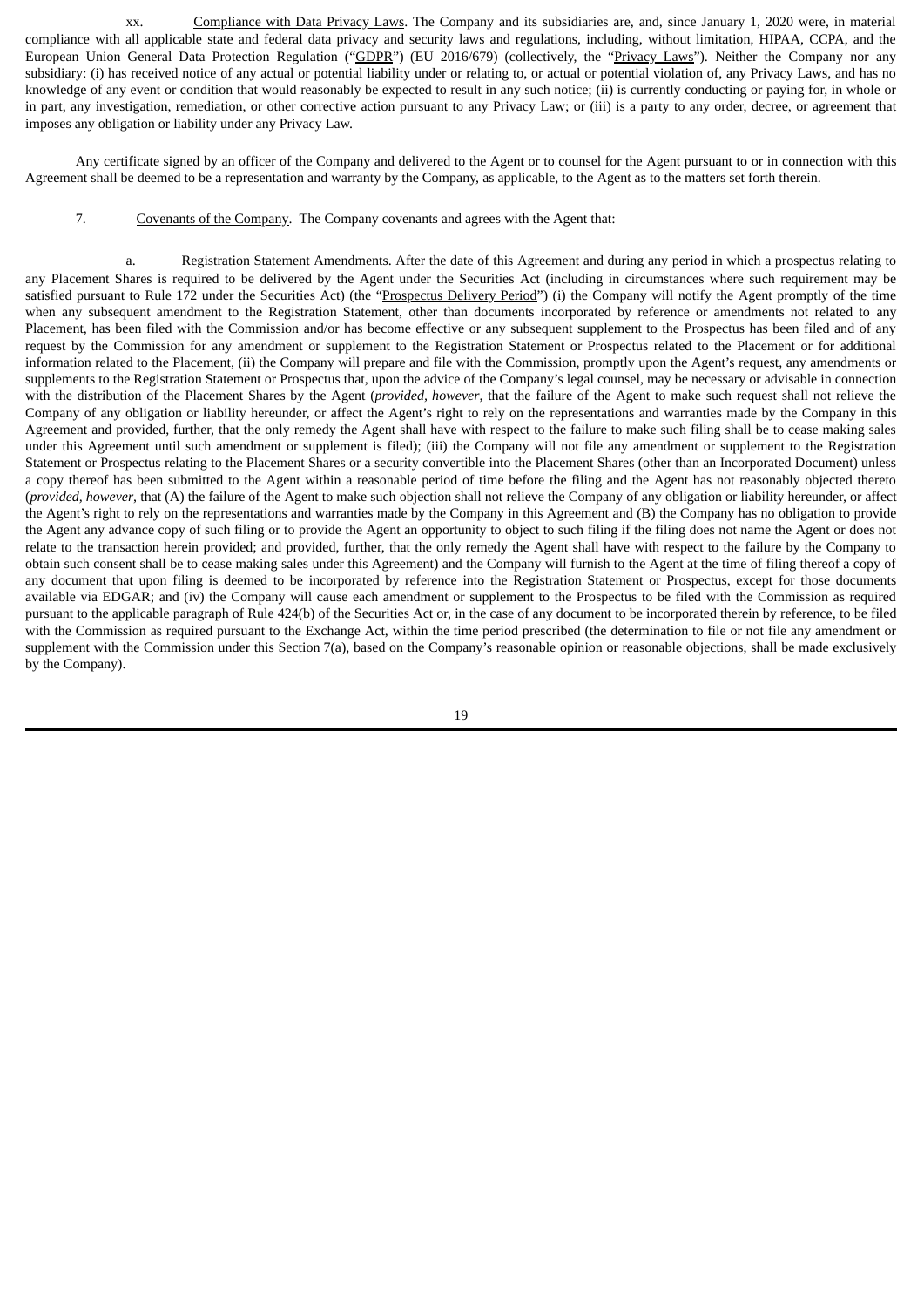xx. Compliance with Data Privacy Laws. The Company and its subsidiaries are, and, since January 1, 2020 were, in material compliance with all applicable state and federal data privacy and security laws and regulations, including, without limitation, HIPAA, CCPA, and the European Union General Data Protection Regulation ("GDPR") (EU 2016/679) (collectively, the "Privacy Laws"). Neither the Company nor any subsidiary: (i) has received notice of any actual or potential liability under or relating to, or actual or potential violation of, any Privacy Laws, and has no knowledge of any event or condition that would reasonably be expected to result in any such notice; (ii) is currently conducting or paying for, in whole or in part, any investigation, remediation, or other corrective action pursuant to any Privacy Law; or (iii) is a party to any order, decree, or agreement that imposes any obligation or liability under any Privacy Law.

Any certificate signed by an officer of the Company and delivered to the Agent or to counsel for the Agent pursuant to or in connection with this Agreement shall be deemed to be a representation and warranty by the Company, as applicable, to the Agent as to the matters set forth therein.

7. Covenants of the Company. The Company covenants and agrees with the Agent that:

a. Registration Statement Amendments. After the date of this Agreement and during any period in which a prospectus relating to any Placement Shares is required to be delivered by the Agent under the Securities Act (including in circumstances where such requirement may be satisfied pursuant to Rule 172 under the Securities Act) (the "Prospectus Delivery Period") (i) the Company will notify the Agent promptly of the time when any subsequent amendment to the Registration Statement, other than documents incorporated by reference or amendments not related to any Placement, has been filed with the Commission and/or has become effective or any subsequent supplement to the Prospectus has been filed and of any request by the Commission for any amendment or supplement to the Registration Statement or Prospectus related to the Placement or for additional information related to the Placement, (ii) the Company will prepare and file with the Commission, promptly upon the Agent's request, any amendments or supplements to the Registration Statement or Prospectus that, upon the advice of the Company's legal counsel, may be necessary or advisable in connection with the distribution of the Placement Shares by the Agent (*provided, however*, that the failure of the Agent to make such request shall not relieve the Company of any obligation or liability hereunder, or affect the Agent's right to rely on the representations and warranties made by the Company in this Agreement and provided, further, that the only remedy the Agent shall have with respect to the failure to make such filing shall be to cease making sales under this Agreement until such amendment or supplement is filed); (iii) the Company will not file any amendment or supplement to the Registration Statement or Prospectus relating to the Placement Shares or a security convertible into the Placement Shares (other than an Incorporated Document) unless a copy thereof has been submitted to the Agent within a reasonable period of time before the filing and the Agent has not reasonably objected thereto (*provided, however*, that (A) the failure of the Agent to make such objection shall not relieve the Company of any obligation or liability hereunder, or affect the Agent's right to rely on the representations and warranties made by the Company in this Agreement and (B) the Company has no obligation to provide the Agent any advance copy of such filing or to provide the Agent an opportunity to object to such filing if the filing does not name the Agent or does not relate to the transaction herein provided; and provided, further, that the only remedy the Agent shall have with respect to the failure by the Company to obtain such consent shall be to cease making sales under this Agreement) and the Company will furnish to the Agent at the time of filing thereof a copy of any document that upon filing is deemed to be incorporated by reference into the Registration Statement or Prospectus, except for those documents available via EDGAR; and (iv) the Company will cause each amendment or supplement to the Prospectus to be filed with the Commission as required pursuant to the applicable paragraph of Rule 424(b) of the Securities Act or, in the case of any document to be incorporated therein by reference, to be filed with the Commission as required pursuant to the Exchange Act, within the time period prescribed (the determination to file or not file any amendment or supplement with the Commission under this Section  $7(a)$ , based on the Company's reasonable opinion or reasonable objections, shall be made exclusively by the Company).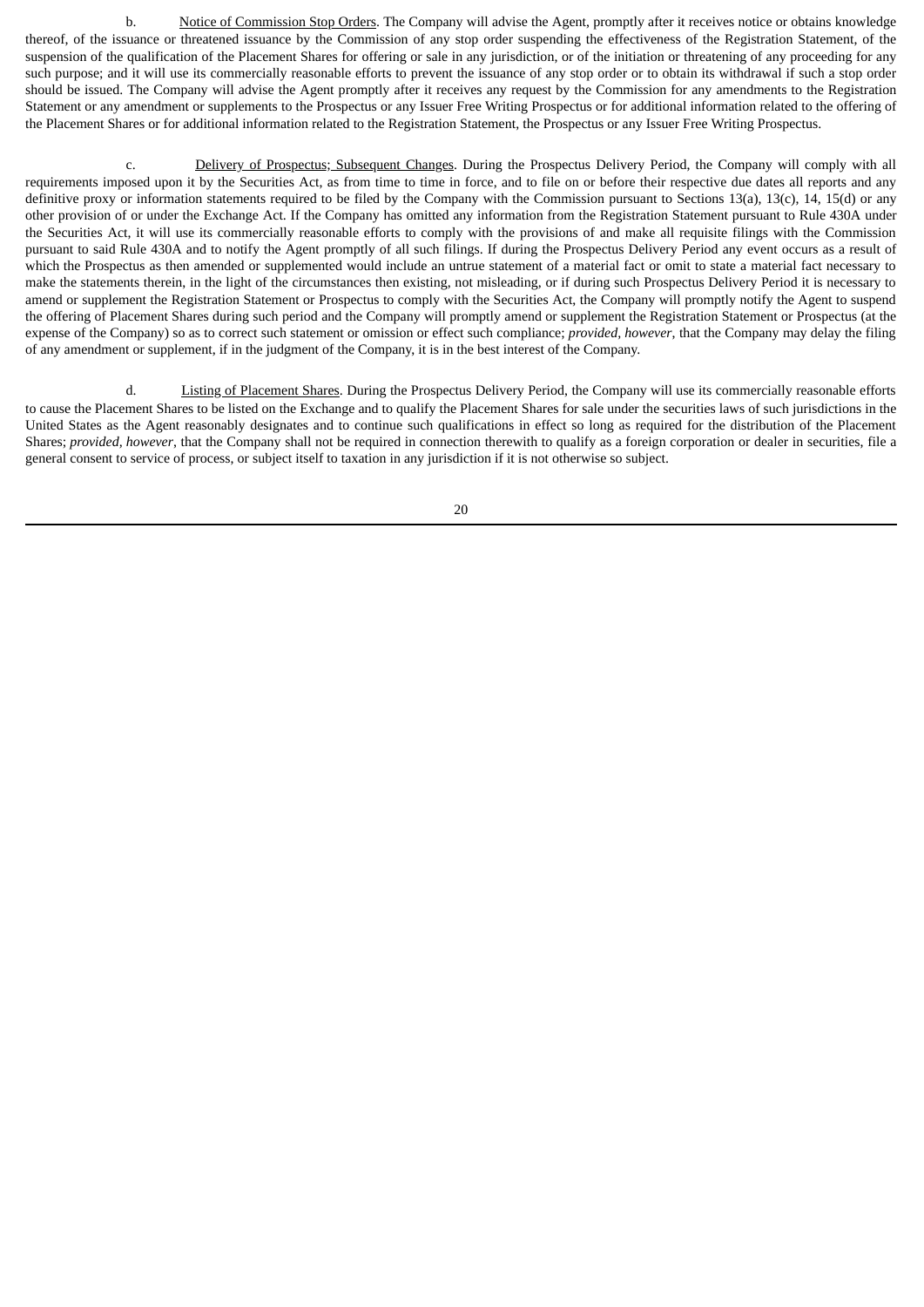b. Notice of Commission Stop Orders. The Company will advise the Agent, promptly after it receives notice or obtains knowledge thereof, of the issuance or threatened issuance by the Commission of any stop order suspending the effectiveness of the Registration Statement, of the suspension of the qualification of the Placement Shares for offering or sale in any jurisdiction, or of the initiation or threatening of any proceeding for any such purpose; and it will use its commercially reasonable efforts to prevent the issuance of any stop order or to obtain its withdrawal if such a stop order should be issued. The Company will advise the Agent promptly after it receives any request by the Commission for any amendments to the Registration Statement or any amendment or supplements to the Prospectus or any Issuer Free Writing Prospectus or for additional information related to the offering of the Placement Shares or for additional information related to the Registration Statement, the Prospectus or any Issuer Free Writing Prospectus.

c. Delivery of Prospectus; Subsequent Changes. During the Prospectus Delivery Period, the Company will comply with all requirements imposed upon it by the Securities Act, as from time to time in force, and to file on or before their respective due dates all reports and any definitive proxy or information statements required to be filed by the Company with the Commission pursuant to Sections 13(a), 13(c), 14, 15(d) or any other provision of or under the Exchange Act. If the Company has omitted any information from the Registration Statement pursuant to Rule 430A under the Securities Act, it will use its commercially reasonable efforts to comply with the provisions of and make all requisite filings with the Commission pursuant to said Rule 430A and to notify the Agent promptly of all such filings. If during the Prospectus Delivery Period any event occurs as a result of which the Prospectus as then amended or supplemented would include an untrue statement of a material fact or omit to state a material fact necessary to make the statements therein, in the light of the circumstances then existing, not misleading, or if during such Prospectus Delivery Period it is necessary to amend or supplement the Registration Statement or Prospectus to comply with the Securities Act, the Company will promptly notify the Agent to suspend the offering of Placement Shares during such period and the Company will promptly amend or supplement the Registration Statement or Prospectus (at the expense of the Company) so as to correct such statement or omission or effect such compliance; *provided, however*, that the Company may delay the filing of any amendment or supplement, if in the judgment of the Company, it is in the best interest of the Company.

d. **Listing of Placement Shares**. During the Prospectus Delivery Period, the Company will use its commercially reasonable efforts to cause the Placement Shares to be listed on the Exchange and to qualify the Placement Shares for sale under the securities laws of such jurisdictions in the United States as the Agent reasonably designates and to continue such qualifications in effect so long as required for the distribution of the Placement Shares; *provided, however*, that the Company shall not be required in connection therewith to qualify as a foreign corporation or dealer in securities, file a general consent to service of process, or subject itself to taxation in any jurisdiction if it is not otherwise so subject.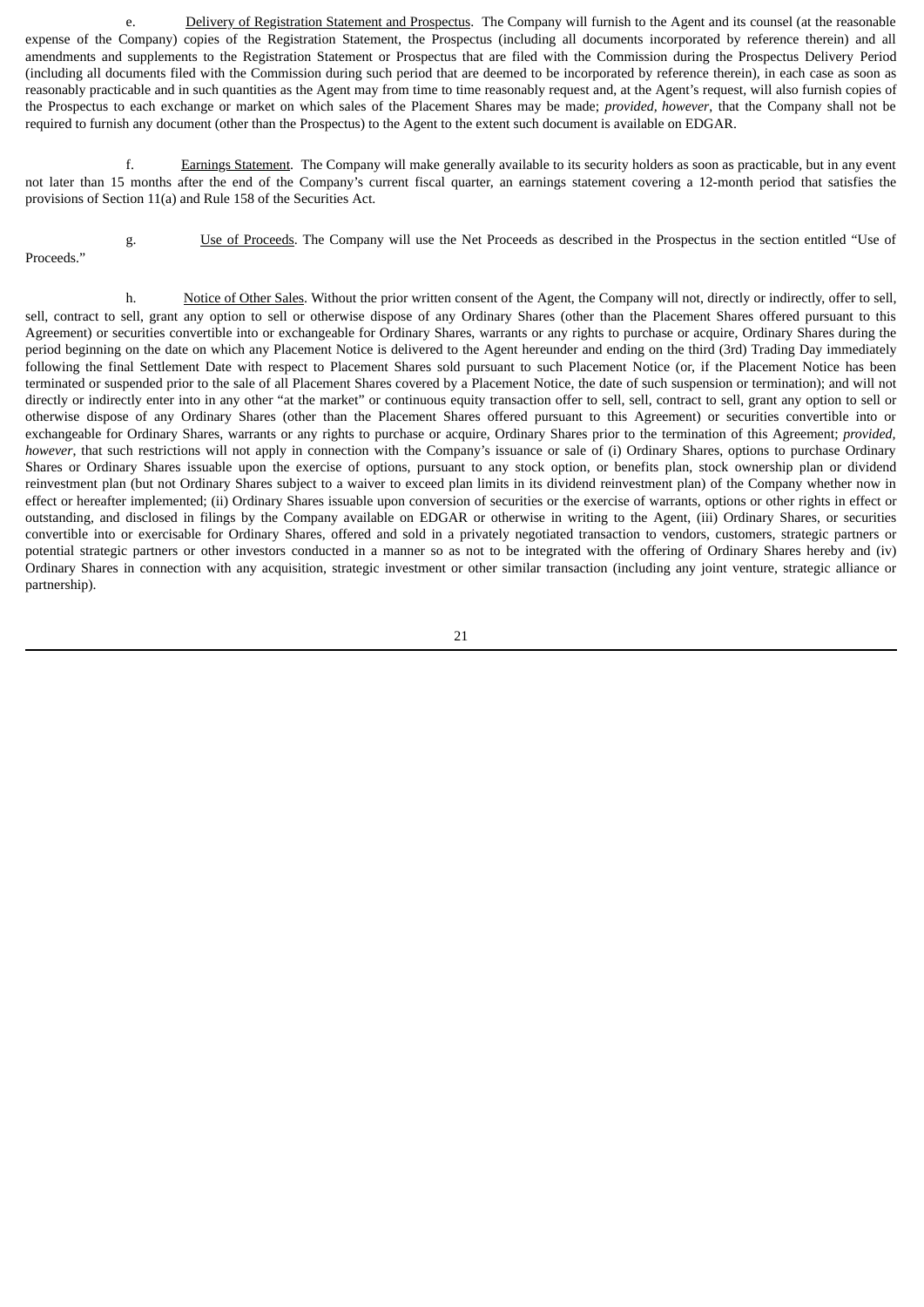e. Delivery of Registration Statement and Prospectus. The Company will furnish to the Agent and its counsel (at the reasonable expense of the Company) copies of the Registration Statement, the Prospectus (including all documents incorporated by reference therein) and all amendments and supplements to the Registration Statement or Prospectus that are filed with the Commission during the Prospectus Delivery Period (including all documents filed with the Commission during such period that are deemed to be incorporated by reference therein), in each case as soon as reasonably practicable and in such quantities as the Agent may from time to time reasonably request and, at the Agent's request, will also furnish copies of the Prospectus to each exchange or market on which sales of the Placement Shares may be made; *provided, however*, that the Company shall not be required to furnish any document (other than the Prospectus) to the Agent to the extent such document is available on EDGAR.

f. Earnings Statement. The Company will make generally available to its security holders as soon as practicable, but in any event not later than 15 months after the end of the Company's current fiscal quarter, an earnings statement covering a 12-month period that satisfies the provisions of Section 11(a) and Rule 158 of the Securities Act.

Proceeds."

g. Use of Proceeds. The Company will use the Net Proceeds as described in the Prospectus in the section entitled "Use of

h. Notice of Other Sales. Without the prior written consent of the Agent, the Company will not, directly or indirectly, offer to sell, sell, contract to sell, grant any option to sell or otherwise dispose of any Ordinary Shares (other than the Placement Shares offered pursuant to this Agreement) or securities convertible into or exchangeable for Ordinary Shares, warrants or any rights to purchase or acquire, Ordinary Shares during the period beginning on the date on which any Placement Notice is delivered to the Agent hereunder and ending on the third (3rd) Trading Day immediately following the final Settlement Date with respect to Placement Shares sold pursuant to such Placement Notice (or, if the Placement Notice has been terminated or suspended prior to the sale of all Placement Shares covered by a Placement Notice, the date of such suspension or termination); and will not directly or indirectly enter into in any other "at the market" or continuous equity transaction offer to sell, sell, contract to sell, grant any option to sell or otherwise dispose of any Ordinary Shares (other than the Placement Shares offered pursuant to this Agreement) or securities convertible into or exchangeable for Ordinary Shares, warrants or any rights to purchase or acquire, Ordinary Shares prior to the termination of this Agreement; *provided, however*, that such restrictions will not apply in connection with the Company's issuance or sale of (i) Ordinary Shares, options to purchase Ordinary Shares or Ordinary Shares issuable upon the exercise of options, pursuant to any stock option, or benefits plan, stock ownership plan or dividend reinvestment plan (but not Ordinary Shares subject to a waiver to exceed plan limits in its dividend reinvestment plan) of the Company whether now in effect or hereafter implemented; (ii) Ordinary Shares issuable upon conversion of securities or the exercise of warrants, options or other rights in effect or outstanding, and disclosed in filings by the Company available on EDGAR or otherwise in writing to the Agent, (iii) Ordinary Shares, or securities convertible into or exercisable for Ordinary Shares, offered and sold in a privately negotiated transaction to vendors, customers, strategic partners or potential strategic partners or other investors conducted in a manner so as not to be integrated with the offering of Ordinary Shares hereby and (iv) Ordinary Shares in connection with any acquisition, strategic investment or other similar transaction (including any joint venture, strategic alliance or partnership).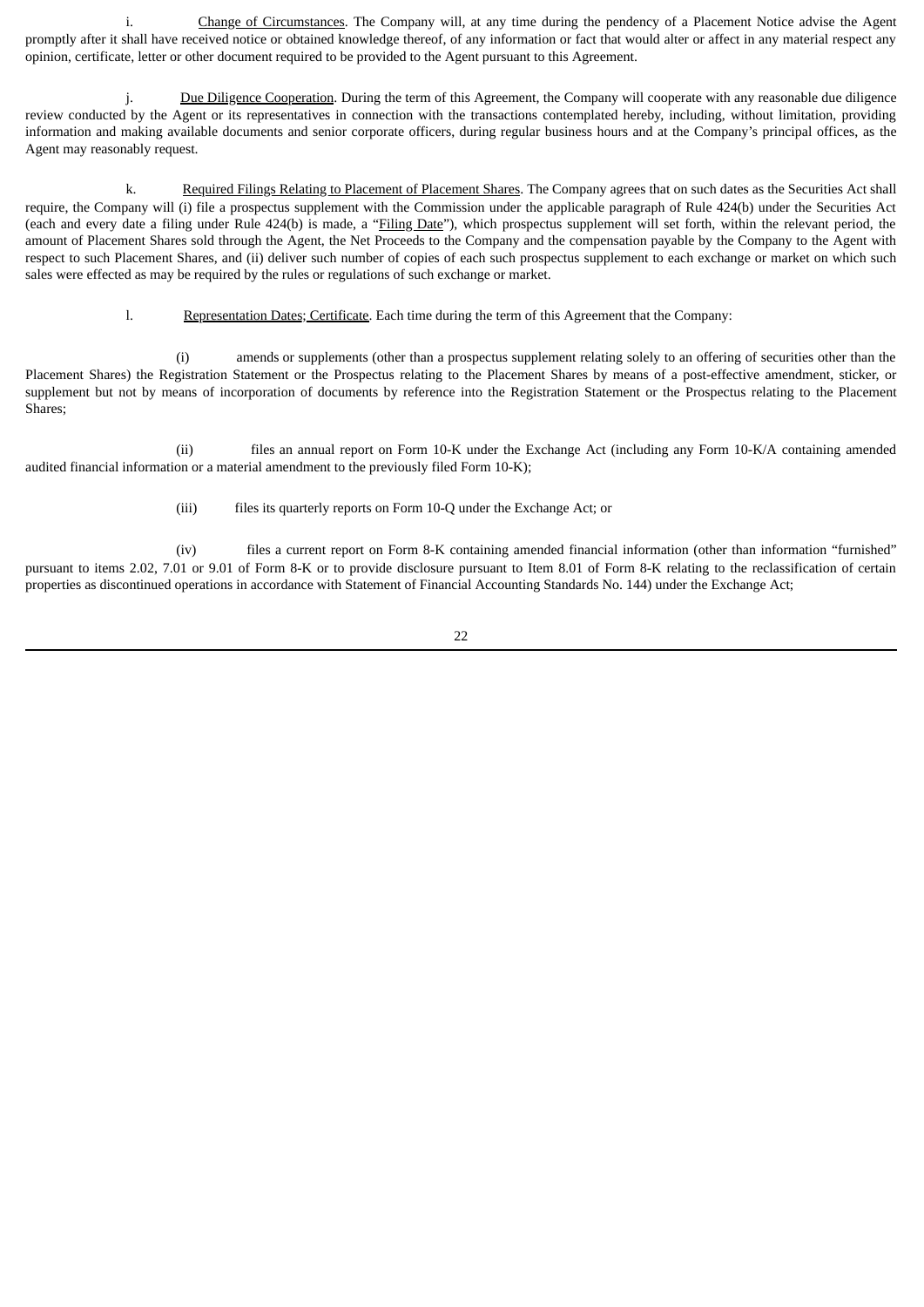i. Change of Circumstances. The Company will, at any time during the pendency of a Placement Notice advise the Agent promptly after it shall have received notice or obtained knowledge thereof, of any information or fact that would alter or affect in any material respect any opinion, certificate, letter or other document required to be provided to the Agent pursuant to this Agreement.

j. Due Diligence Cooperation. During the term of this Agreement, the Company will cooperate with any reasonable due diligence review conducted by the Agent or its representatives in connection with the transactions contemplated hereby, including, without limitation, providing information and making available documents and senior corporate officers, during regular business hours and at the Company's principal offices, as the Agent may reasonably request.

k. Required Filings Relating to Placement of Placement Shares. The Company agrees that on such dates as the Securities Act shall require, the Company will (i) file a prospectus supplement with the Commission under the applicable paragraph of Rule 424(b) under the Securities Act (each and every date a filing under Rule 424(b) is made, a "Filing Date"), which prospectus supplement will set forth, within the relevant period, the amount of Placement Shares sold through the Agent, the Net Proceeds to the Company and the compensation payable by the Company to the Agent with respect to such Placement Shares, and (ii) deliver such number of copies of each such prospectus supplement to each exchange or market on which such sales were effected as may be required by the rules or regulations of such exchange or market.

l. Representation Dates; Certificate. Each time during the term of this Agreement that the Company:

(i) amends or supplements (other than a prospectus supplement relating solely to an offering of securities other than the Placement Shares) the Registration Statement or the Prospectus relating to the Placement Shares by means of a post-effective amendment, sticker, or supplement but not by means of incorporation of documents by reference into the Registration Statement or the Prospectus relating to the Placement Shares;

(ii) files an annual report on Form 10-K under the Exchange Act (including any Form 10-K/A containing amended audited financial information or a material amendment to the previously filed Form 10-K);

(iii) files its quarterly reports on Form 10-Q under the Exchange Act; or

(iv) files a current report on Form 8-K containing amended financial information (other than information "furnished" pursuant to items 2.02, 7.01 or 9.01 of Form 8-K or to provide disclosure pursuant to Item 8.01 of Form 8-K relating to the reclassification of certain properties as discontinued operations in accordance with Statement of Financial Accounting Standards No. 144) under the Exchange Act;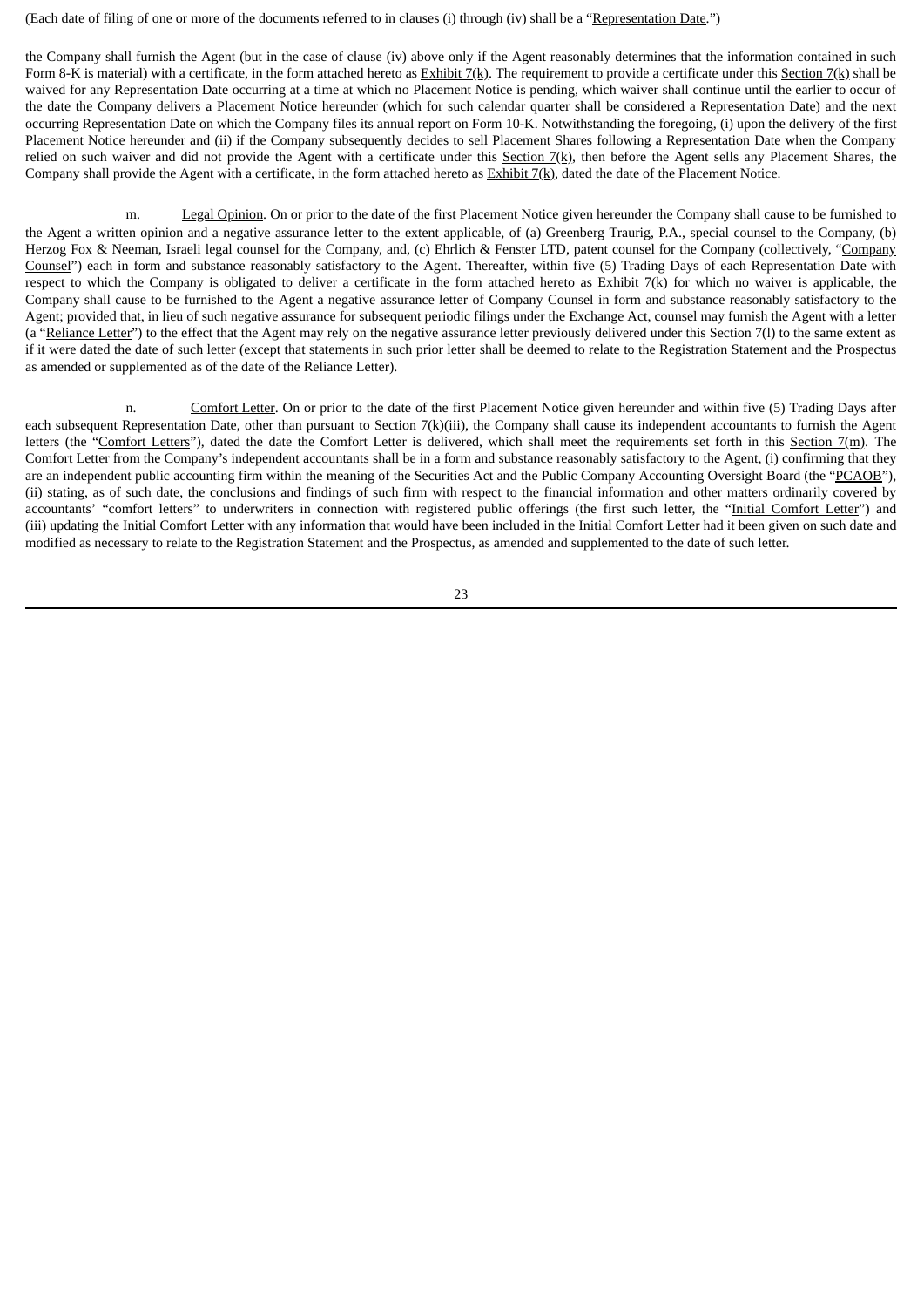(Each date of filing of one or more of the documents referred to in clauses (i) through (iv) shall be a "Representation Date.")

the Company shall furnish the Agent (but in the case of clause (iv) above only if the Agent reasonably determines that the information contained in such Form 8-K is material) with a certificate, in the form attached hereto as  $\frac{Exhibit}{X(k)}$ . The requirement to provide a certificate under this Section 7(k) shall be waived for any Representation Date occurring at a time at which no Placement Notice is pending, which waiver shall continue until the earlier to occur of the date the Company delivers a Placement Notice hereunder (which for such calendar quarter shall be considered a Representation Date) and the next occurring Representation Date on which the Company files its annual report on Form 10-K. Notwithstanding the foregoing, (i) upon the delivery of the first Placement Notice hereunder and (ii) if the Company subsequently decides to sell Placement Shares following a Representation Date when the Company relied on such waiver and did not provide the Agent with a certificate under this Section  $7(k)$ , then before the Agent sells any Placement Shares, the Company shall provide the Agent with a certificate, in the form attached hereto as  $Exhibit 7(k)$ , dated the date of the Placement Notice.

m. Legal Opinion. On or prior to the date of the first Placement Notice given hereunder the Company shall cause to be furnished to the Agent a written opinion and a negative assurance letter to the extent applicable, of (a) Greenberg Traurig, P.A., special counsel to the Company, (b) Herzog Fox & Neeman, Israeli legal counsel for the Company, and, (c) Ehrlich & Fenster LTD, patent counsel for the Company (collectively, "Company Counsel") each in form and substance reasonably satisfactory to the Agent. Thereafter, within five (5) Trading Days of each Representation Date with respect to which the Company is obligated to deliver a certificate in the form attached hereto as Exhibit 7(k) for which no waiver is applicable, the Company shall cause to be furnished to the Agent a negative assurance letter of Company Counsel in form and substance reasonably satisfactory to the Agent; provided that, in lieu of such negative assurance for subsequent periodic filings under the Exchange Act, counsel may furnish the Agent with a letter (a "Reliance Letter") to the effect that the Agent may rely on the negative assurance letter previously delivered under this Section 7(1) to the same extent as if it were dated the date of such letter (except that statements in such prior letter shall be deemed to relate to the Registration Statement and the Prospectus as amended or supplemented as of the date of the Reliance Letter).

n. Comfort Letter. On or prior to the date of the first Placement Notice given hereunder and within five (5) Trading Days after each subsequent Representation Date, other than pursuant to Section 7(k)(iii), the Company shall cause its independent accountants to furnish the Agent letters (the "Comfort Letters"), dated the date the Comfort Letter is delivered, which shall meet the requirements set forth in this Section 7(m). The Comfort Letter from the Company's independent accountants shall be in a form and substance reasonably satisfactory to the Agent, (i) confirming that they are an independent public accounting firm within the meaning of the Securities Act and the Public Company Accounting Oversight Board (the "PCAOB"), (ii) stating, as of such date, the conclusions and findings of such firm with respect to the financial information and other matters ordinarily covered by accountants' "comfort letters" to underwriters in connection with registered public offerings (the first such letter, the "Initial Comfort Letter") and (iii) updating the Initial Comfort Letter with any information that would have been included in the Initial Comfort Letter had it been given on such date and modified as necessary to relate to the Registration Statement and the Prospectus, as amended and supplemented to the date of such letter.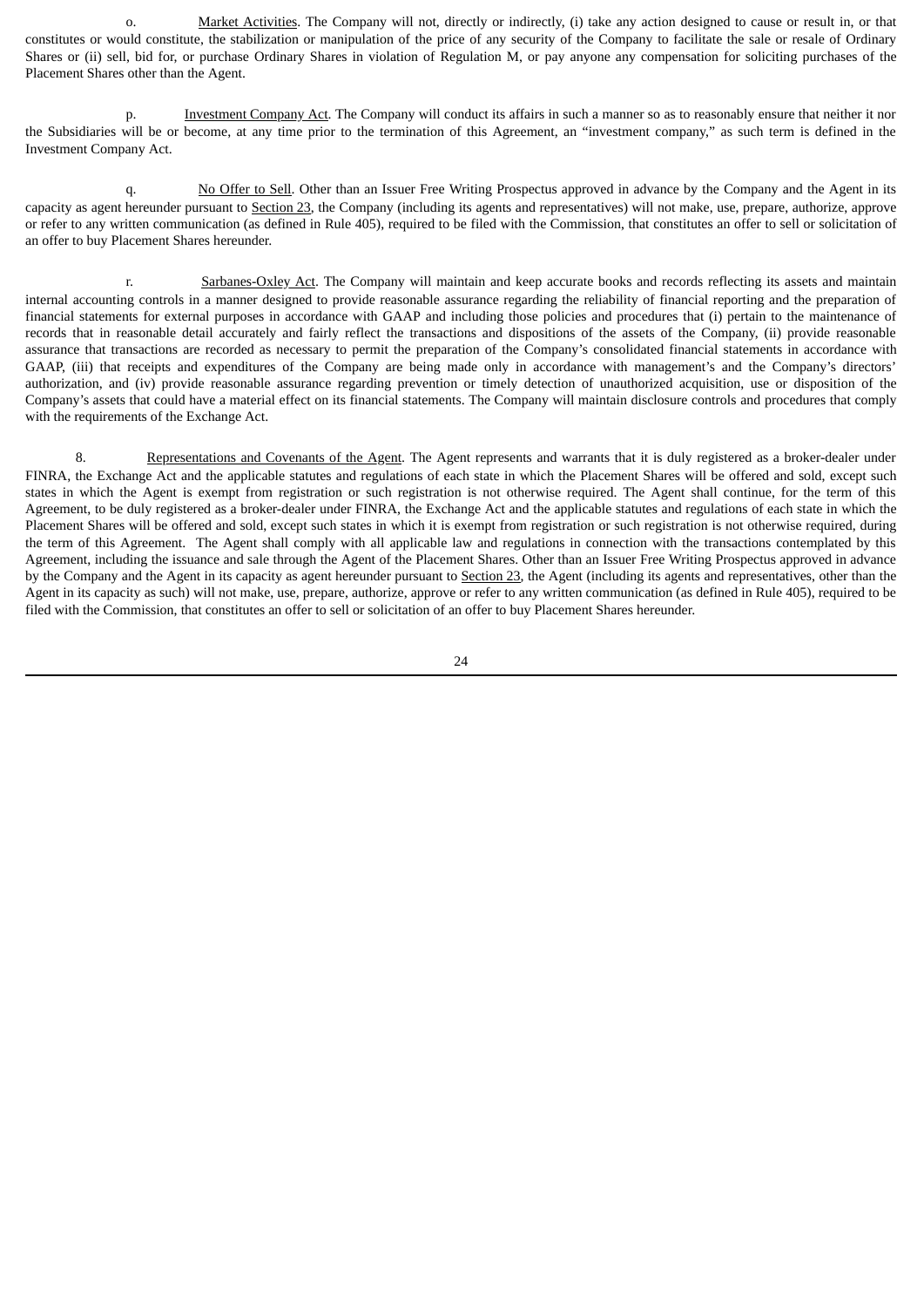o. Market Activities. The Company will not, directly or indirectly, (i) take any action designed to cause or result in, or that constitutes or would constitute, the stabilization or manipulation of the price of any security of the Company to facilitate the sale or resale of Ordinary Shares or (ii) sell, bid for, or purchase Ordinary Shares in violation of Regulation M, or pay anyone any compensation for soliciting purchases of the Placement Shares other than the Agent.

p. Investment Company Act. The Company will conduct its affairs in such a manner so as to reasonably ensure that neither it nor the Subsidiaries will be or become, at any time prior to the termination of this Agreement, an "investment company," as such term is defined in the Investment Company Act.

q. No Offer to Sell. Other than an Issuer Free Writing Prospectus approved in advance by the Company and the Agent in its capacity as agent hereunder pursuant to Section 23, the Company (including its agents and representatives) will not make, use, prepare, authorize, approve or refer to any written communication (as defined in Rule 405), required to be filed with the Commission, that constitutes an offer to sell or solicitation of an offer to buy Placement Shares hereunder.

r. Sarbanes-Oxley Act. The Company will maintain and keep accurate books and records reflecting its assets and maintain internal accounting controls in a manner designed to provide reasonable assurance regarding the reliability of financial reporting and the preparation of financial statements for external purposes in accordance with GAAP and including those policies and procedures that (i) pertain to the maintenance of records that in reasonable detail accurately and fairly reflect the transactions and dispositions of the assets of the Company, (ii) provide reasonable assurance that transactions are recorded as necessary to permit the preparation of the Company's consolidated financial statements in accordance with GAAP, (iii) that receipts and expenditures of the Company are being made only in accordance with management's and the Company's directors' authorization, and (iv) provide reasonable assurance regarding prevention or timely detection of unauthorized acquisition, use or disposition of the Company's assets that could have a material effect on its financial statements. The Company will maintain disclosure controls and procedures that comply with the requirements of the Exchange Act.

8. Representations and Covenants of the Agent. The Agent represents and warrants that it is duly registered as a broker-dealer under FINRA, the Exchange Act and the applicable statutes and regulations of each state in which the Placement Shares will be offered and sold, except such states in which the Agent is exempt from registration or such registration is not otherwise required. The Agent shall continue, for the term of this Agreement, to be duly registered as a broker-dealer under FINRA, the Exchange Act and the applicable statutes and regulations of each state in which the Placement Shares will be offered and sold, except such states in which it is exempt from registration or such registration is not otherwise required, during the term of this Agreement. The Agent shall comply with all applicable law and regulations in connection with the transactions contemplated by this Agreement, including the issuance and sale through the Agent of the Placement Shares. Other than an Issuer Free Writing Prospectus approved in advance by the Company and the Agent in its capacity as agent hereunder pursuant to Section 23, the Agent (including its agents and representatives, other than the Agent in its capacity as such) will not make, use, prepare, authorize, approve or refer to any written communication (as defined in Rule 405), required to be filed with the Commission, that constitutes an offer to sell or solicitation of an offer to buy Placement Shares hereunder.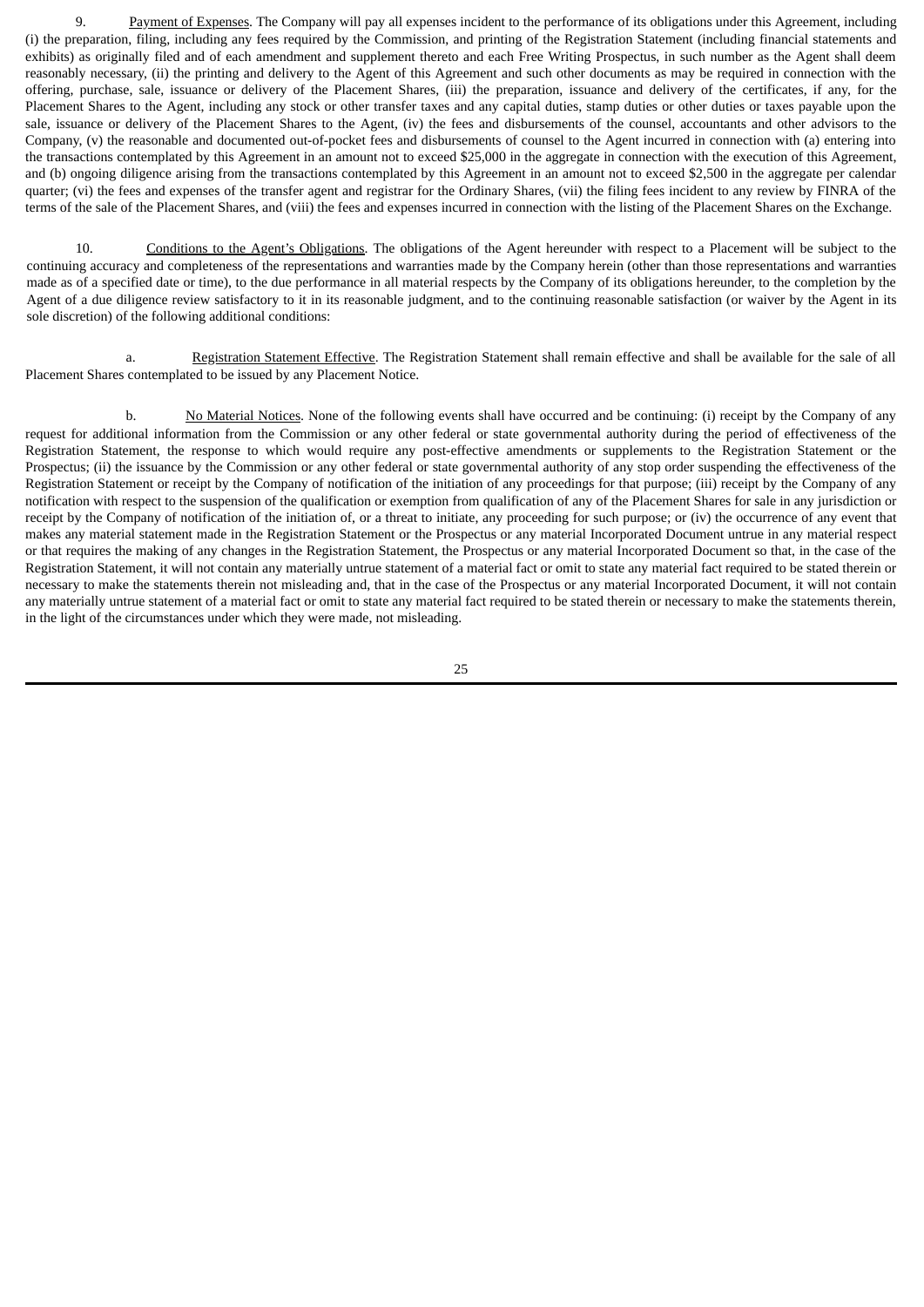9. Payment of Expenses. The Company will pay all expenses incident to the performance of its obligations under this Agreement, including (i) the preparation, filing, including any fees required by the Commission, and printing of the Registration Statement (including financial statements and exhibits) as originally filed and of each amendment and supplement thereto and each Free Writing Prospectus, in such number as the Agent shall deem reasonably necessary, (ii) the printing and delivery to the Agent of this Agreement and such other documents as may be required in connection with the offering, purchase, sale, issuance or delivery of the Placement Shares, (iii) the preparation, issuance and delivery of the certificates, if any, for the Placement Shares to the Agent, including any stock or other transfer taxes and any capital duties, stamp duties or other duties or taxes payable upon the sale, issuance or delivery of the Placement Shares to the Agent, (iv) the fees and disbursements of the counsel, accountants and other advisors to the Company, (v) the reasonable and documented out-of-pocket fees and disbursements of counsel to the Agent incurred in connection with (a) entering into the transactions contemplated by this Agreement in an amount not to exceed \$25,000 in the aggregate in connection with the execution of this Agreement, and (b) ongoing diligence arising from the transactions contemplated by this Agreement in an amount not to exceed \$2,500 in the aggregate per calendar quarter; (vi) the fees and expenses of the transfer agent and registrar for the Ordinary Shares, (vii) the filing fees incident to any review by FINRA of the terms of the sale of the Placement Shares, and (viii) the fees and expenses incurred in connection with the listing of the Placement Shares on the Exchange.

10. Conditions to the Agent's Obligations. The obligations of the Agent hereunder with respect to a Placement will be subject to the continuing accuracy and completeness of the representations and warranties made by the Company herein (other than those representations and warranties made as of a specified date or time), to the due performance in all material respects by the Company of its obligations hereunder, to the completion by the Agent of a due diligence review satisfactory to it in its reasonable judgment, and to the continuing reasonable satisfaction (or waiver by the Agent in its sole discretion) of the following additional conditions:

a. Registration Statement Effective. The Registration Statement shall remain effective and shall be available for the sale of all Placement Shares contemplated to be issued by any Placement Notice.

b. No Material Notices. None of the following events shall have occurred and be continuing: (i) receipt by the Company of any request for additional information from the Commission or any other federal or state governmental authority during the period of effectiveness of the Registration Statement, the response to which would require any post-effective amendments or supplements to the Registration Statement or the Prospectus; (ii) the issuance by the Commission or any other federal or state governmental authority of any stop order suspending the effectiveness of the Registration Statement or receipt by the Company of notification of the initiation of any proceedings for that purpose; (iii) receipt by the Company of any notification with respect to the suspension of the qualification or exemption from qualification of any of the Placement Shares for sale in any jurisdiction or receipt by the Company of notification of the initiation of, or a threat to initiate, any proceeding for such purpose; or (iv) the occurrence of any event that makes any material statement made in the Registration Statement or the Prospectus or any material Incorporated Document untrue in any material respect or that requires the making of any changes in the Registration Statement, the Prospectus or any material Incorporated Document so that, in the case of the Registration Statement, it will not contain any materially untrue statement of a material fact or omit to state any material fact required to be stated therein or necessary to make the statements therein not misleading and, that in the case of the Prospectus or any material Incorporated Document, it will not contain any materially untrue statement of a material fact or omit to state any material fact required to be stated therein or necessary to make the statements therein, in the light of the circumstances under which they were made, not misleading.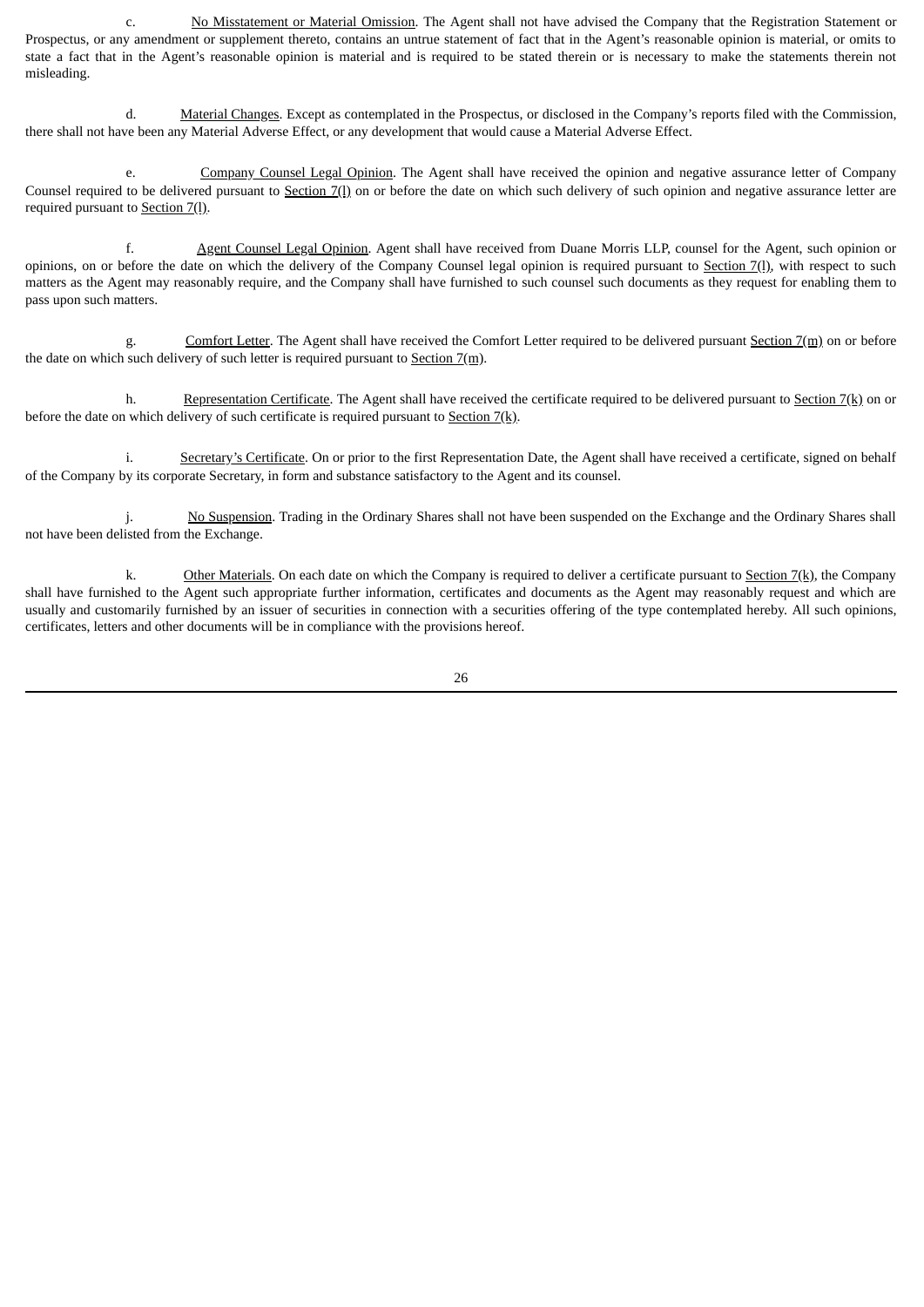c. No Misstatement or Material Omission. The Agent shall not have advised the Company that the Registration Statement or Prospectus, or any amendment or supplement thereto, contains an untrue statement of fact that in the Agent's reasonable opinion is material, or omits to state a fact that in the Agent's reasonable opinion is material and is required to be stated therein or is necessary to make the statements therein not misleading.

d. Material Changes. Except as contemplated in the Prospectus, or disclosed in the Company's reports filed with the Commission, there shall not have been any Material Adverse Effect, or any development that would cause a Material Adverse Effect.

e. Company Counsel Legal Opinion. The Agent shall have received the opinion and negative assurance letter of Company Counsel required to be delivered pursuant to Section 7(1) on or before the date on which such delivery of such opinion and negative assurance letter are required pursuant to Section 7(l).

f. Agent Counsel Legal Opinion. Agent shall have received from Duane Morris LLP, counsel for the Agent, such opinion or opinions, on or before the date on which the delivery of the Company Counsel legal opinion is required pursuant to Section 7(l), with respect to such matters as the Agent may reasonably require, and the Company shall have furnished to such counsel such documents as they request for enabling them to pass upon such matters.

g. Comfort Letter. The Agent shall have received the Comfort Letter required to be delivered pursuant Section 7(m) on or before the date on which such delivery of such letter is required pursuant to Section  $7(m)$ .

h. Representation Certificate. The Agent shall have received the certificate required to be delivered pursuant to Section 7(k) on or before the date on which delivery of such certificate is required pursuant to Section  $7(k)$ .

i. Secretary's Certificate. On or prior to the first Representation Date, the Agent shall have received a certificate, signed on behalf of the Company by its corporate Secretary, in form and substance satisfactory to the Agent and its counsel.

j. No Suspension. Trading in the Ordinary Shares shall not have been suspended on the Exchange and the Ordinary Shares shall not have been delisted from the Exchange.

k. Other Materials. On each date on which the Company is required to deliver a certificate pursuant to Section 7(k), the Company shall have furnished to the Agent such appropriate further information, certificates and documents as the Agent may reasonably request and which are usually and customarily furnished by an issuer of securities in connection with a securities offering of the type contemplated hereby. All such opinions, certificates, letters and other documents will be in compliance with the provisions hereof.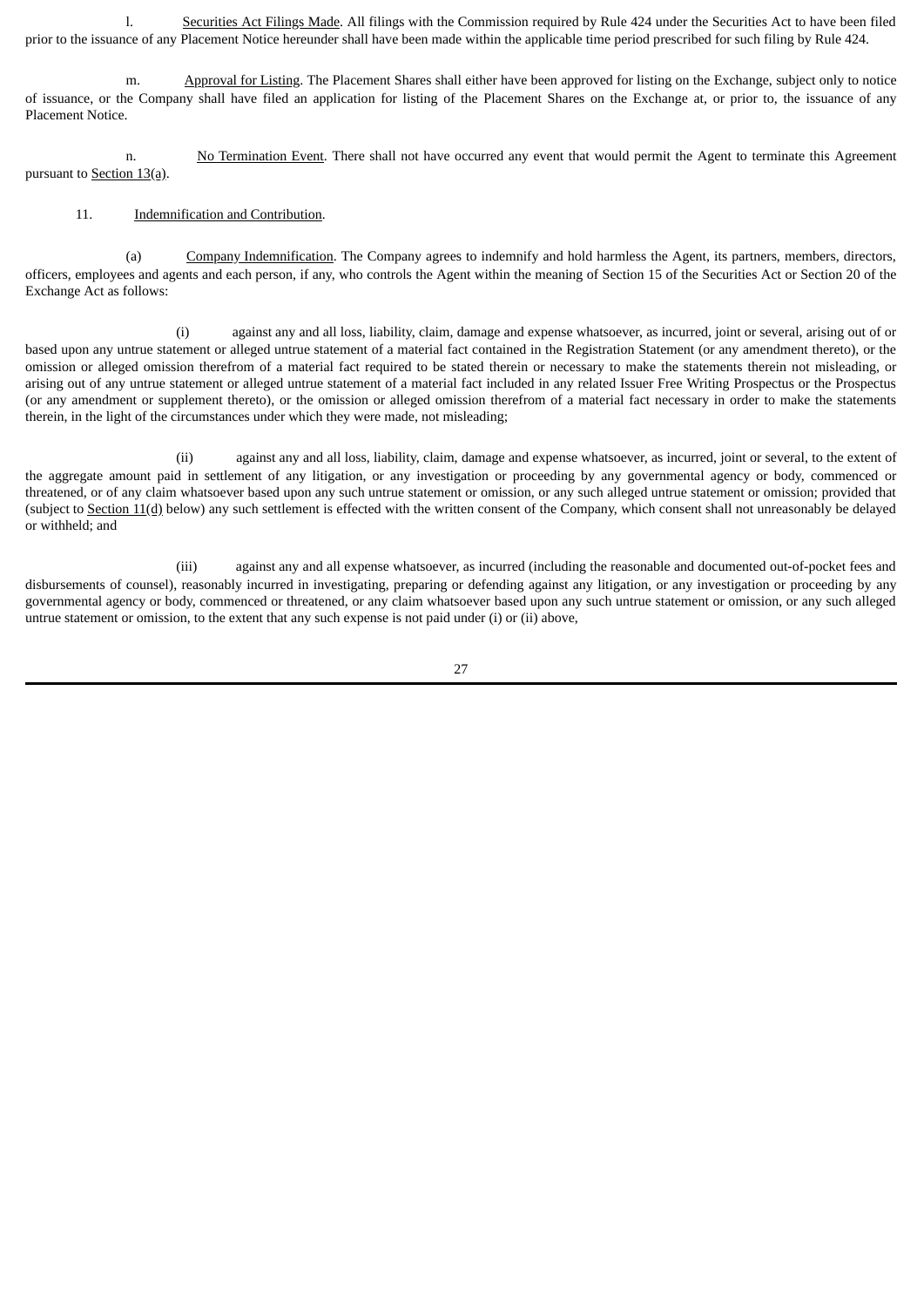l. Securities Act Filings Made. All filings with the Commission required by Rule 424 under the Securities Act to have been filed prior to the issuance of any Placement Notice hereunder shall have been made within the applicable time period prescribed for such filing by Rule 424.

m. Approval for Listing. The Placement Shares shall either have been approved for listing on the Exchange, subject only to notice of issuance, or the Company shall have filed an application for listing of the Placement Shares on the Exchange at, or prior to, the issuance of any Placement Notice.

n. No Termination Event. There shall not have occurred any event that would permit the Agent to terminate this Agreement pursuant to Section 13(a).

### 11. Indemnification and Contribution.

(a) Company Indemnification. The Company agrees to indemnify and hold harmless the Agent, its partners, members, directors, officers, employees and agents and each person, if any, who controls the Agent within the meaning of Section 15 of the Securities Act or Section 20 of the Exchange Act as follows:

(i) against any and all loss, liability, claim, damage and expense whatsoever, as incurred, joint or several, arising out of or based upon any untrue statement or alleged untrue statement of a material fact contained in the Registration Statement (or any amendment thereto), or the omission or alleged omission therefrom of a material fact required to be stated therein or necessary to make the statements therein not misleading, or arising out of any untrue statement or alleged untrue statement of a material fact included in any related Issuer Free Writing Prospectus or the Prospectus (or any amendment or supplement thereto), or the omission or alleged omission therefrom of a material fact necessary in order to make the statements therein, in the light of the circumstances under which they were made, not misleading;

(ii) against any and all loss, liability, claim, damage and expense whatsoever, as incurred, joint or several, to the extent of the aggregate amount paid in settlement of any litigation, or any investigation or proceeding by any governmental agency or body, commenced or threatened, or of any claim whatsoever based upon any such untrue statement or omission, or any such alleged untrue statement or omission; provided that (subject to Section 11(d) below) any such settlement is effected with the written consent of the Company, which consent shall not unreasonably be delayed or withheld; and

(iii) against any and all expense whatsoever, as incurred (including the reasonable and documented out-of-pocket fees and disbursements of counsel), reasonably incurred in investigating, preparing or defending against any litigation, or any investigation or proceeding by any governmental agency or body, commenced or threatened, or any claim whatsoever based upon any such untrue statement or omission, or any such alleged untrue statement or omission, to the extent that any such expense is not paid under (i) or (ii) above,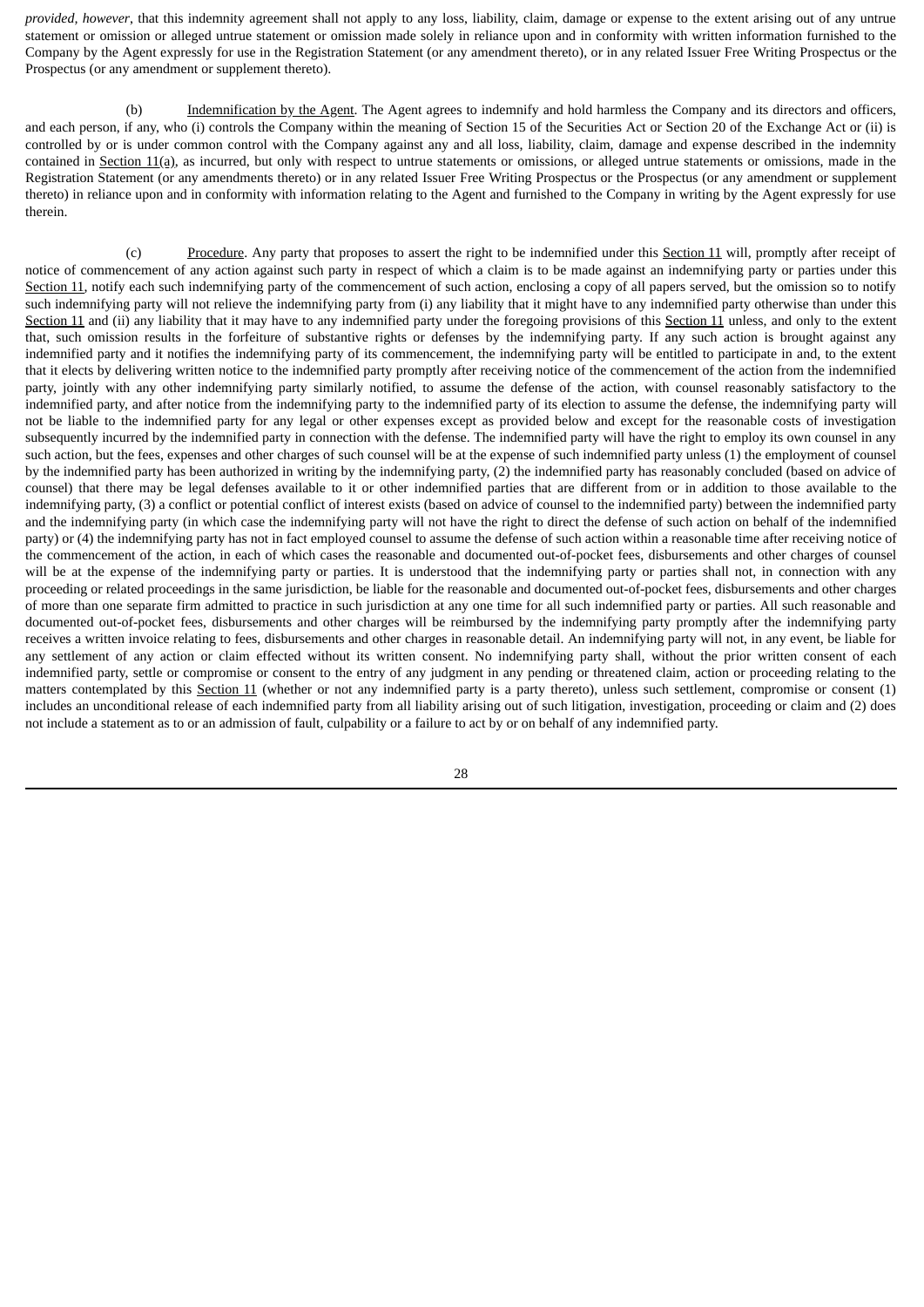*provided, however*, that this indemnity agreement shall not apply to any loss, liability, claim, damage or expense to the extent arising out of any untrue statement or omission or alleged untrue statement or omission made solely in reliance upon and in conformity with written information furnished to the Company by the Agent expressly for use in the Registration Statement (or any amendment thereto), or in any related Issuer Free Writing Prospectus or the Prospectus (or any amendment or supplement thereto).

(b) Indemnification by the Agent. The Agent agrees to indemnify and hold harmless the Company and its directors and officers, and each person, if any, who (i) controls the Company within the meaning of Section 15 of the Securities Act or Section 20 of the Exchange Act or (ii) is controlled by or is under common control with the Company against any and all loss, liability, claim, damage and expense described in the indemnity contained in Section  $11(a)$ , as incurred, but only with respect to untrue statements or omissions, or alleged untrue statements or omissions, made in the Registration Statement (or any amendments thereto) or in any related Issuer Free Writing Prospectus or the Prospectus (or any amendment or supplement thereto) in reliance upon and in conformity with information relating to the Agent and furnished to the Company in writing by the Agent expressly for use therein.

(c) Procedure. Any party that proposes to assert the right to be indemnified under this Section 11 will, promptly after receipt of notice of commencement of any action against such party in respect of which a claim is to be made against an indemnifying party or parties under this Section 11, notify each such indemnifying party of the commencement of such action, enclosing a copy of all papers served, but the omission so to notify such indemnifying party will not relieve the indemnifying party from (i) any liability that it might have to any indemnified party otherwise than under this Section 11 and (ii) any liability that it may have to any indemnified party under the foregoing provisions of this Section 11 unless, and only to the extent that, such omission results in the forfeiture of substantive rights or defenses by the indemnifying party. If any such action is brought against any indemnified party and it notifies the indemnifying party of its commencement, the indemnifying party will be entitled to participate in and, to the extent that it elects by delivering written notice to the indemnified party promptly after receiving notice of the commencement of the action from the indemnified party, jointly with any other indemnifying party similarly notified, to assume the defense of the action, with counsel reasonably satisfactory to the indemnified party, and after notice from the indemnifying party to the indemnified party of its election to assume the defense, the indemnifying party will not be liable to the indemnified party for any legal or other expenses except as provided below and except for the reasonable costs of investigation subsequently incurred by the indemnified party in connection with the defense. The indemnified party will have the right to employ its own counsel in any such action, but the fees, expenses and other charges of such counsel will be at the expense of such indemnified party unless (1) the employment of counsel by the indemnified party has been authorized in writing by the indemnifying party, (2) the indemnified party has reasonably concluded (based on advice of counsel) that there may be legal defenses available to it or other indemnified parties that are different from or in addition to those available to the indemnifying party, (3) a conflict or potential conflict of interest exists (based on advice of counsel to the indemnified party) between the indemnified party and the indemnifying party (in which case the indemnifying party will not have the right to direct the defense of such action on behalf of the indemnified party) or (4) the indemnifying party has not in fact employed counsel to assume the defense of such action within a reasonable time after receiving notice of the commencement of the action, in each of which cases the reasonable and documented out-of-pocket fees, disbursements and other charges of counsel will be at the expense of the indemnifying party or parties. It is understood that the indemnifying party or parties shall not, in connection with any proceeding or related proceedings in the same jurisdiction, be liable for the reasonable and documented out-of-pocket fees, disbursements and other charges of more than one separate firm admitted to practice in such jurisdiction at any one time for all such indemnified party or parties. All such reasonable and documented out-of-pocket fees, disbursements and other charges will be reimbursed by the indemnifying party promptly after the indemnifying party receives a written invoice relating to fees, disbursements and other charges in reasonable detail. An indemnifying party will not, in any event, be liable for any settlement of any action or claim effected without its written consent. No indemnifying party shall, without the prior written consent of each indemnified party, settle or compromise or consent to the entry of any judgment in any pending or threatened claim, action or proceeding relating to the matters contemplated by this Section 11 (whether or not any indemnified party is a party thereto), unless such settlement, compromise or consent (1) includes an unconditional release of each indemnified party from all liability arising out of such litigation, investigation, proceeding or claim and (2) does not include a statement as to or an admission of fault, culpability or a failure to act by or on behalf of any indemnified party.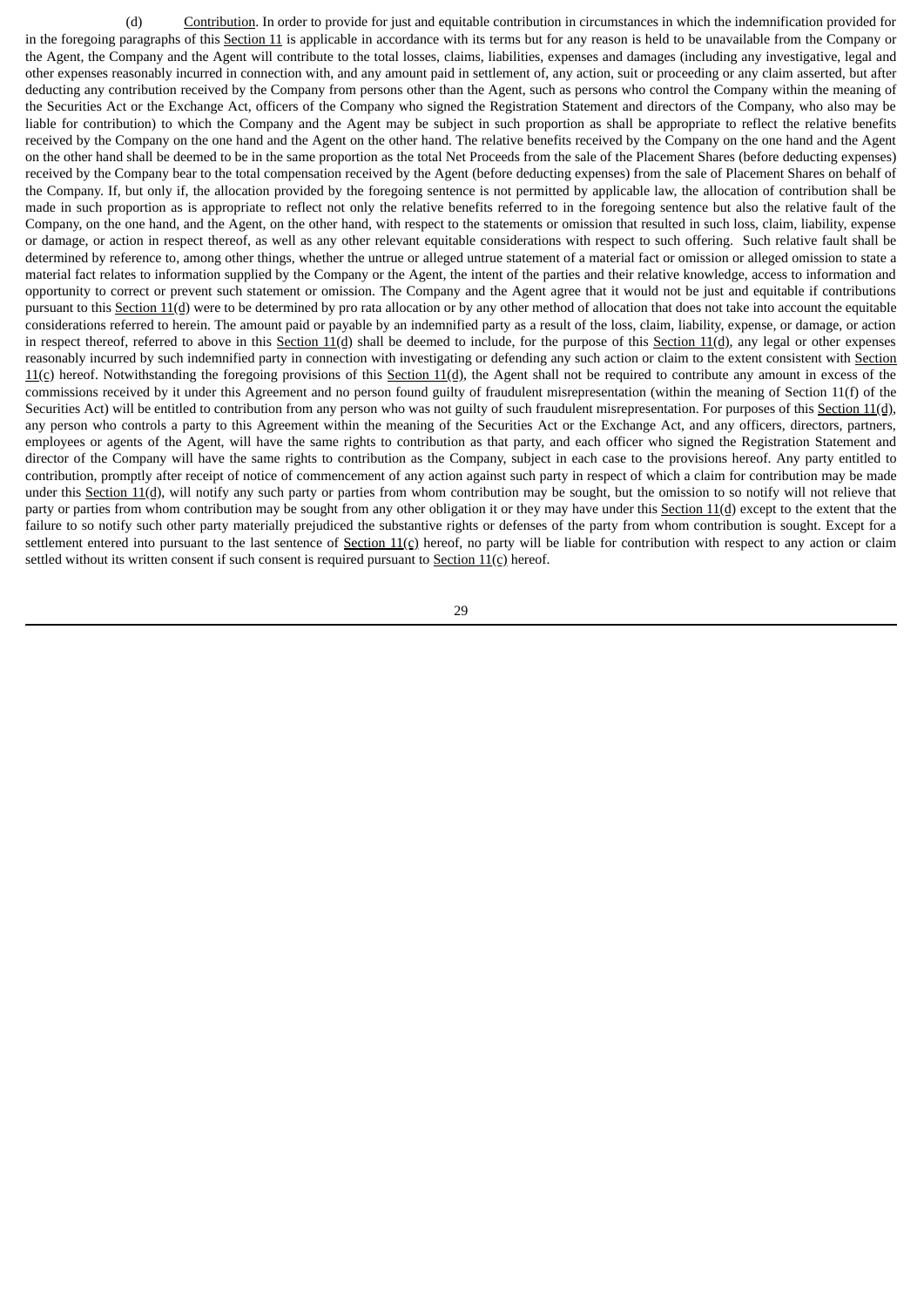(d) Contribution. In order to provide for just and equitable contribution in circumstances in which the indemnification provided for in the foregoing paragraphs of this Section 11 is applicable in accordance with its terms but for any reason is held to be unavailable from the Company or the Agent, the Company and the Agent will contribute to the total losses, claims, liabilities, expenses and damages (including any investigative, legal and other expenses reasonably incurred in connection with, and any amount paid in settlement of, any action, suit or proceeding or any claim asserted, but after deducting any contribution received by the Company from persons other than the Agent, such as persons who control the Company within the meaning of the Securities Act or the Exchange Act, officers of the Company who signed the Registration Statement and directors of the Company, who also may be liable for contribution) to which the Company and the Agent may be subject in such proportion as shall be appropriate to reflect the relative benefits received by the Company on the one hand and the Agent on the other hand. The relative benefits received by the Company on the one hand and the Agent on the other hand shall be deemed to be in the same proportion as the total Net Proceeds from the sale of the Placement Shares (before deducting expenses) received by the Company bear to the total compensation received by the Agent (before deducting expenses) from the sale of Placement Shares on behalf of the Company. If, but only if, the allocation provided by the foregoing sentence is not permitted by applicable law, the allocation of contribution shall be made in such proportion as is appropriate to reflect not only the relative benefits referred to in the foregoing sentence but also the relative fault of the Company, on the one hand, and the Agent, on the other hand, with respect to the statements or omission that resulted in such loss, claim, liability, expense or damage, or action in respect thereof, as well as any other relevant equitable considerations with respect to such offering. Such relative fault shall be determined by reference to, among other things, whether the untrue or alleged untrue statement of a material fact or omission or alleged omission to state a material fact relates to information supplied by the Company or the Agent, the intent of the parties and their relative knowledge, access to information and opportunity to correct or prevent such statement or omission. The Company and the Agent agree that it would not be just and equitable if contributions pursuant to this Section 11(d) were to be determined by pro rata allocation or by any other method of allocation that does not take into account the equitable considerations referred to herein. The amount paid or payable by an indemnified party as a result of the loss, claim, liability, expense, or damage, or action in respect thereof, referred to above in this Section  $11(d)$  shall be deemed to include, for the purpose of this Section  $11(d)$ , any legal or other expenses reasonably incurred by such indemnified party in connection with investigating or defending any such action or claim to the extent consistent with Section  $11(c)$  hereof. Notwithstanding the foregoing provisions of this Section  $11(d)$ , the Agent shall not be required to contribute any amount in excess of the commissions received by it under this Agreement and no person found guilty of fraudulent misrepresentation (within the meaning of Section 11(f) of the Securities Act) will be entitled to contribution from any person who was not guilty of such fraudulent misrepresentation. For purposes of this Section 11(d), any person who controls a party to this Agreement within the meaning of the Securities Act or the Exchange Act, and any officers, directors, partners, employees or agents of the Agent, will have the same rights to contribution as that party, and each officer who signed the Registration Statement and director of the Company will have the same rights to contribution as the Company, subject in each case to the provisions hereof. Any party entitled to contribution, promptly after receipt of notice of commencement of any action against such party in respect of which a claim for contribution may be made under this Section 11(d), will notify any such party or parties from whom contribution may be sought, but the omission to so notify will not relieve that party or parties from whom contribution may be sought from any other obligation it or they may have under this Section 11(d) except to the extent that the failure to so notify such other party materially prejudiced the substantive rights or defenses of the party from whom contribution is sought. Except for a settlement entered into pursuant to the last sentence of Section  $11(c)$  hereof, no party will be liable for contribution with respect to any action or claim settled without its written consent if such consent is required pursuant to **Section 11(c)** hereof.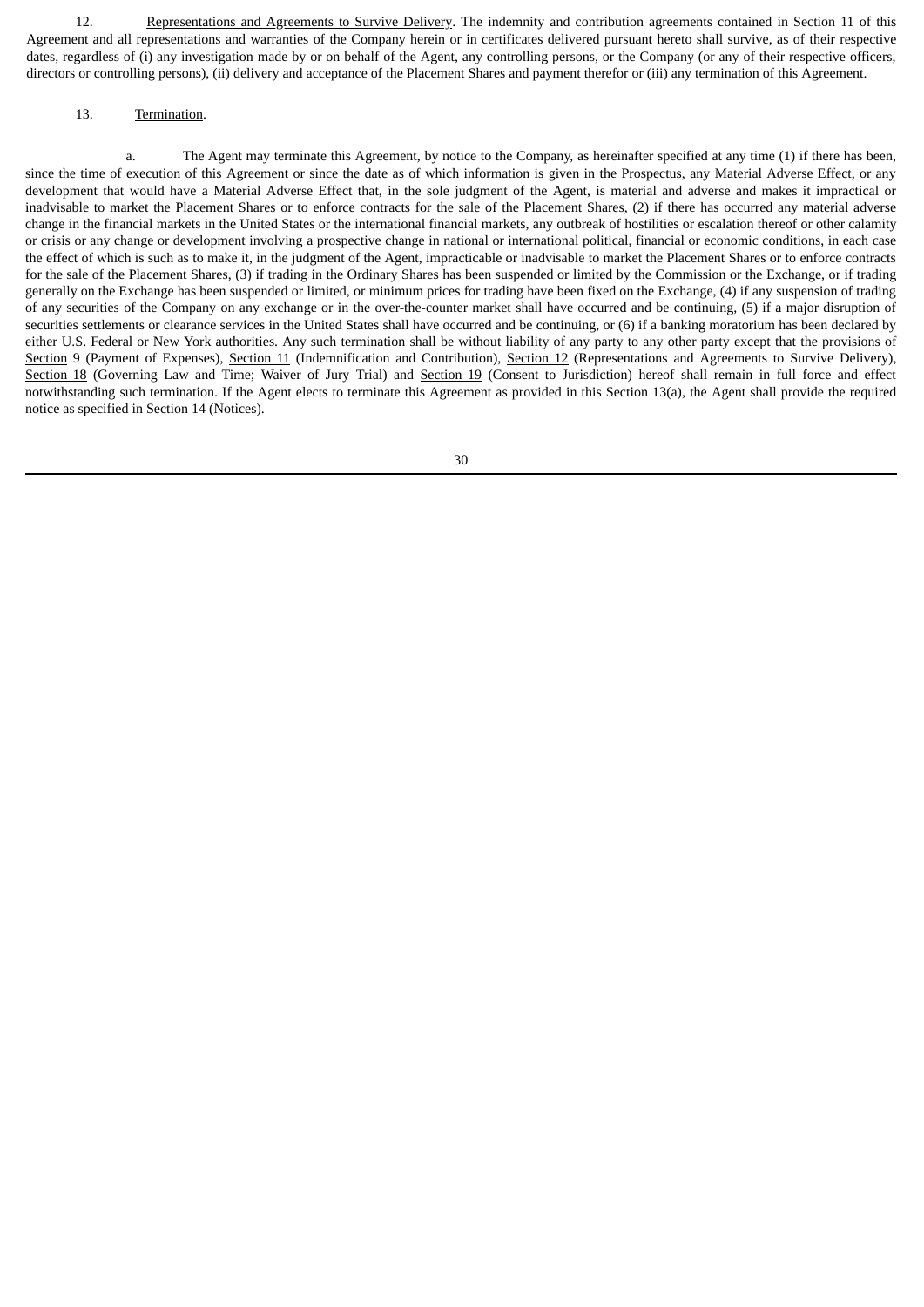12. Representations and Agreements to Survive Delivery. The indemnity and contribution agreements contained in Section 11 of this Agreement and all representations and warranties of the Company herein or in certificates delivered pursuant hereto shall survive, as of their respective dates, regardless of (i) any investigation made by or on behalf of the Agent, any controlling persons, or the Company (or any of their respective officers, directors or controlling persons), (ii) delivery and acceptance of the Placement Shares and payment therefor or (iii) any termination of this Agreement.

### 13. Termination.

a. The Agent may terminate this Agreement, by notice to the Company, as hereinafter specified at any time (1) if there has been, since the time of execution of this Agreement or since the date as of which information is given in the Prospectus, any Material Adverse Effect, or any development that would have a Material Adverse Effect that, in the sole judgment of the Agent, is material and adverse and makes it impractical or inadvisable to market the Placement Shares or to enforce contracts for the sale of the Placement Shares, (2) if there has occurred any material adverse change in the financial markets in the United States or the international financial markets, any outbreak of hostilities or escalation thereof or other calamity or crisis or any change or development involving a prospective change in national or international political, financial or economic conditions, in each case the effect of which is such as to make it, in the judgment of the Agent, impracticable or inadvisable to market the Placement Shares or to enforce contracts for the sale of the Placement Shares, (3) if trading in the Ordinary Shares has been suspended or limited by the Commission or the Exchange, or if trading generally on the Exchange has been suspended or limited, or minimum prices for trading have been fixed on the Exchange, (4) if any suspension of trading of any securities of the Company on any exchange or in the over-the-counter market shall have occurred and be continuing, (5) if a major disruption of securities settlements or clearance services in the United States shall have occurred and be continuing, or (6) if a banking moratorium has been declared by either U.S. Federal or New York authorities. Any such termination shall be without liability of any party to any other party except that the provisions of Section 9 (Payment of Expenses), Section 11 (Indemnification and Contribution), Section 12 (Representations and Agreements to Survive Delivery), Section 18 (Governing Law and Time; Waiver of Jury Trial) and Section 19 (Consent to Jurisdiction) hereof shall remain in full force and effect notwithstanding such termination. If the Agent elects to terminate this Agreement as provided in this Section 13(a), the Agent shall provide the required notice as specified in Section 14 (Notices).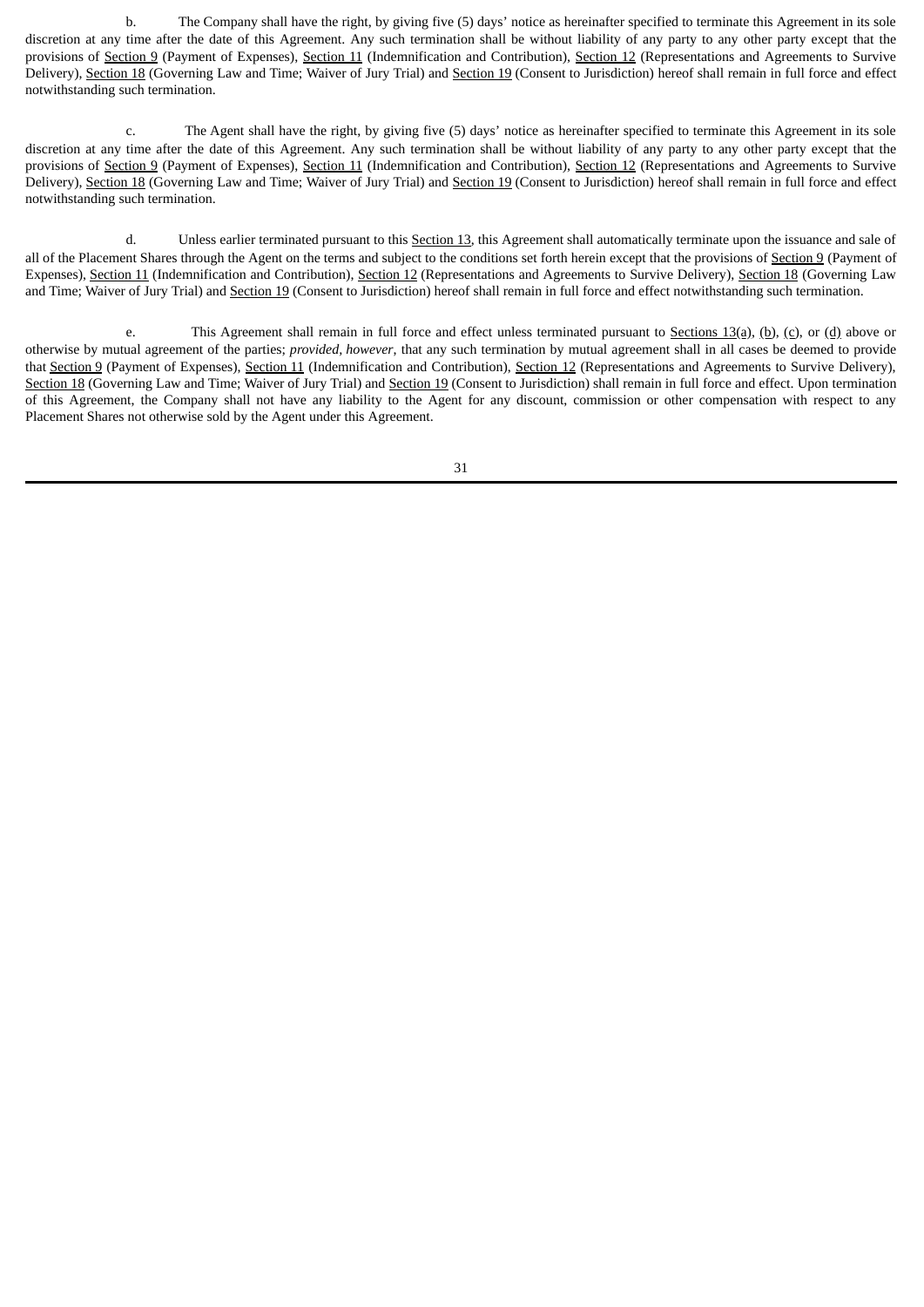b. The Company shall have the right, by giving five (5) days' notice as hereinafter specified to terminate this Agreement in its sole discretion at any time after the date of this Agreement. Any such termination shall be without liability of any party to any other party except that the provisions of Section 9 (Payment of Expenses), Section 11 (Indemnification and Contribution), Section 12 (Representations and Agreements to Survive Delivery), Section 18 (Governing Law and Time; Waiver of Jury Trial) and Section 19 (Consent to Jurisdiction) hereof shall remain in full force and effect notwithstanding such termination.

c. The Agent shall have the right, by giving five (5) days' notice as hereinafter specified to terminate this Agreement in its sole discretion at any time after the date of this Agreement. Any such termination shall be without liability of any party to any other party except that the provisions of Section 9 (Payment of Expenses), Section 11 (Indemnification and Contribution), Section 12 (Representations and Agreements to Survive Delivery), Section 18 (Governing Law and Time; Waiver of Jury Trial) and Section 19 (Consent to Jurisdiction) hereof shall remain in full force and effect notwithstanding such termination.

d. Unless earlier terminated pursuant to this Section 13, this Agreement shall automatically terminate upon the issuance and sale of all of the Placement Shares through the Agent on the terms and subject to the conditions set forth herein except that the provisions of Section 9 (Payment of Expenses), Section 11 (Indemnification and Contribution), Section 12 (Representations and Agreements to Survive Delivery), Section 18 (Governing Law and Time; Waiver of Jury Trial) and Section 19 (Consent to Jurisdiction) hereof shall remain in full force and effect notwithstanding such termination.

e. This Agreement shall remain in full force and effect unless terminated pursuant to Sections  $13(a)$ , (b), (c), or (d) above or otherwise by mutual agreement of the parties; *provided, however*, that any such termination by mutual agreement shall in all cases be deemed to provide that Section 9 (Payment of Expenses), Section 11 (Indemnification and Contribution), Section 12 (Representations and Agreements to Survive Delivery), Section 18 (Governing Law and Time; Waiver of Jury Trial) and Section 19 (Consent to Jurisdiction) shall remain in full force and effect. Upon termination of this Agreement, the Company shall not have any liability to the Agent for any discount, commission or other compensation with respect to any Placement Shares not otherwise sold by the Agent under this Agreement.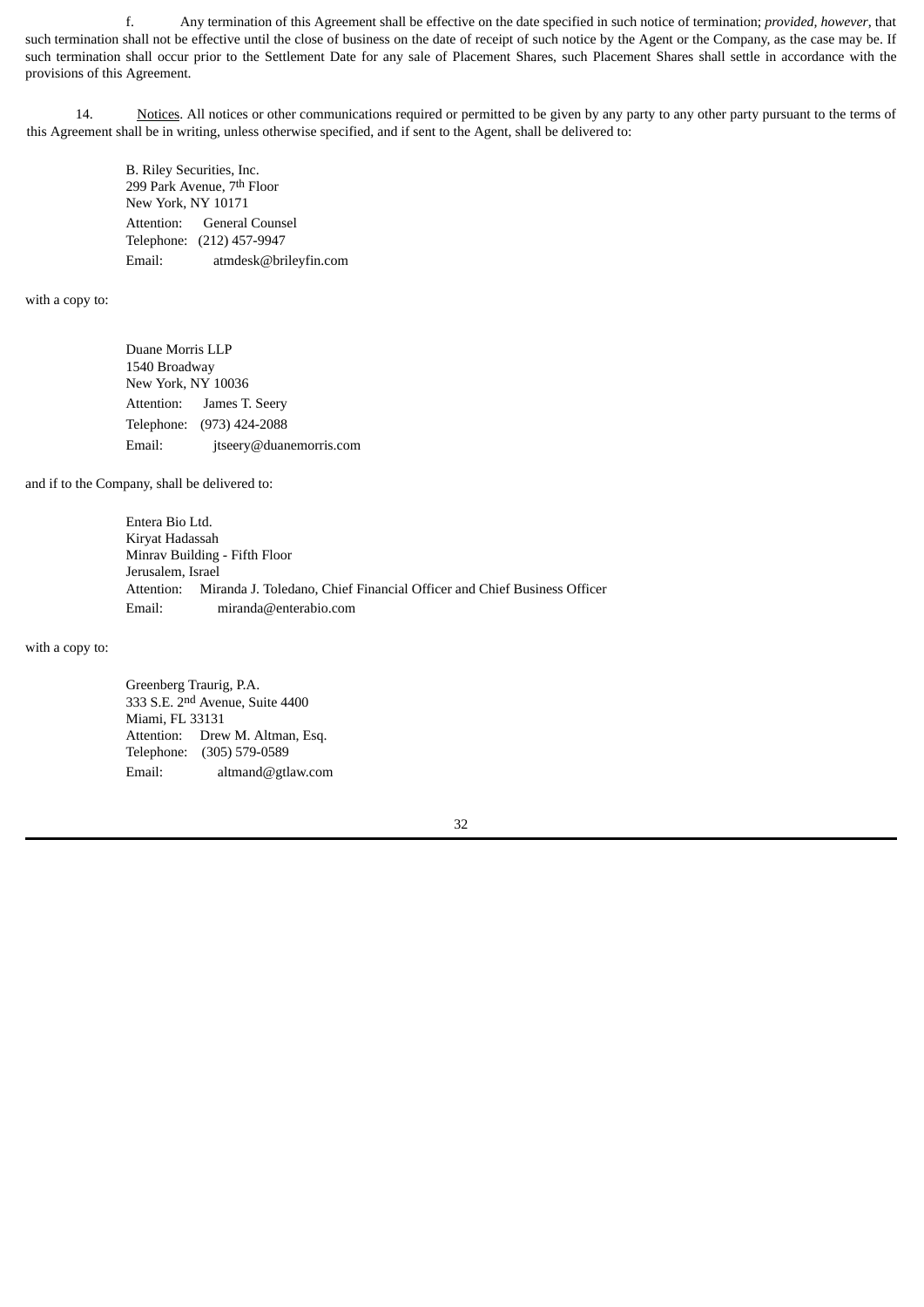f. Any termination of this Agreement shall be effective on the date specified in such notice of termination; *provided, however*, that such termination shall not be effective until the close of business on the date of receipt of such notice by the Agent or the Company, as the case may be. If such termination shall occur prior to the Settlement Date for any sale of Placement Shares, such Placement Shares shall settle in accordance with the provisions of this Agreement.

14. Notices. All notices or other communications required or permitted to be given by any party to any other party pursuant to the terms of this Agreement shall be in writing, unless otherwise specified, and if sent to the Agent, shall be delivered to:

> B. Riley Securities, Inc. 299 Park Avenue, 7th Floor New York, NY 10171 Attention: General Counsel Telephone: (212) 457-9947 Email: atmdesk@brileyfin.com

with a copy to:

Duane Morris LLP 1540 Broadway New York, NY 10036 Attention: James T. Seery Telephone: (973) 424-2088 Email: jtseery@duanemorris.com

and if to the Company, shall be delivered to:

Entera Bio Ltd. Kiryat Hadassah Minrav Building - Fifth Floor Jerusalem, Israel Attention: Miranda J. Toledano, Chief Financial Officer and Chief Business Officer Email: miranda@enterabio.com

with a copy to:

Greenberg Traurig, P.A. 333 S.E. 2nd Avenue, Suite 4400 Miami, FL 33131 Attention: Drew M. Altman, Esq. Telephone: (305) 579-0589 Email: altmand@gtlaw.com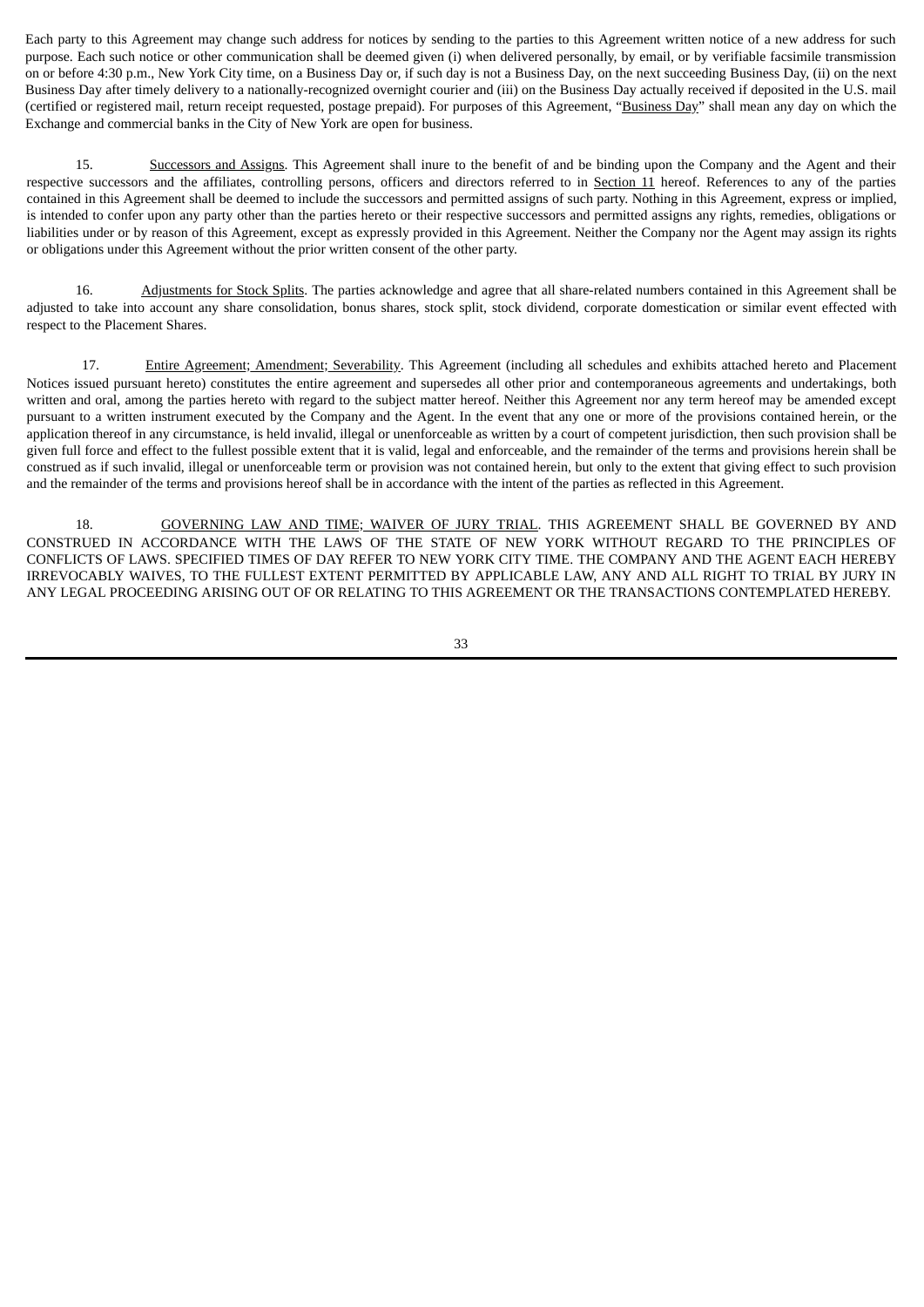Each party to this Agreement may change such address for notices by sending to the parties to this Agreement written notice of a new address for such purpose. Each such notice or other communication shall be deemed given (i) when delivered personally, by email, or by verifiable facsimile transmission on or before 4:30 p.m., New York City time, on a Business Day or, if such day is not a Business Day, on the next succeeding Business Day, (ii) on the next Business Day after timely delivery to a nationally-recognized overnight courier and (iii) on the Business Day actually received if deposited in the U.S. mail (certified or registered mail, return receipt requested, postage prepaid). For purposes of this Agreement, "Business Day" shall mean any day on which the Exchange and commercial banks in the City of New York are open for business.

15. Successors and Assigns. This Agreement shall inure to the benefit of and be binding upon the Company and the Agent and their respective successors and the affiliates, controlling persons, officers and directors referred to in Section 11 hereof. References to any of the parties contained in this Agreement shall be deemed to include the successors and permitted assigns of such party. Nothing in this Agreement, express or implied, is intended to confer upon any party other than the parties hereto or their respective successors and permitted assigns any rights, remedies, obligations or liabilities under or by reason of this Agreement, except as expressly provided in this Agreement. Neither the Company nor the Agent may assign its rights or obligations under this Agreement without the prior written consent of the other party.

16. Adjustments for Stock Splits. The parties acknowledge and agree that all share‑related numbers contained in this Agreement shall be adjusted to take into account any share consolidation, bonus shares, stock split, stock dividend, corporate domestication or similar event effected with respect to the Placement Shares.

17. Entire Agreement; Amendment; Severability. This Agreement (including all schedules and exhibits attached hereto and Placement Notices issued pursuant hereto) constitutes the entire agreement and supersedes all other prior and contemporaneous agreements and undertakings, both written and oral, among the parties hereto with regard to the subject matter hereof. Neither this Agreement nor any term hereof may be amended except pursuant to a written instrument executed by the Company and the Agent. In the event that any one or more of the provisions contained herein, or the application thereof in any circumstance, is held invalid, illegal or unenforceable as written by a court of competent jurisdiction, then such provision shall be given full force and effect to the fullest possible extent that it is valid, legal and enforceable, and the remainder of the terms and provisions herein shall be construed as if such invalid, illegal or unenforceable term or provision was not contained herein, but only to the extent that giving effect to such provision and the remainder of the terms and provisions hereof shall be in accordance with the intent of the parties as reflected in this Agreement.

18. GOVERNING LAW AND TIME; WAIVER OF JURY TRIAL. THIS AGREEMENT SHALL BE GOVERNED BY AND CONSTRUED IN ACCORDANCE WITH THE LAWS OF THE STATE OF NEW YORK WITHOUT REGARD TO THE PRINCIPLES OF CONFLICTS OF LAWS. SPECIFIED TIMES OF DAY REFER TO NEW YORK CITY TIME. THE COMPANY AND THE AGENT EACH HEREBY IRREVOCABLY WAIVES, TO THE FULLEST EXTENT PERMITTED BY APPLICABLE LAW, ANY AND ALL RIGHT TO TRIAL BY JURY IN ANY LEGAL PROCEEDING ARISING OUT OF OR RELATING TO THIS AGREEMENT OR THE TRANSACTIONS CONTEMPLATED HEREBY.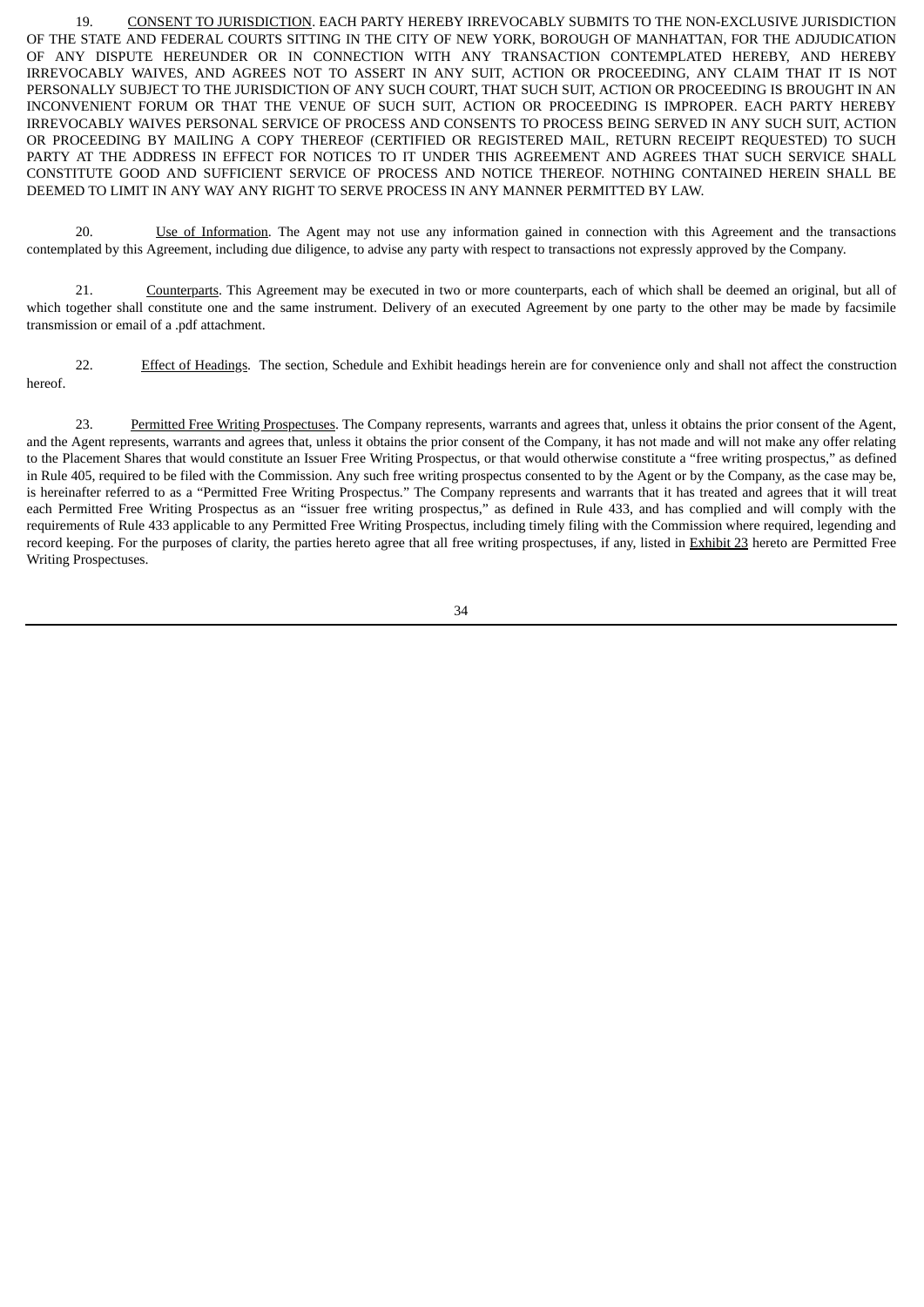19. CONSENT TO JURISDICTION. EACH PARTY HEREBY IRREVOCABLY SUBMITS TO THE NON-EXCLUSIVE JURISDICTION OF THE STATE AND FEDERAL COURTS SITTING IN THE CITY OF NEW YORK, BOROUGH OF MANHATTAN, FOR THE ADJUDICATION OF ANY DISPUTE HEREUNDER OR IN CONNECTION WITH ANY TRANSACTION CONTEMPLATED HEREBY, AND HEREBY IRREVOCABLY WAIVES, AND AGREES NOT TO ASSERT IN ANY SUIT, ACTION OR PROCEEDING, ANY CLAIM THAT IT IS NOT PERSONALLY SUBJECT TO THE JURISDICTION OF ANY SUCH COURT, THAT SUCH SUIT, ACTION OR PROCEEDING IS BROUGHT IN AN INCONVENIENT FORUM OR THAT THE VENUE OF SUCH SUIT, ACTION OR PROCEEDING IS IMPROPER. EACH PARTY HEREBY IRREVOCABLY WAIVES PERSONAL SERVICE OF PROCESS AND CONSENTS TO PROCESS BEING SERVED IN ANY SUCH SUIT, ACTION OR PROCEEDING BY MAILING A COPY THEREOF (CERTIFIED OR REGISTERED MAIL, RETURN RECEIPT REQUESTED) TO SUCH PARTY AT THE ADDRESS IN EFFECT FOR NOTICES TO IT UNDER THIS AGREEMENT AND AGREES THAT SUCH SERVICE SHALL CONSTITUTE GOOD AND SUFFICIENT SERVICE OF PROCESS AND NOTICE THEREOF. NOTHING CONTAINED HEREIN SHALL BE DEEMED TO LIMIT IN ANY WAY ANY RIGHT TO SERVE PROCESS IN ANY MANNER PERMITTED BY LAW.

20. Use of Information. The Agent may not use any information gained in connection with this Agreement and the transactions contemplated by this Agreement, including due diligence, to advise any party with respect to transactions not expressly approved by the Company.

21. Counterparts. This Agreement may be executed in two or more counterparts, each of which shall be deemed an original, but all of which together shall constitute one and the same instrument. Delivery of an executed Agreement by one party to the other may be made by facsimile transmission or email of a .pdf attachment.

22. Effect of Headings. The section, Schedule and Exhibit headings herein are for convenience only and shall not affect the construction hereof.

23. Permitted Free Writing Prospectuses. The Company represents, warrants and agrees that, unless it obtains the prior consent of the Agent, and the Agent represents, warrants and agrees that, unless it obtains the prior consent of the Company, it has not made and will not make any offer relating to the Placement Shares that would constitute an Issuer Free Writing Prospectus, or that would otherwise constitute a "free writing prospectus," as defined in Rule 405, required to be filed with the Commission. Any such free writing prospectus consented to by the Agent or by the Company, as the case may be, is hereinafter referred to as a "Permitted Free Writing Prospectus." The Company represents and warrants that it has treated and agrees that it will treat each Permitted Free Writing Prospectus as an "issuer free writing prospectus," as defined in Rule 433, and has complied and will comply with the requirements of Rule 433 applicable to any Permitted Free Writing Prospectus, including timely filing with the Commission where required, legending and record keeping. For the purposes of clarity, the parties hereto agree that all free writing prospectuses, if any, listed in Exhibit 23 hereto are Permitted Free Writing Prospectuses.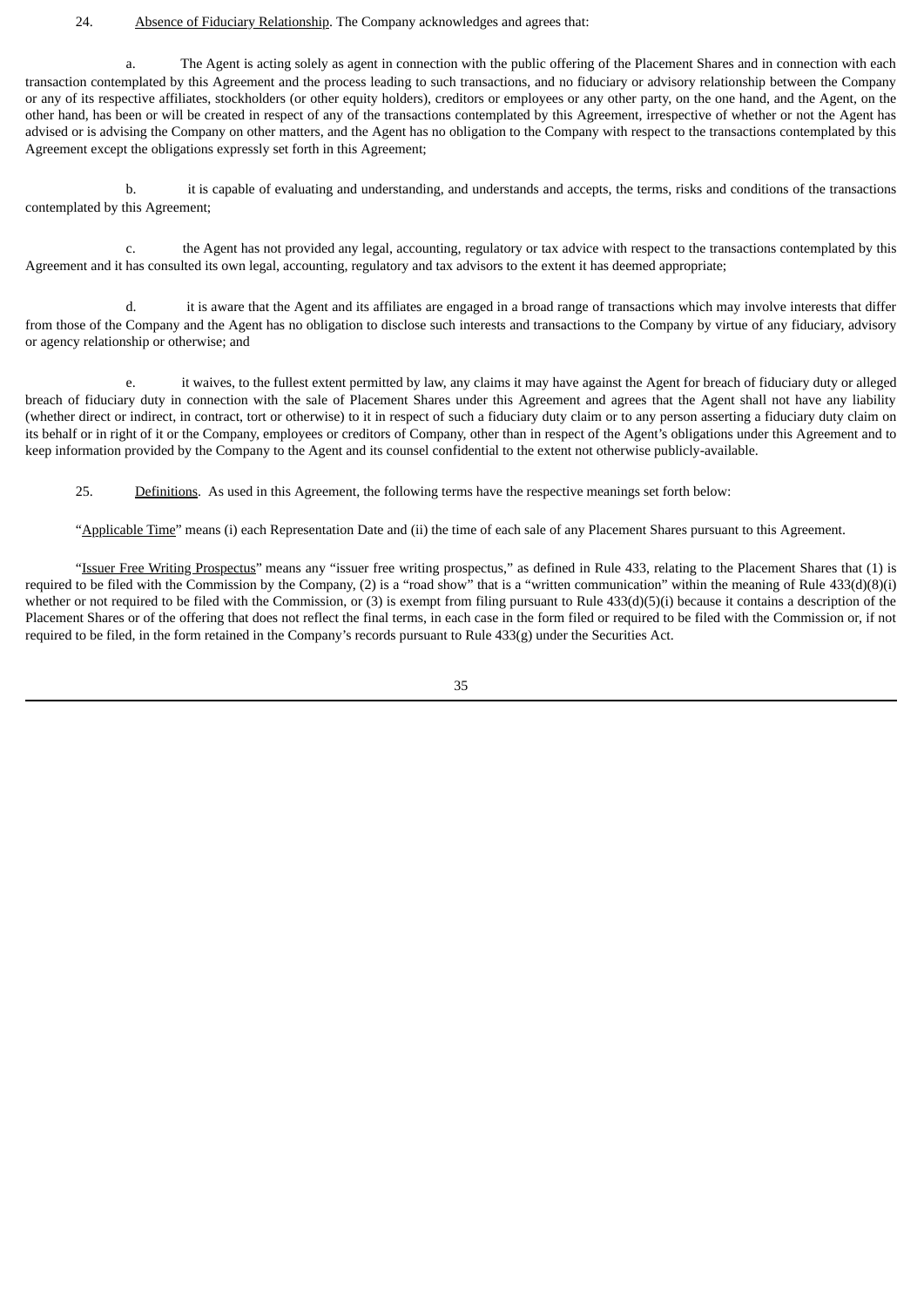### 24. Absence of Fiduciary Relationship. The Company acknowledges and agrees that:

a. The Agent is acting solely as agent in connection with the public offering of the Placement Shares and in connection with each transaction contemplated by this Agreement and the process leading to such transactions, and no fiduciary or advisory relationship between the Company or any of its respective affiliates, stockholders (or other equity holders), creditors or employees or any other party, on the one hand, and the Agent, on the other hand, has been or will be created in respect of any of the transactions contemplated by this Agreement, irrespective of whether or not the Agent has advised or is advising the Company on other matters, and the Agent has no obligation to the Company with respect to the transactions contemplated by this Agreement except the obligations expressly set forth in this Agreement;

b. it is capable of evaluating and understanding, and understands and accepts, the terms, risks and conditions of the transactions contemplated by this Agreement;

c. the Agent has not provided any legal, accounting, regulatory or tax advice with respect to the transactions contemplated by this Agreement and it has consulted its own legal, accounting, regulatory and tax advisors to the extent it has deemed appropriate;

d. it is aware that the Agent and its affiliates are engaged in a broad range of transactions which may involve interests that differ from those of the Company and the Agent has no obligation to disclose such interests and transactions to the Company by virtue of any fiduciary, advisory or agency relationship or otherwise; and

e. it waives, to the fullest extent permitted by law, any claims it may have against the Agent for breach of fiduciary duty or alleged breach of fiduciary duty in connection with the sale of Placement Shares under this Agreement and agrees that the Agent shall not have any liability (whether direct or indirect, in contract, tort or otherwise) to it in respect of such a fiduciary duty claim or to any person asserting a fiduciary duty claim on its behalf or in right of it or the Company, employees or creditors of Company, other than in respect of the Agent's obligations under this Agreement and to keep information provided by the Company to the Agent and its counsel confidential to the extent not otherwise publicly-available.

25. Definitions. As used in this Agreement, the following terms have the respective meanings set forth below:

"Applicable Time" means (i) each Representation Date and (ii) the time of each sale of any Placement Shares pursuant to this Agreement.

"Issuer Free Writing Prospectus" means any "issuer free writing prospectus," as defined in Rule 433, relating to the Placement Shares that (1) is required to be filed with the Commission by the Company, (2) is a "road show" that is a "written communication" within the meaning of Rule 433(d)(8)(i) whether or not required to be filed with the Commission, or (3) is exempt from filing pursuant to Rule 433(d)(5)(i) because it contains a description of the Placement Shares or of the offering that does not reflect the final terms, in each case in the form filed or required to be filed with the Commission or, if not required to be filed, in the form retained in the Company's records pursuant to Rule 433(g) under the Securities Act.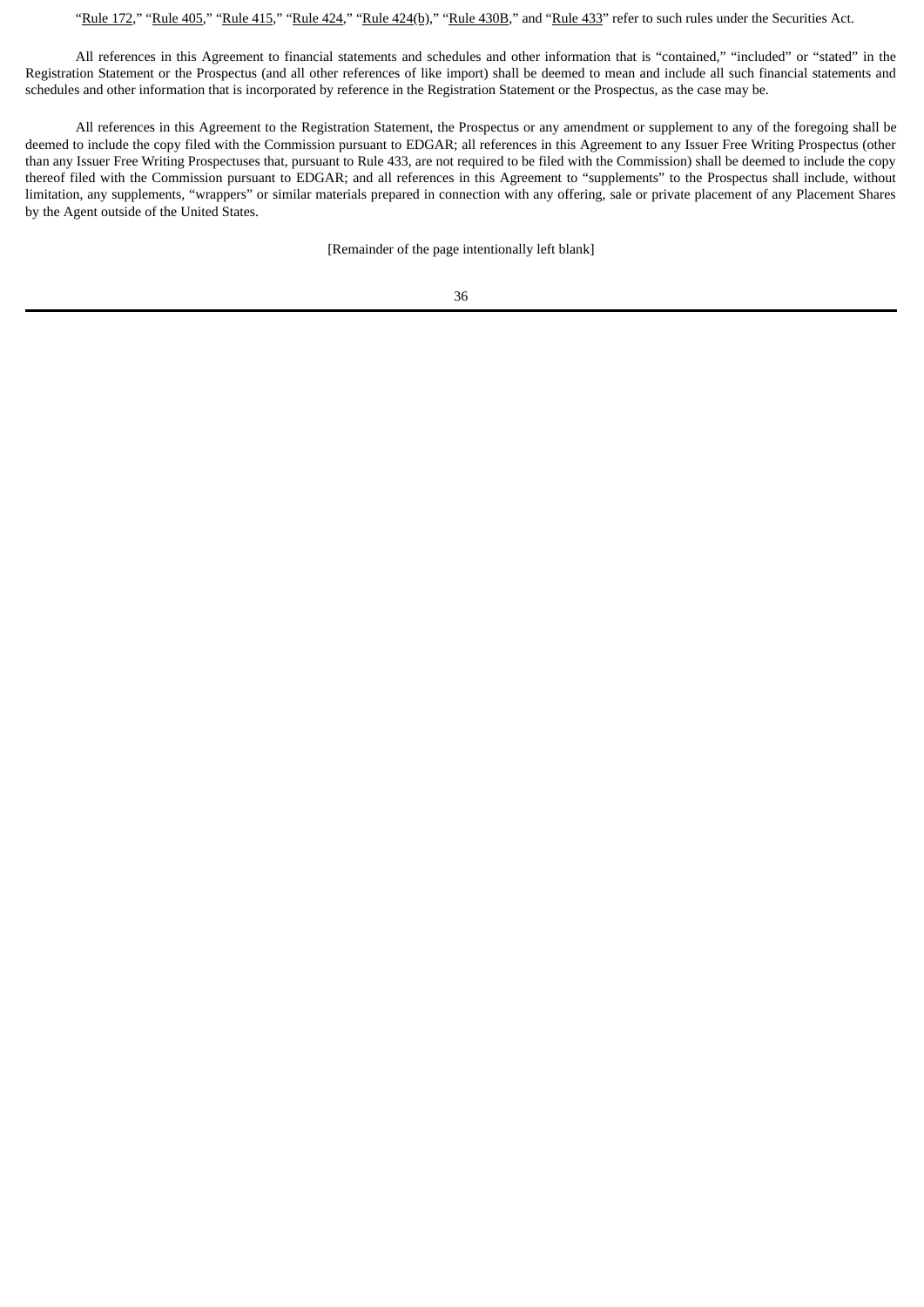"Rule 172," "Rule 405," "Rule 415," "Rule 424," "Rule 424(b)," "Rule 430B," and "Rule 433" refer to such rules under the Securities Act.

All references in this Agreement to financial statements and schedules and other information that is "contained," "included" or "stated" in the Registration Statement or the Prospectus (and all other references of like import) shall be deemed to mean and include all such financial statements and schedules and other information that is incorporated by reference in the Registration Statement or the Prospectus, as the case may be.

All references in this Agreement to the Registration Statement, the Prospectus or any amendment or supplement to any of the foregoing shall be deemed to include the copy filed with the Commission pursuant to EDGAR; all references in this Agreement to any Issuer Free Writing Prospectus (other than any Issuer Free Writing Prospectuses that, pursuant to Rule 433, are not required to be filed with the Commission) shall be deemed to include the copy thereof filed with the Commission pursuant to EDGAR; and all references in this Agreement to "supplements" to the Prospectus shall include, without limitation, any supplements, "wrappers" or similar materials prepared in connection with any offering, sale or private placement of any Placement Shares by the Agent outside of the United States.

[Remainder of the page intentionally left blank]